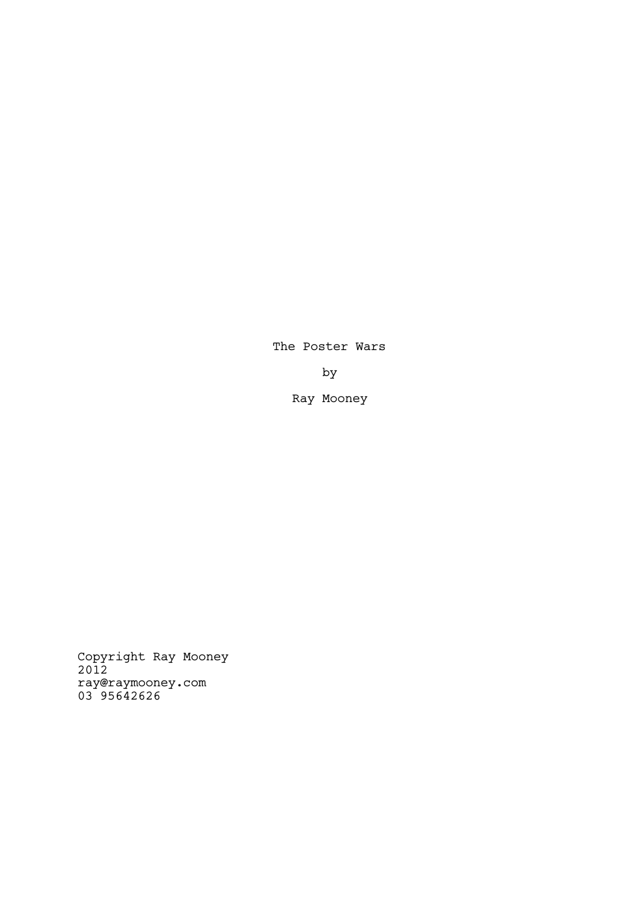The Poster Wars

by

Ray Mooney

Copyright Ray Mooney 2012 ray@raymooney.com 03 95642626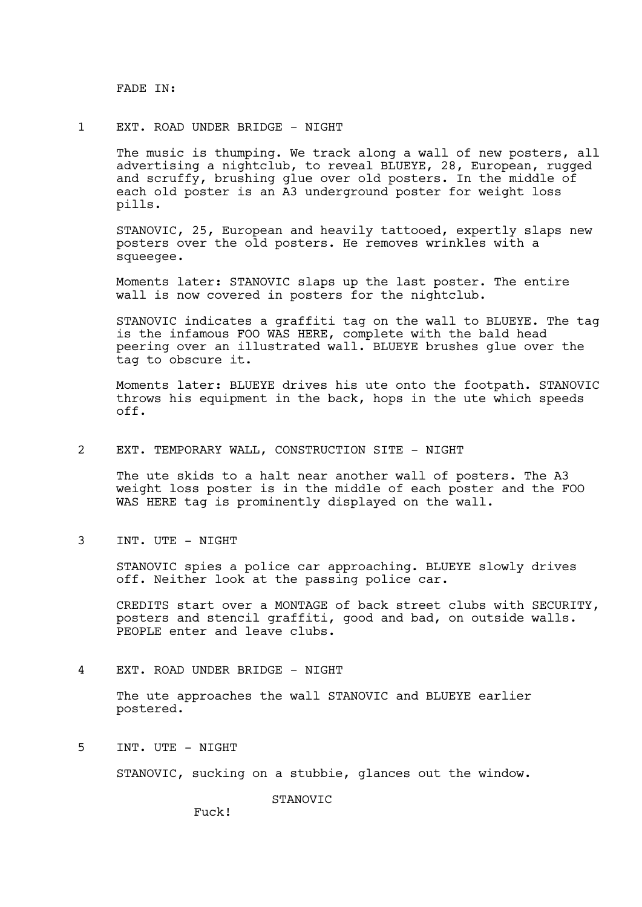FADE IN:

1 EXT. ROAD UNDER BRIDGE - NIGHT

The music is thumping. We track along a wall of new posters, all advertising a nightclub, to reveal BLUEYE, 28, European, rugged and scruffy, brushing glue over old posters. In the middle of each old poster is an A3 underground poster for weight loss pills.

STANOVIC, 25, European and heavily tattooed, expertly slaps new posters over the old posters. He removes wrinkles with a squeegee.

Moments later: STANOVIC slaps up the last poster. The entire wall is now covered in posters for the nightclub.

STANOVIC indicates a graffiti tag on the wall to BLUEYE. The tag is the infamous FOO WAS HERE, complete with the bald head peering over an illustrated wall. BLUEYE brushes glue over the tag to obscure it.

Moments later: BLUEYE drives his ute onto the footpath. STANOVIC throws his equipment in the back, hops in the ute which speeds off.

2 EXT. TEMPORARY WALL, CONSTRUCTION SITE - NIGHT

The ute skids to a halt near another wall of posters. The A3 weight loss poster is in the middle of each poster and the FOO WAS HERE tag is prominently displayed on the wall.

3 INT. UTE - NIGHT

STANOVIC spies a police car approaching. BLUEYE slowly drives off. Neither look at the passing police car.

CREDITS start over a MONTAGE of back street clubs with SECURITY, posters and stencil graffiti, good and bad, on outside walls. PEOPLE enter and leave clubs.

4 EXT. ROAD UNDER BRIDGE - NIGHT

The ute approaches the wall STANOVIC and BLUEYE earlier postered.

5 INT. UTE - NIGHT

STANOVIC, sucking on a stubbie, glances out the window.

**STANOVIC** 

Fuck!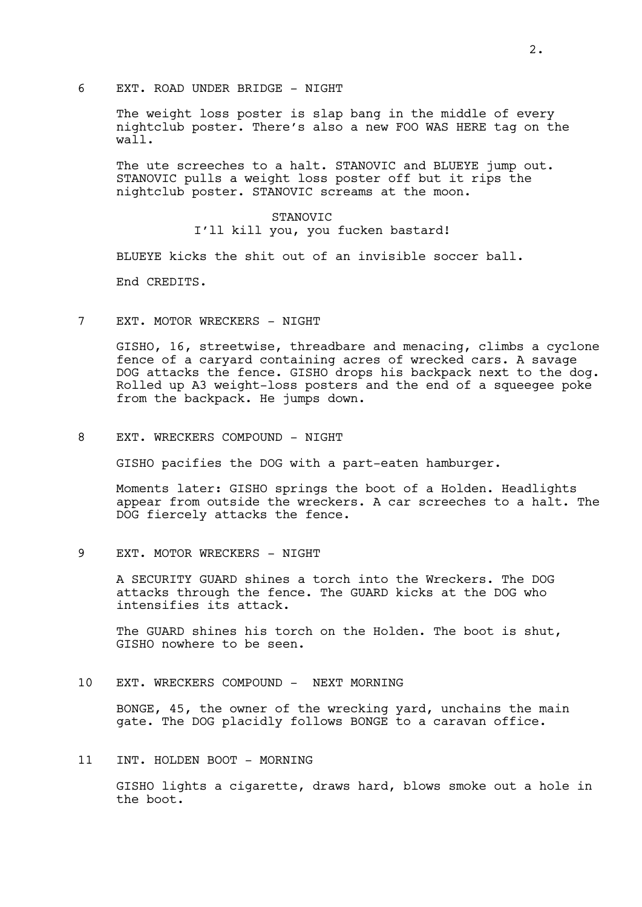6 EXT. ROAD UNDER BRIDGE - NIGHT

The weight loss poster is slap bang in the middle of every nightclub poster. There's also a new FOO WAS HERE tag on the wall.

The ute screeches to a halt. STANOVIC and BLUEYE jump out. STANOVIC pulls a weight loss poster off but it rips the nightclub poster. STANOVIC screams at the moon.

# STANOVIC I'll kill you, you fucken bastard!

BLUEYE kicks the shit out of an invisible soccer ball.

End CREDITS.

7 EXT. MOTOR WRECKERS - NIGHT

GISHO, 16, streetwise, threadbare and menacing, climbs a cyclone fence of a caryard containing acres of wrecked cars. A savage DOG attacks the fence. GISHO drops his backpack next to the dog. Rolled up A3 weight-loss posters and the end of a squeegee poke from the backpack. He jumps down.

8 EXT. WRECKERS COMPOUND - NIGHT

GISHO pacifies the DOG with a part-eaten hamburger.

Moments later: GISHO springs the boot of a Holden. Headlights appear from outside the wreckers. A car screeches to a halt. The DOG fiercely attacks the fence.

9 EXT. MOTOR WRECKERS - NIGHT

A SECURITY GUARD shines a torch into the Wreckers. The DOG attacks through the fence. The GUARD kicks at the DOG who intensifies its attack.

The GUARD shines his torch on the Holden. The boot is shut, GISHO nowhere to be seen.

# 10 EXT. WRECKERS COMPOUND - NEXT MORNING

BONGE, 45, the owner of the wrecking yard, unchains the main gate. The DOG placidly follows BONGE to a caravan office.

# 11 INT. HOLDEN BOOT - MORNING

GISHO lights a cigarette, draws hard, blows smoke out a hole in the boot.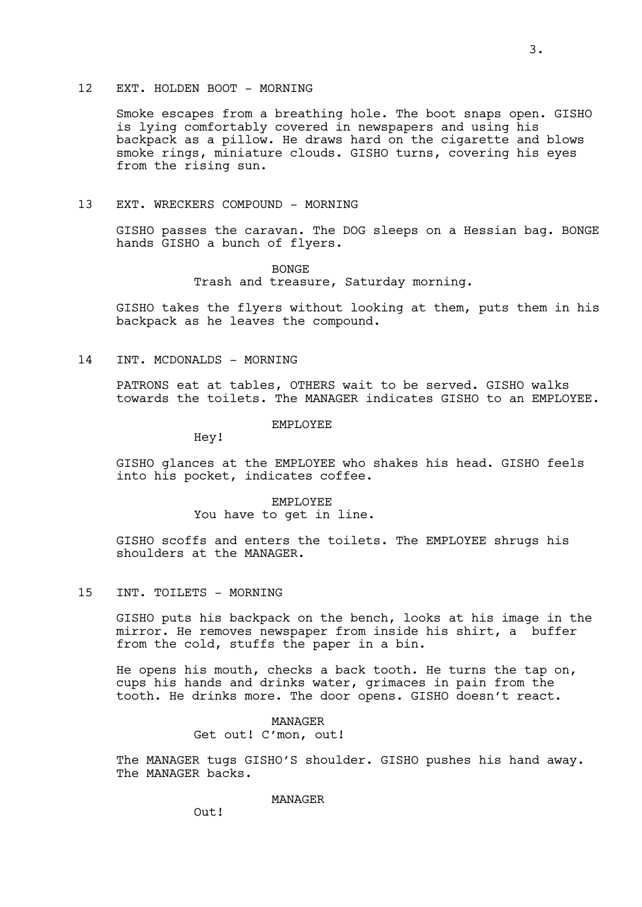# 12 EXT. HOLDEN BOOT - MORNING

Smoke escapes from a breathing hole. The boot snaps open. GISHO is lying comfortably covered in newspapers and using his backpack as a pillow. He draws hard on the cigarette and blows smoke rings, miniature clouds. GISHO turns, covering his eyes from the rising sun.

#### 13 EXT. WRECKERS COMPOUND - MORNING

GISHO passes the caravan. The DOG sleeps on a Hessian bag. BONGE hands GISHO a bunch of flyers.

> BONGE Trash and treasure, Saturday morning.

GISHO takes the flyers without looking at them, puts them in his backpack as he leaves the compound.

14 INT. MCDONALDS - MORNING

PATRONS eat at tables, OTHERS wait to be served. GISHO walks towards the toilets. The MANAGER indicates GISHO to an EMPLOYEE.

#### EMPLOYEE

Hey!

GISHO glances at the EMPLOYEE who shakes his head. GISHO feels into his pocket, indicates coffee.

> EMPLOYEE You have to get in line.

GISHO scoffs and enters the toilets. The EMPLOYEE shrugs his shoulders at the MANAGER.

#### 15 INT. TOILETS - MORNING

GISHO puts his backpack on the bench, looks at his image in the mirror. He removes newspaper from inside his shirt, a buffer from the cold, stuffs the paper in a bin.

He opens his mouth, checks a back tooth. He turns the tap on, cups his hands and drinks water, grimaces in pain from the tooth. He drinks more. The door opens. GISHO doesn't react.

> MANAGER Get out! C'mon, out!

The MANAGER tugs GISHO'S shoulder. GISHO pushes his hand away. The MANAGER backs.

MANAGER

Out!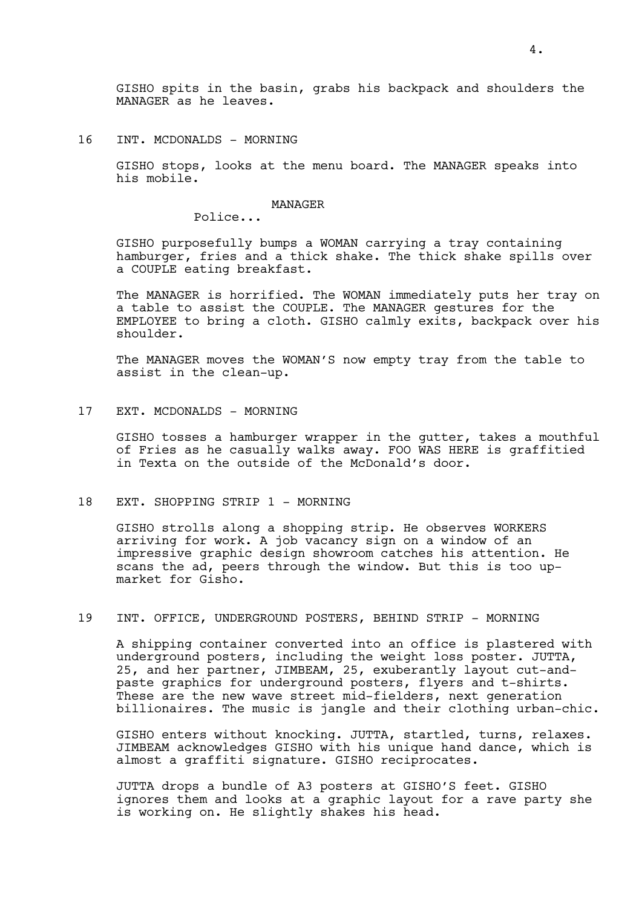GISHO spits in the basin, grabs his backpack and shoulders the MANAGER as he leaves.

16 INT. MCDONALDS - MORNING

GISHO stops, looks at the menu board. The MANAGER speaks into his mobile.

#### MANAGER

Police...

GISHO purposefully bumps a WOMAN carrying a tray containing hamburger, fries and a thick shake. The thick shake spills over a COUPLE eating breakfast.

The MANAGER is horrified. The WOMAN immediately puts her tray on a table to assist the COUPLE. The MANAGER gestures for the EMPLOYEE to bring a cloth. GISHO calmly exits, backpack over his shoulder.

The MANAGER moves the WOMAN'S now empty tray from the table to assist in the clean-up.

17 EXT. MCDONALDS - MORNING

GISHO tosses a hamburger wrapper in the gutter, takes a mouthful of Fries as he casually walks away. FOO WAS HERE is graffitied in Texta on the outside of the McDonald's door.

18 EXT. SHOPPING STRIP 1 - MORNING

GISHO strolls along a shopping strip. He observes WORKERS arriving for work. A job vacancy sign on a window of an impressive graphic design showroom catches his attention. He scans the ad, peers through the window. But this is too upmarket for Gisho.

# 19 INT. OFFICE, UNDERGROUND POSTERS, BEHIND STRIP - MORNING

A shipping container converted into an office is plastered with underground posters, including the weight loss poster. JUTTA, 25, and her partner, JIMBEAM, 25, exuberantly layout cut-andpaste graphics for underground posters, flyers and t-shirts. These are the new wave street mid-fielders, next generation billionaires. The music is jangle and their clothing urban-chic.

GISHO enters without knocking. JUTTA, startled, turns, relaxes. JIMBEAM acknowledges GISHO with his unique hand dance, which is almost a graffiti signature. GISHO reciprocates.

JUTTA drops a bundle of A3 posters at GISHO'S feet. GISHO ignores them and looks at a graphic layout for a rave party she is working on. He slightly shakes his head.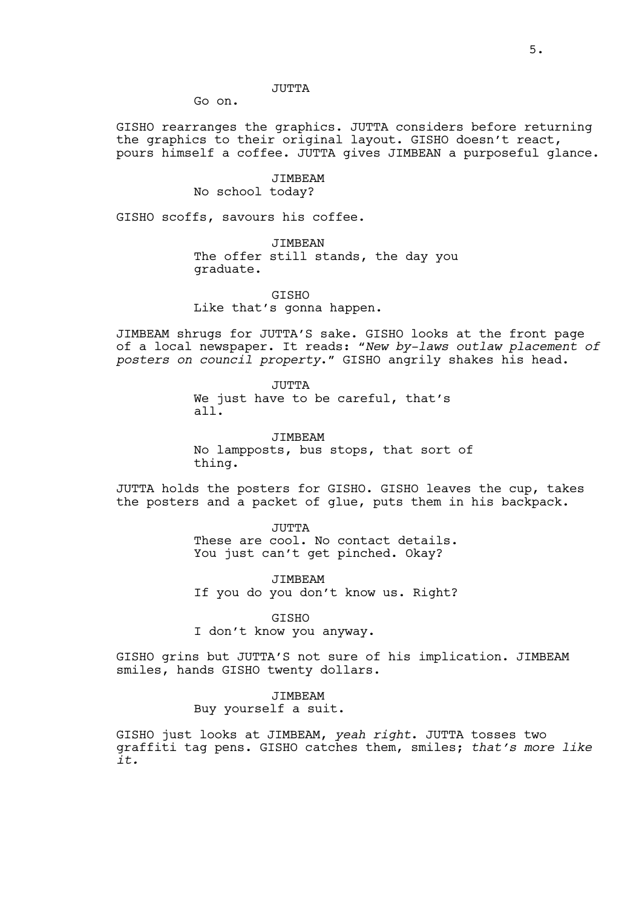# JUTTA

Go on.

GISHO rearranges the graphics. JUTTA considers before returning the graphics to their original layout. GISHO doesn't react, pours himself a coffee. JUTTA gives JIMBEAN a purposeful glance.

> JIMBEAM No school today?

GISHO scoffs, savours his coffee.

JIMBEAN The offer still stands, the day you graduate.

GISHO Like that's gonna happen.

JIMBEAM shrugs for JUTTA'S sake. GISHO looks at the front page of a local newspaper. It reads: "*New by-laws outlaw placement of posters on council property*." GISHO angrily shakes his head.

> JUTTA We just have to be careful, that's all.

JIMBEAM No lampposts, bus stops, that sort of thing.

JUTTA holds the posters for GISHO. GISHO leaves the cup, takes the posters and a packet of glue, puts them in his backpack.

> JUTTA These are cool. No contact details. You just can't get pinched. Okay?

> JIMBEAM If you do you don't know us. Right?

GISHO I don't know you anyway.

GISHO grins but JUTTA'S not sure of his implication. JIMBEAM smiles, hands GISHO twenty dollars.

> JIMBEAM Buy yourself a suit.

GISHO just looks at JIMBEAM, *yeah right*. JUTTA tosses two graffiti tag pens. GISHO catches them, smiles; *that's more like it.*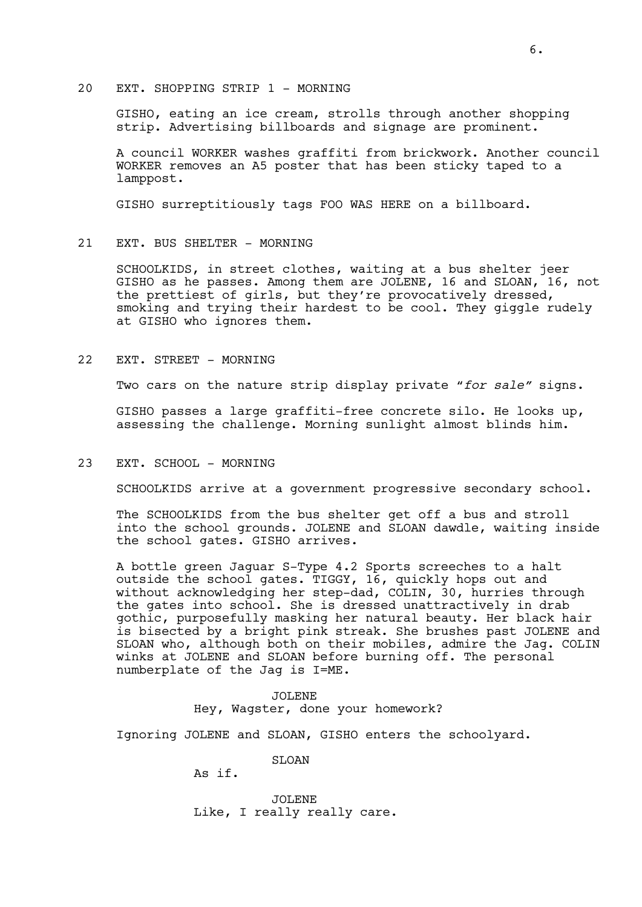# 20 EXT. SHOPPING STRIP 1 - MORNING

GISHO, eating an ice cream, strolls through another shopping strip. Advertising billboards and signage are prominent.

A council WORKER washes graffiti from brickwork. Another council WORKER removes an A5 poster that has been sticky taped to a lamppost.

GISHO surreptitiously tags FOO WAS HERE on a billboard.

### 21 EXT. BUS SHELTER - MORNING

SCHOOLKIDS, in street clothes, waiting at a bus shelter jeer GISHO as he passes. Among them are JOLENE, 16 and SLOAN, 16, not the prettiest of girls, but they're provocatively dressed, smoking and trying their hardest to be cool. They giggle rudely at GISHO who ignores them.

### 22 EXT. STREET - MORNING

Two cars on the nature strip display private "*for sale"* signs.

GISHO passes a large graffiti-free concrete silo. He looks up, assessing the challenge. Morning sunlight almost blinds him.

#### 23 EXT. SCHOOL - MORNING

SCHOOLKIDS arrive at a government progressive secondary school.

The SCHOOLKIDS from the bus shelter get off a bus and stroll into the school grounds. JOLENE and SLOAN dawdle, waiting inside the school gates. GISHO arrives.

A bottle green Jaguar S-Type 4.2 Sports screeches to a halt outside the school gates. TIGGY, 16, quickly hops out and without acknowledging her step-dad, COLIN, 30, hurries through the gates into school. She is dressed unattractively in drab gothic, purposefully masking her natural beauty. Her black hair is bisected by a bright pink streak. She brushes past JOLENE and SLOAN who, although both on their mobiles, admire the Jag. COLIN winks at JOLENE and SLOAN before burning off. The personal numberplate of the Jag is I=ME.

> JOLENE Hey, Wagster, done your homework?

Ignoring JOLENE and SLOAN, GISHO enters the schoolyard.

SLOAN

As if.

JOLENE Like, I really really care.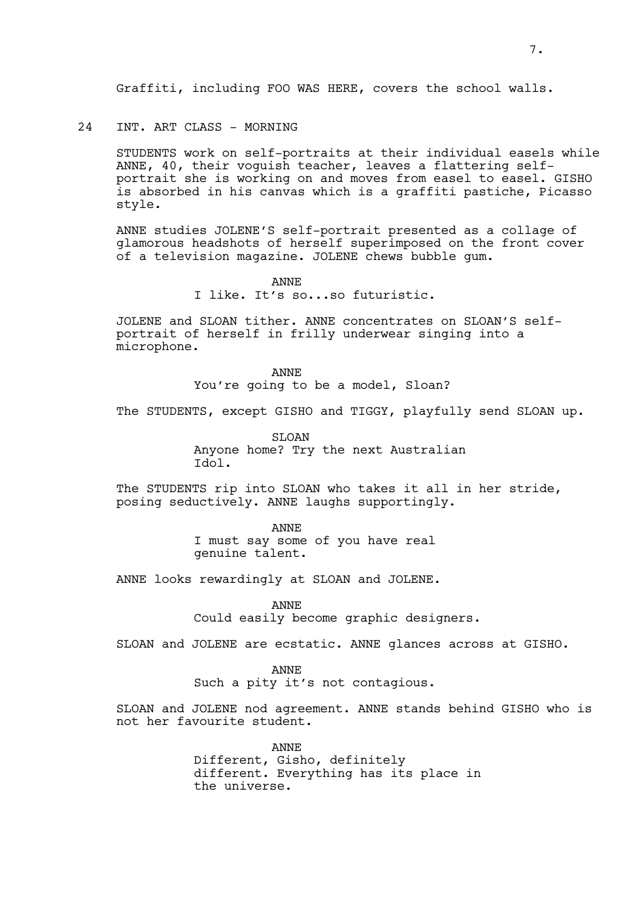# 24 INT. ART CLASS - MORNING

STUDENTS work on self-portraits at their individual easels while ANNE, 40, their voguish teacher, leaves a flattering selfportrait she is working on and moves from easel to easel. GISHO is absorbed in his canvas which is a graffiti pastiche, Picasso style.

ANNE studies JOLENE'S self-portrait presented as a collage of glamorous headshots of herself superimposed on the front cover of a television magazine. JOLENE chews bubble gum.

> ANNE I like. It's so...so futuristic.

JOLENE and SLOAN tither. ANNE concentrates on SLOAN'S selfportrait of herself in frilly underwear singing into a microphone.

> ANNE You're going to be a model, Sloan?

The STUDENTS, except GISHO and TIGGY, playfully send SLOAN up.

SLOAN

Anyone home? Try the next Australian Idol.

The STUDENTS rip into SLOAN who takes it all in her stride, posing seductively. ANNE laughs supportingly.

> ANNE I must say some of you have real genuine talent.

ANNE looks rewardingly at SLOAN and JOLENE.

ANNE Could easily become graphic designers.

SLOAN and JOLENE are ecstatic. ANNE glances across at GISHO.

ANNE Such a pity it's not contagious.

SLOAN and JOLENE nod agreement. ANNE stands behind GISHO who is not her favourite student.

> ANNE Different, Gisho, definitely different. Everything has its place in the universe.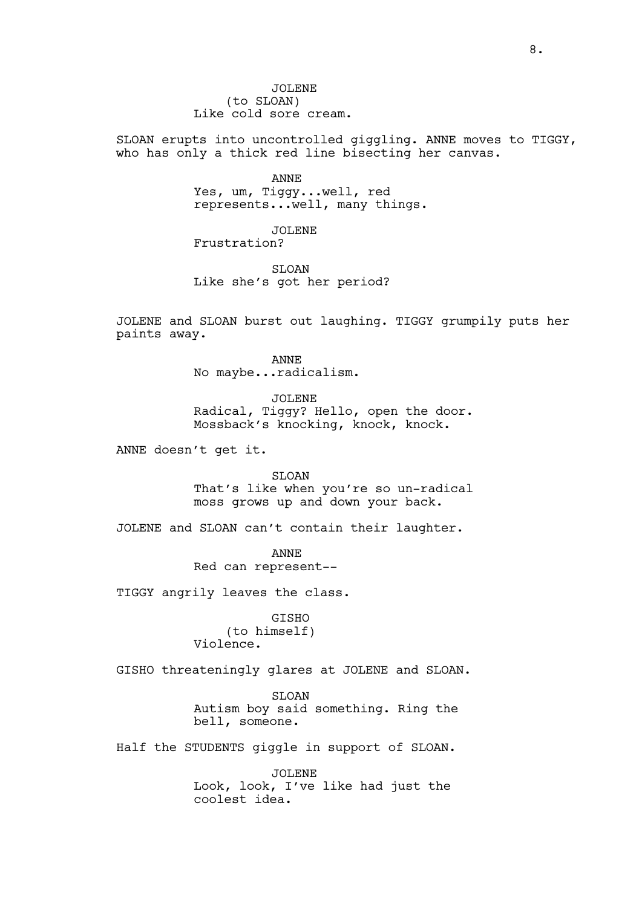JOLENE (to SLOAN) Like cold sore cream.

SLOAN erupts into uncontrolled giggling. ANNE moves to TIGGY, who has only a thick red line bisecting her canvas.

> ANNE Yes, um, Tiggy...well, red represents...well, many things.

JOLENE Frustration?

SLOAN Like she's got her period?

JOLENE and SLOAN burst out laughing. TIGGY grumpily puts her paints away.

> ANNE No maybe...radicalism.

JOLENE Radical, Tiggy? Hello, open the door. Mossback's knocking, knock, knock.

ANNE doesn't get it.

SLOAN That's like when you're so un-radical moss grows up and down your back.

JOLENE and SLOAN can't contain their laughter.

ANNE Red can represent--

TIGGY angrily leaves the class.

GISHO (to himself) Violence.

GISHO threateningly glares at JOLENE and SLOAN.

SLOAN Autism boy said something. Ring the bell, someone.

Half the STUDENTS giggle in support of SLOAN.

JOLENE Look, look, I've like had just the coolest idea.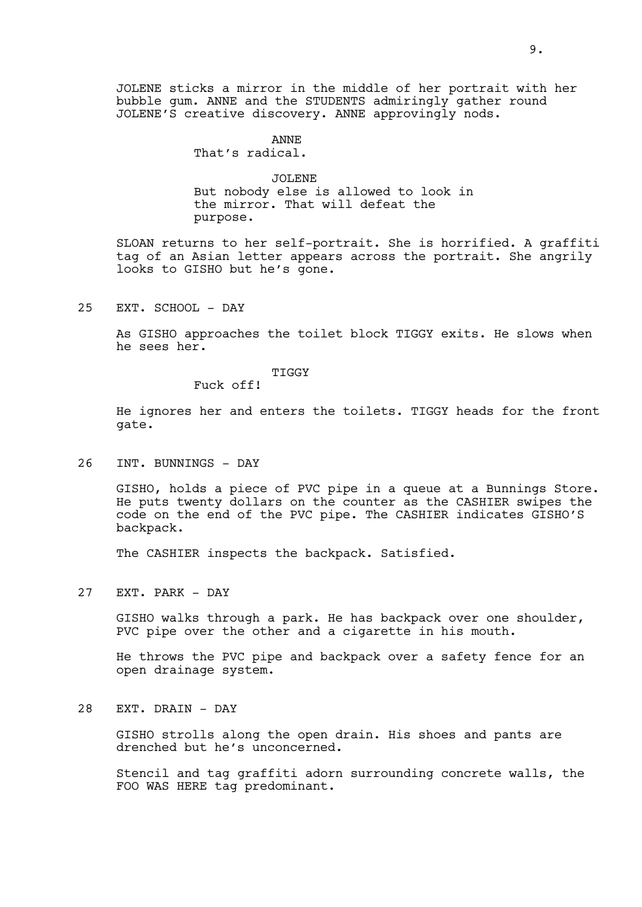JOLENE sticks a mirror in the middle of her portrait with her bubble gum. ANNE and the STUDENTS admiringly gather round JOLENE'S creative discovery. ANNE approvingly nods.

# ANNE

That's radical.

# JOLENE

But nobody else is allowed to look in the mirror. That will defeat the purpose.

SLOAN returns to her self-portrait. She is horrified. A graffiti tag of an Asian letter appears across the portrait. She angrily looks to GISHO but he's gone.

25 EXT. SCHOOL - DAY

As GISHO approaches the toilet block TIGGY exits. He slows when he sees her.

#### TIGGY

Fuck off!

He ignores her and enters the toilets. TIGGY heads for the front gate.

26 INT. BUNNINGS - DAY

GISHO, holds a piece of PVC pipe in a queue at a Bunnings Store. He puts twenty dollars on the counter as the CASHIER swipes the code on the end of the PVC pipe. The CASHIER indicates GISHO'S backpack.

The CASHIER inspects the backpack. Satisfied.

27 EXT. PARK - DAY

GISHO walks through a park. He has backpack over one shoulder, PVC pipe over the other and a cigarette in his mouth.

He throws the PVC pipe and backpack over a safety fence for an open drainage system.

28 EXT. DRAIN - DAY

GISHO strolls along the open drain. His shoes and pants are drenched but he's unconcerned.

Stencil and tag graffiti adorn surrounding concrete walls, the FOO WAS HERE tag predominant.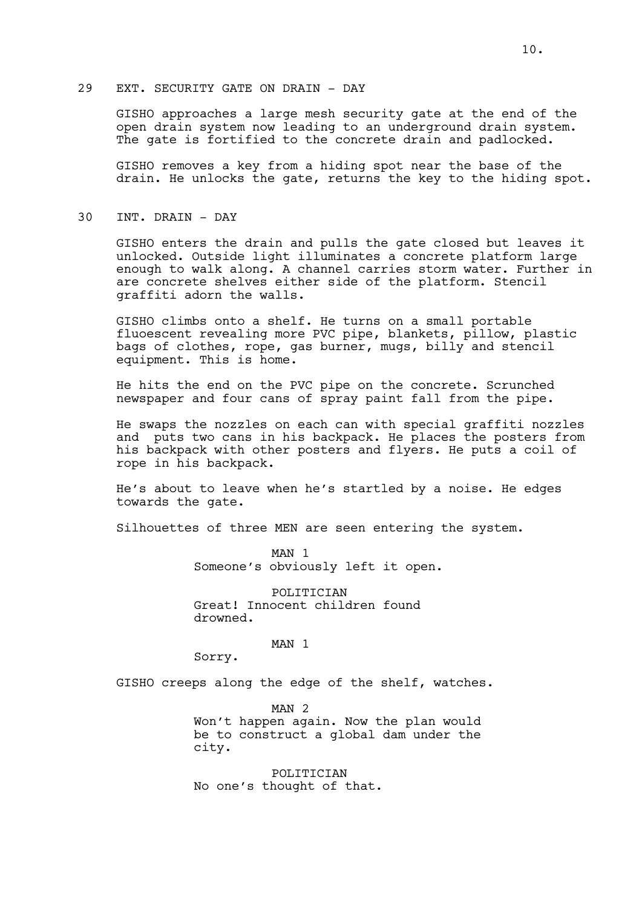# 29 EXT. SECURITY GATE ON DRAIN - DAY

GISHO approaches a large mesh security gate at the end of the open drain system now leading to an underground drain system. The gate is fortified to the concrete drain and padlocked.

GISHO removes a key from a hiding spot near the base of the drain. He unlocks the gate, returns the key to the hiding spot.

# 30 INT. DRAIN - DAY

GISHO enters the drain and pulls the gate closed but leaves it unlocked. Outside light illuminates a concrete platform large enough to walk along. A channel carries storm water. Further in are concrete shelves either side of the platform. Stencil graffiti adorn the walls.

GISHO climbs onto a shelf. He turns on a small portable fluoescent revealing more PVC pipe, blankets, pillow, plastic bags of clothes, rope, gas burner, mugs, billy and stencil equipment. This is home.

He hits the end on the PVC pipe on the concrete. Scrunched newspaper and four cans of spray paint fall from the pipe.

He swaps the nozzles on each can with special graffiti nozzles and puts two cans in his backpack. He places the posters from his backpack with other posters and flyers. He puts a coil of rope in his backpack.

He's about to leave when he's startled by a noise. He edges towards the gate.

Silhouettes of three MEN are seen entering the system.

MAN 1 Someone's obviously left it open.

POLITICIAN Great! Innocent children found drowned.

MAN 1

Sorry.

GISHO creeps along the edge of the shelf, watches.

MAN<sub>2</sub> Won't happen again. Now the plan would be to construct a global dam under the city.

**POLITICIAN** No one's thought of that.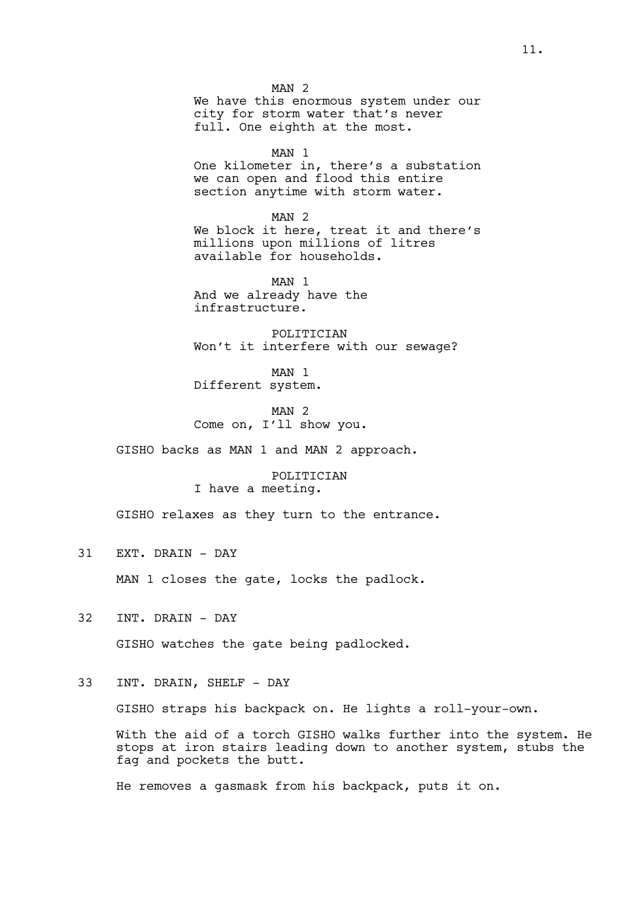MAN 2 We have this enormous system under our city for storm water that's never full. One eighth at the most.

MAN 1

One kilometer in, there's a substation we can open and flood this entire section anytime with storm water.

MAN 2 We block it here, treat it and there's millions upon millions of litres available for households.

MAN 1 And we already have the infrastructure.

POLITICIAN Won't it interfere with our sewage?

MAN 1 Different system.

MAN 2 Come on, I'll show you.

GISHO backs as MAN 1 and MAN 2 approach.

POLITICIAN I have a meeting.

GISHO relaxes as they turn to the entrance.

31 EXT. DRAIN - DAY

MAN 1 closes the gate, locks the padlock.

32 INT. DRAIN - DAY

GISHO watches the gate being padlocked.

# 33 INT. DRAIN, SHELF - DAY

GISHO straps his backpack on. He lights a roll-your-own.

With the aid of a torch GISHO walks further into the system. He stops at iron stairs leading down to another system, stubs the fag and pockets the butt.

He removes a gasmask from his backpack, puts it on.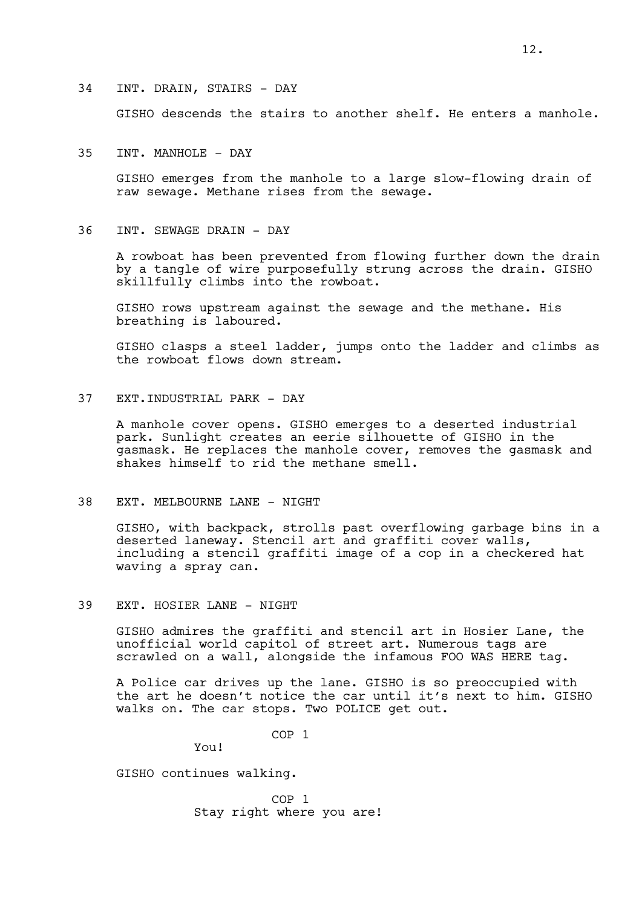#### 34 INT. DRAIN, STAIRS - DAY

GISHO descends the stairs to another shelf. He enters a manhole.

### 35 INT. MANHOLE - DAY

GISHO emerges from the manhole to a large slow-flowing drain of raw sewage. Methane rises from the sewage.

### 36 INT. SEWAGE DRAIN - DAY

A rowboat has been prevented from flowing further down the drain by a tangle of wire purposefully strung across the drain. GISHO skillfully climbs into the rowboat.

GISHO rows upstream against the sewage and the methane. His breathing is laboured.

GISHO clasps a steel ladder, jumps onto the ladder and climbs as the rowboat flows down stream.

# 37 EXT.INDUSTRIAL PARK - DAY

A manhole cover opens. GISHO emerges to a deserted industrial park. Sunlight creates an eerie silhouette of GISHO in the gasmask. He replaces the manhole cover, removes the gasmask and shakes himself to rid the methane smell.

### 38 EXT. MELBOURNE LANE - NIGHT

GISHO, with backpack, strolls past overflowing garbage bins in a deserted laneway. Stencil art and graffiti cover walls, including a stencil graffiti image of a cop in a checkered hat waving a spray can.

#### 39 EXT. HOSIER LANE - NIGHT

GISHO admires the graffiti and stencil art in Hosier Lane, the unofficial world capitol of street art. Numerous tags are scrawled on a wall, alongside the infamous FOO WAS HERE tag.

A Police car drives up the lane. GISHO is so preoccupied with the art he doesn't notice the car until it's next to him. GISHO walks on. The car stops. Two POLICE get out.

COP 1

You!

GISHO continues walking.

COP 1 Stay right where you are!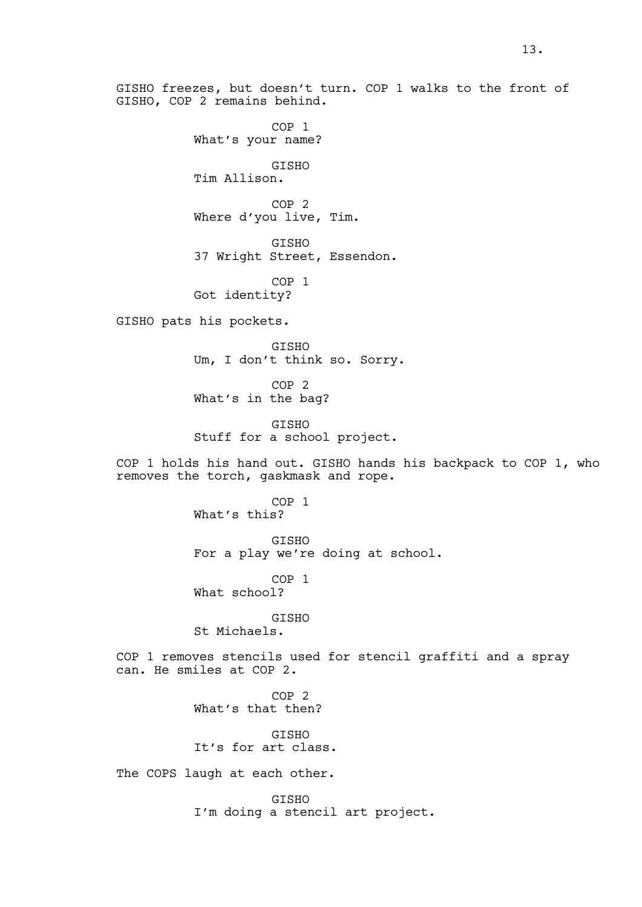COP 1 What's your name? GISHO Tim Allison. COP 2 Where d'you live, Tim. GISHO 37 Wright Street, Essendon. COP 1 Got identity? GISHO pats his pockets. GISHO Um, I don't think so. Sorry. COP 2 What's in the bag? GISHO Stuff for a school project. COP 1 holds his hand out. GISHO hands his backpack to COP 1, who removes the torch, gaskmask and rope. COP 1 What's this? GISHO For a play we're doing at school. COP 1 What school? GISHO St Michaels. COP 1 removes stencils used for stencil graffiti and a spray can. He smiles at COP 2. COP 2 What's that then? **GTSHO** It's for art class. The COPS laugh at each other. **GTSHO** I'm doing a stencil art project.

GISHO freezes, but doesn't turn. COP 1 walks to the front of

GISHO, COP 2 remains behind.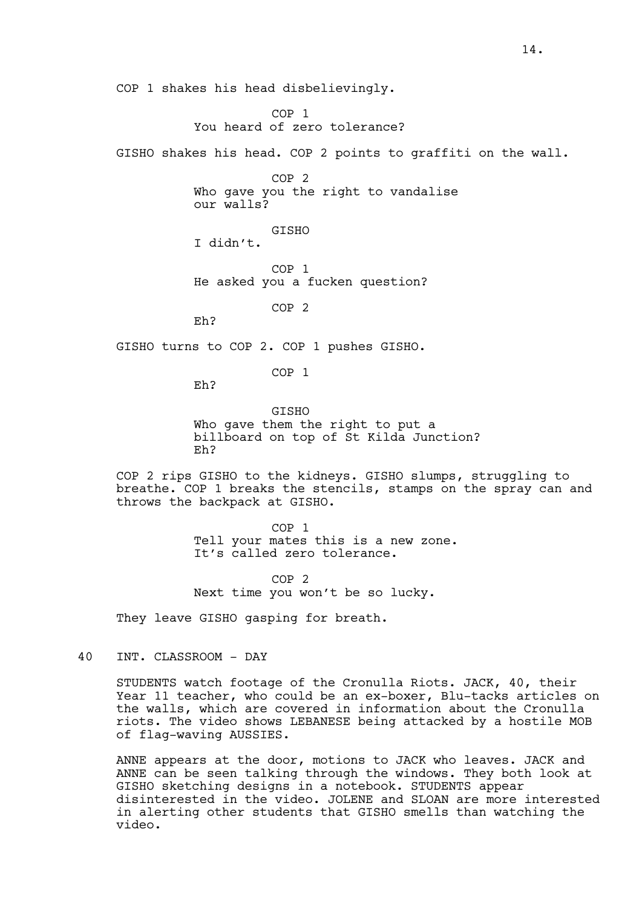COP 1 shakes his head disbelievingly.

COP 1 You heard of zero tolerance?

GISHO shakes his head. COP 2 points to graffiti on the wall.

COP 2 Who gave you the right to vandalise our walls?

GISHO I didn't.

COP 1 He asked you a fucken question?

COP 2

Eh?

GISHO turns to COP 2. COP 1 pushes GISHO.

COP 1

Eh?

GISHO Who gave them the right to put a billboard on top of St Kilda Junction? Eh?

COP 2 rips GISHO to the kidneys. GISHO slumps, struggling to breathe. COP 1 breaks the stencils, stamps on the spray can and throws the backpack at GISHO.

> COP 1 Tell your mates this is a new zone. It's called zero tolerance.

COP 2 Next time you won't be so lucky.

They leave GISHO gasping for breath.

40 INT. CLASSROOM - DAY

STUDENTS watch footage of the Cronulla Riots. JACK, 40, their Year 11 teacher, who could be an ex-boxer, Blu-tacks articles on the walls, which are covered in information about the Cronulla riots. The video shows LEBANESE being attacked by a hostile MOB of flag-waving AUSSIES.

ANNE appears at the door, motions to JACK who leaves. JACK and ANNE can be seen talking through the windows. They both look at GISHO sketching designs in a notebook. STUDENTS appear disinterested in the video. JOLENE and SLOAN are more interested in alerting other students that GISHO smells than watching the video.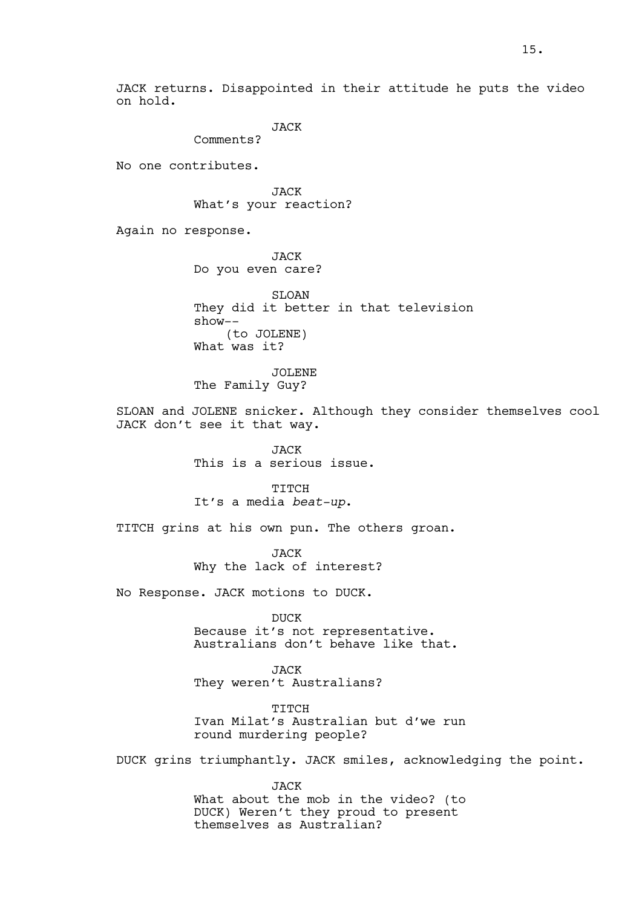JACK returns. Disappointed in their attitude he puts the video on hold.

JACK

Comments?

No one contributes.

JACK What's your reaction?

Again no response.

JACK Do you even care?

SLOAN They did it better in that television show-- (to JOLENE) What was it?

JOLENE The Family Guy?

SLOAN and JOLENE snicker. Although they consider themselves cool JACK don't see it that way.

> JACK This is a serious issue.

TITCH It's a media *beat-up*.

TITCH grins at his own pun. The others groan.

JACK Why the lack of interest?

No Response. JACK motions to DUCK.

DUCK Because it's not representative. Australians don't behave like that.

JACK They weren't Australians?

TITCH Ivan Milat's Australian but d'we run round murdering people?

DUCK grins triumphantly. JACK smiles, acknowledging the point.

JACK What about the mob in the video? (to DUCK) Weren't they proud to present themselves as Australian?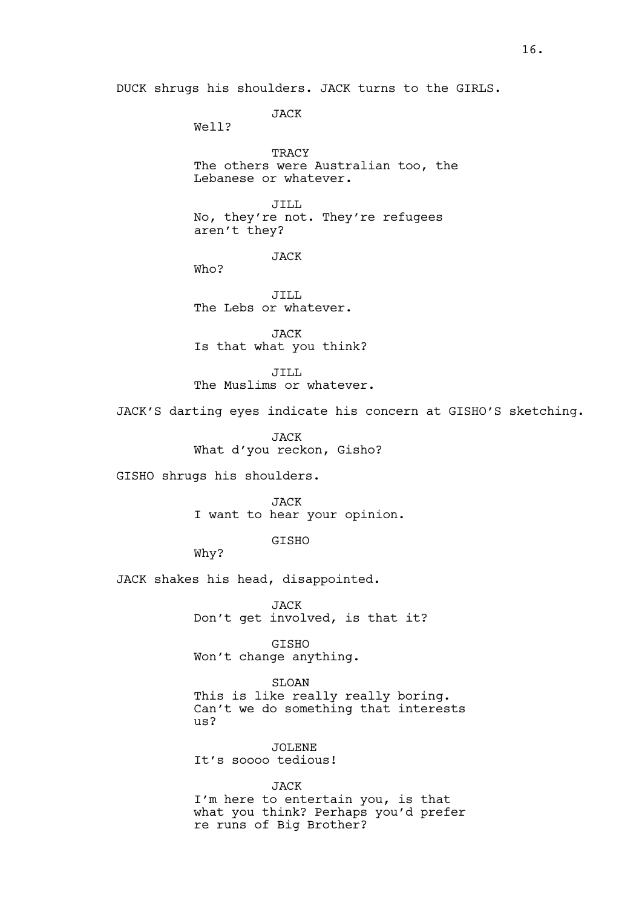DUCK shrugs his shoulders. JACK turns to the GIRLS.

JACK

Well?

TRACY The others were Australian too, the Lebanese or whatever.

JILL No, they're not. They're refugees aren't they?

JACK

Who?

JILL The Lebs or whatever.

JACK Is that what you think?

JILL The Muslims or whatever.

JACK'S darting eyes indicate his concern at GISHO'S sketching.

JACK What d'you reckon, Gisho?

GISHO shrugs his shoulders.

JACK I want to hear your opinion.

GISHO

Why?

JACK shakes his head, disappointed.

JACK Don't get involved, is that it?

GISHO Won't change anything.

SLOAN This is like really really boring. Can't we do something that interests us?

JOLENE It's soooo tedious!

JACK I'm here to entertain you, is that what you think? Perhaps you'd prefer re runs of Big Brother?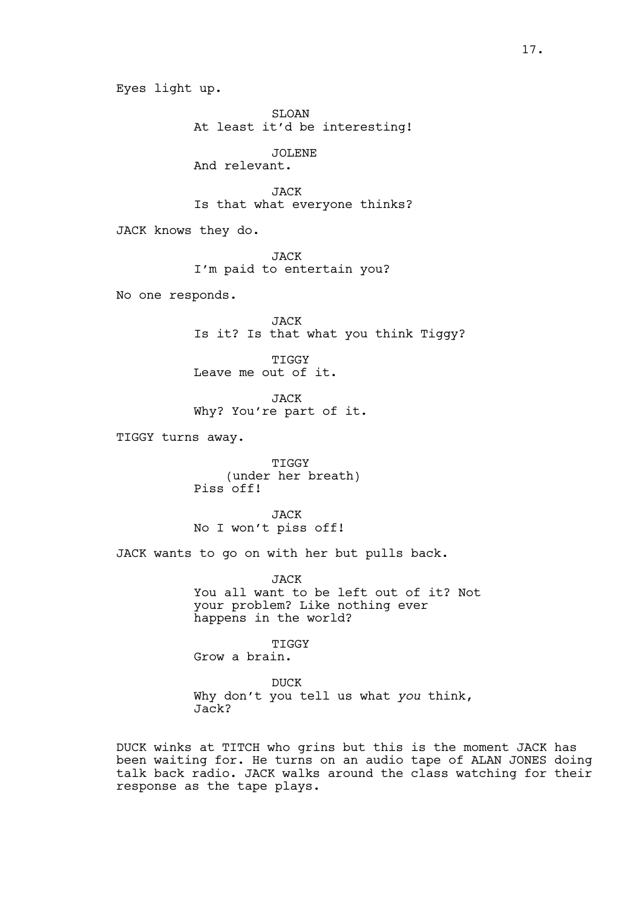Eyes light up. SLOAN At least it'd be interesting! JOLENE And relevant. JACK Is that what everyone thinks? JACK knows they do. JACK I'm paid to entertain you? No one responds. JACK Is it? Is that what you think Tiggy? TIGGY Leave me out of it. JACK Why? You're part of it. TIGGY turns away. TIGGY (under her breath) Piss off! JACK No I won't piss off! JACK wants to go on with her but pulls back. JACK You all want to be left out of it? Not your problem? Like nothing ever happens in the world? TIGGY Grow a brain. DUCK Why don't you tell us what *you* think, Jack? DUCK winks at TITCH who grins but this is the moment JACK has

been waiting for. He turns on an audio tape of ALAN JONES doing talk back radio. JACK walks around the class watching for their response as the tape plays.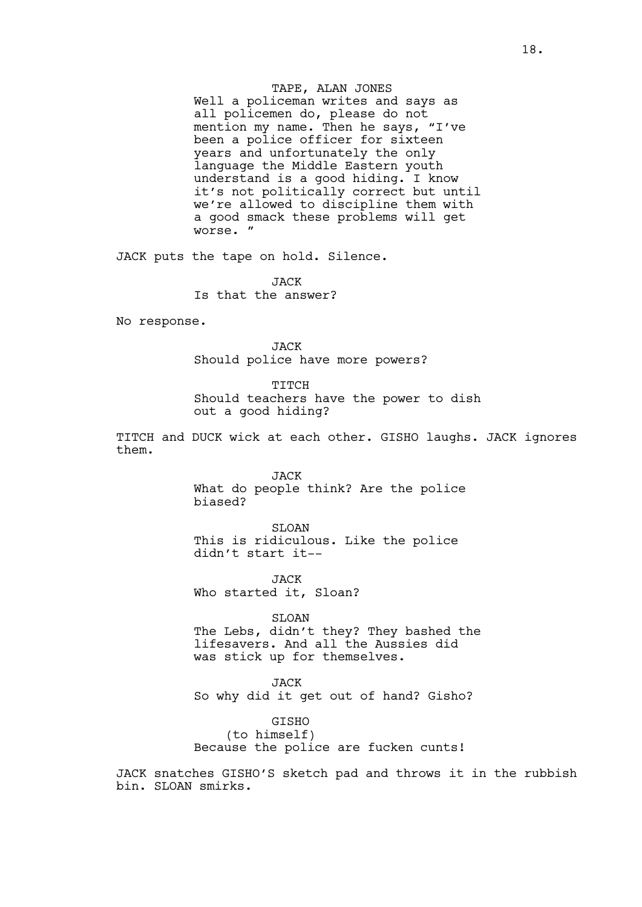TAPE, ALAN JONES

Well a policeman writes and says as all policemen do, please do not mention my name. Then he says, "I've been a police officer for sixteen years and unfortunately the only language the Middle Eastern youth understand is a good hiding. I know it's not politically correct but until we're allowed to discipline them with a good smack these problems will get worse. "

JACK puts the tape on hold. Silence.

**JACK** Is that the answer?

No response.

JACK Should police have more powers?

TITCH Should teachers have the power to dish out a good hiding?

TITCH and DUCK wick at each other. GISHO laughs. JACK ignores them.

> JACK What do people think? Are the police biased?

SLOAN This is ridiculous. Like the police didn't start it--

JACK Who started it, Sloan?

SLOAN

The Lebs, didn't they? They bashed the lifesavers. And all the Aussies did was stick up for themselves.

JACK So why did it get out of hand? Gisho?

GISHO (to himself) Because the police are fucken cunts!

JACK snatches GISHO'S sketch pad and throws it in the rubbish bin. SLOAN smirks.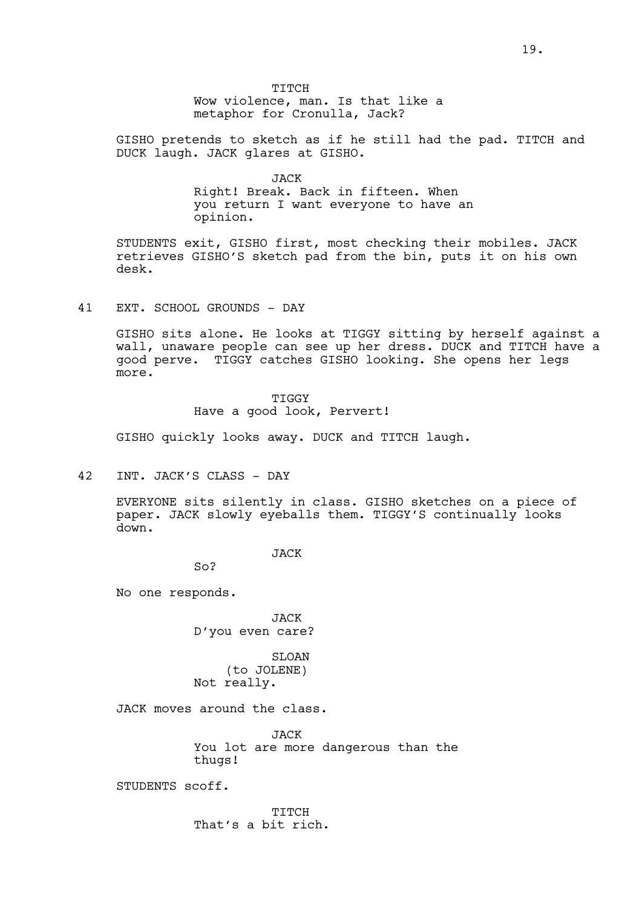TITCH Wow violence, man. Is that like a metaphor for Cronulla, Jack?

GISHO pretends to sketch as if he still had the pad. TITCH and DUCK laugh. JACK glares at GISHO.

> JACK Right! Break. Back in fifteen. When you return I want everyone to have an opinion.

STUDENTS exit, GISHO first, most checking their mobiles. JACK retrieves GISHO'S sketch pad from the bin, puts it on his own desk.

## 41 EXT. SCHOOL GROUNDS - DAY

GISHO sits alone. He looks at TIGGY sitting by herself against a wall, unaware people can see up her dress. DUCK and TITCH have a good perve. TIGGY catches GISHO looking. She opens her legs more.

> TIGGY Have a good look, Pervert!

GISHO quickly looks away. DUCK and TITCH laugh.

42 INT. JACK'S CLASS - DAY

EVERYONE sits silently in class. GISHO sketches on a piece of paper. JACK slowly eyeballs them. TIGGY'S continually looks down.

JACK

So?

No one responds.

JACK D'you even care?

SLOAN (to JOLENE) Not really.

JACK moves around the class.

JACK You lot are more dangerous than the thugs!

STUDENTS scoff.

TITCH That's a bit rich.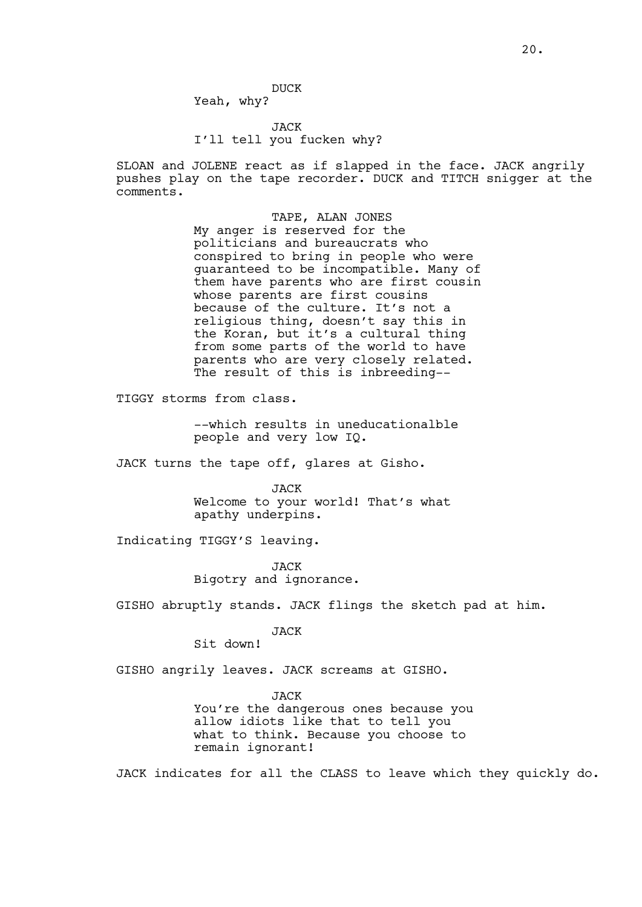DUCK

Yeah, why?

# JACK I'll tell you fucken why?

SLOAN and JOLENE react as if slapped in the face. JACK angrily pushes play on the tape recorder. DUCK and TITCH snigger at the comments.

> TAPE, ALAN JONES My anger is reserved for the politicians and bureaucrats who conspired to bring in people who were guaranteed to be incompatible. Many of them have parents who are first cousin whose parents are first cousins because of the culture. It's not a religious thing, doesn't say this in the Koran, but it's a cultural thing from some parts of the world to have parents who are very closely related. The result of this is inbreeding--

TIGGY storms from class.

--which results in uneducationalble people and very low IQ.

JACK turns the tape off, glares at Gisho.

JACK Welcome to your world! That's what apathy underpins.

Indicating TIGGY'S leaving.

JACK Bigotry and ignorance.

GISHO abruptly stands. JACK flings the sketch pad at him.

JACK

Sit down!

GISHO angrily leaves. JACK screams at GISHO.

JACK

You're the dangerous ones because you allow idiots like that to tell you what to think. Because you choose to remain ignorant!

JACK indicates for all the CLASS to leave which they quickly do.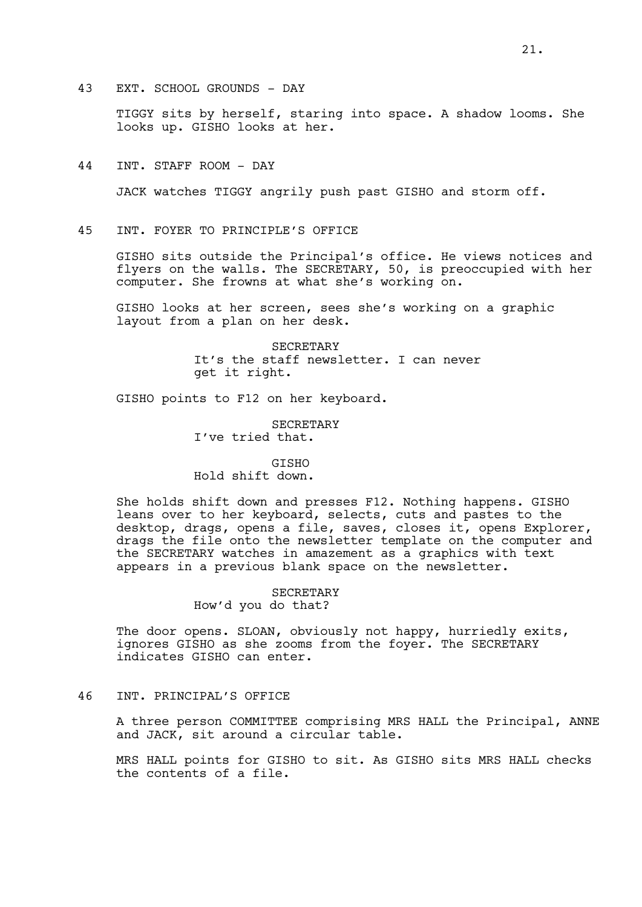43 EXT. SCHOOL GROUNDS - DAY

TIGGY sits by herself, staring into space. A shadow looms. She looks up. GISHO looks at her.

44 INT. STAFF ROOM - DAY

JACK watches TIGGY angrily push past GISHO and storm off.

45 INT. FOYER TO PRINCIPLE'S OFFICE

GISHO sits outside the Principal's office. He views notices and flyers on the walls. The SECRETARY, 50, is preoccupied with her computer. She frowns at what she's working on.

GISHO looks at her screen, sees she's working on a graphic layout from a plan on her desk.

> SECRETARY It's the staff newsletter. I can never get it right.

GISHO points to F12 on her keyboard.

SECRETARY I've tried that.

GISHO

Hold shift down.

She holds shift down and presses F12. Nothing happens. GISHO leans over to her keyboard, selects, cuts and pastes to the desktop, drags, opens a file, saves, closes it, opens Explorer, drags the file onto the newsletter template on the computer and the SECRETARY watches in amazement as a graphics with text appears in a previous blank space on the newsletter.

> SECRETARY How'd you do that?

The door opens. SLOAN, obviously not happy, hurriedly exits, ignores GISHO as she zooms from the foyer. The SECRETARY indicates GISHO can enter.

### 46 INT. PRINCIPAL'S OFFICE

A three person COMMITTEE comprising MRS HALL the Principal, ANNE and JACK, sit around a circular table.

MRS HALL points for GISHO to sit. As GISHO sits MRS HALL checks the contents of a file.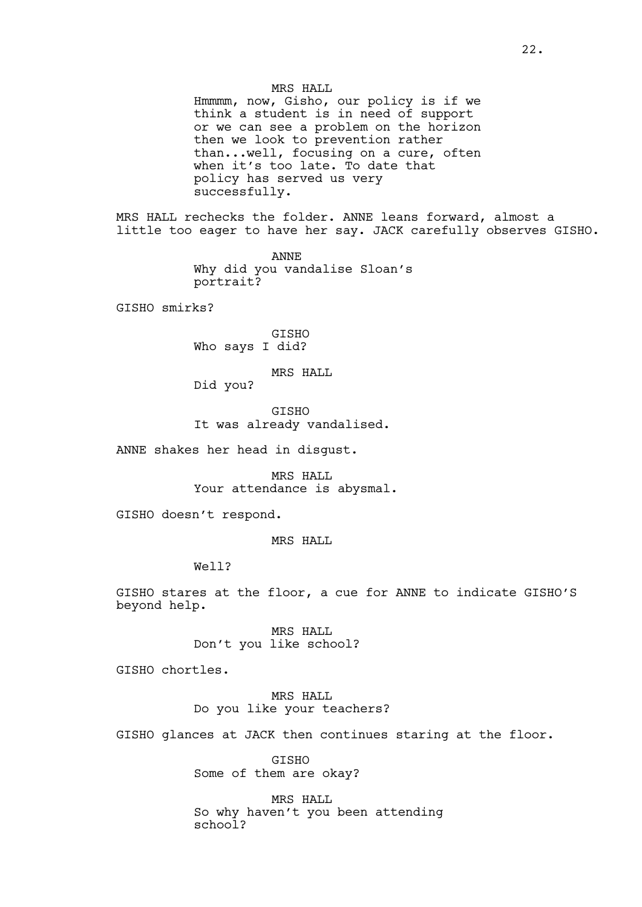### MRS HALL

Hmmmm, now, Gisho, our policy is if we think a student is in need of support or we can see a problem on the horizon then we look to prevention rather than...well, focusing on a cure, often when it's too late. To date that policy has served us very successfully.

MRS HALL rechecks the folder. ANNE leans forward, almost a little too eager to have her say. JACK carefully observes GISHO.

> ANNE Why did you vandalise Sloan's portrait?

GISHO smirks?

GISHO Who says I did?

MRS HALL

Did you?

GISHO It was already vandalised.

ANNE shakes her head in disgust.

MRS HALL Your attendance is abysmal.

GISHO doesn't respond.

MRS HALL

Well?

GISHO stares at the floor, a cue for ANNE to indicate GISHO'S beyond help.

> MRS HALL Don't you like school?

GISHO chortles.

# MRS HALL Do you like your teachers?

GISHO glances at JACK then continues staring at the floor.

GISHO Some of them are okay?

MRS HALL So why haven't you been attending schoo<sup>1</sup>?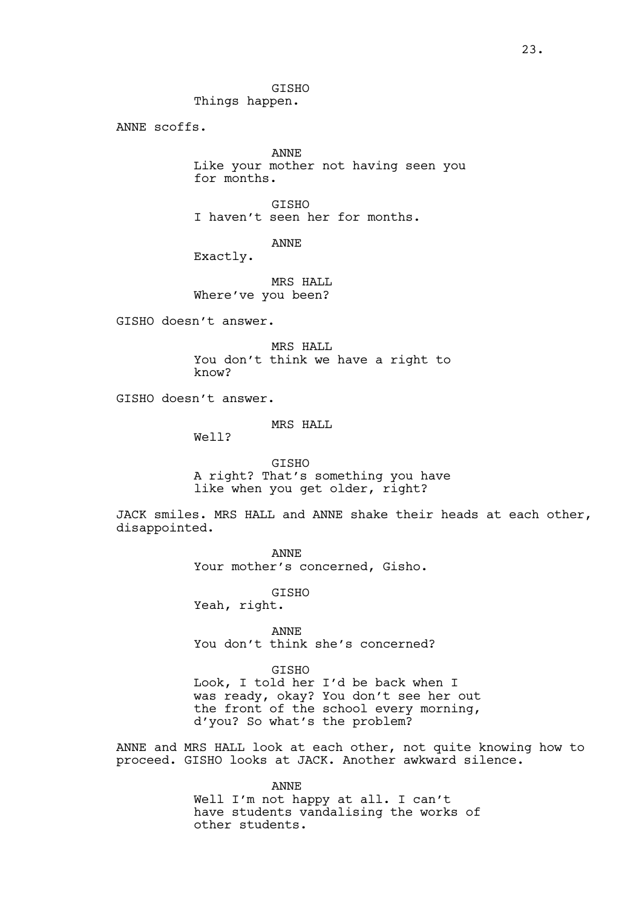GISHO Things happen.

ANNE scoffs.

ANNE Like your mother not having seen you for months.

GISHO I haven't seen her for months.

ANNE

Exactly.

MRS HALL Where've you been?

GISHO doesn't answer.

MRS HALL You don't think we have a right to know?

GISHO doesn't answer.

MRS HALL

Well?

GISHO A right? That's something you have like when you get older, right?

JACK smiles. MRS HALL and ANNE shake their heads at each other, disappointed.

> ANNE Your mother's concerned, Gisho.

GISHO Yeah, right.

ANNE You don't think she's concerned?

GISHO Look, I told her I'd be back when I was ready, okay? You don't see her out the front of the school every morning, d'you? So what's the problem?

ANNE and MRS HALL look at each other, not quite knowing how to proceed. GISHO looks at JACK. Another awkward silence.

> ANNE Well I'm not happy at all. I can't have students vandalising the works of other students.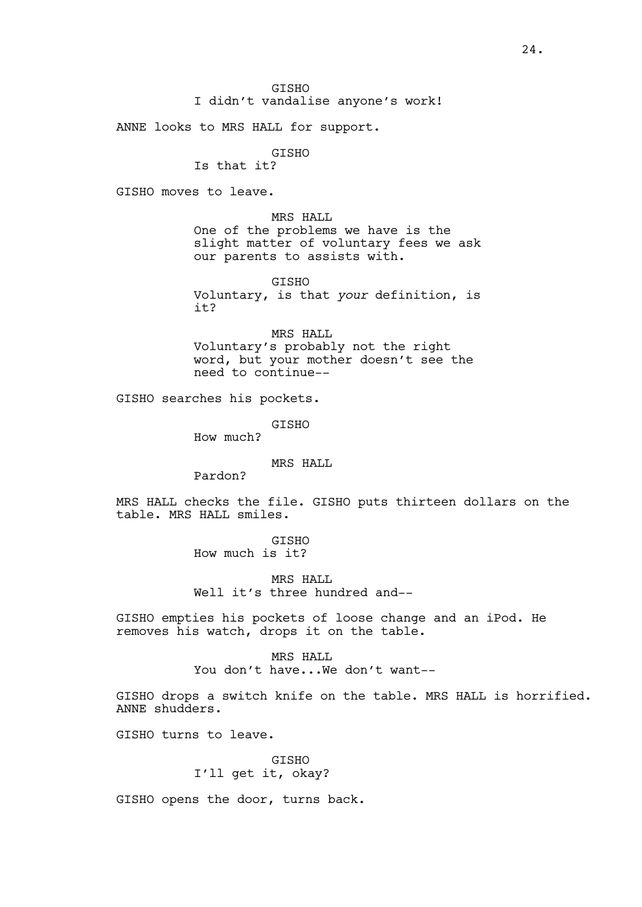ANNE looks to MRS HALL for support.

## GISHO

Is that it?

GISHO moves to leave.

MRS HALL One of the problems we have is the slight matter of voluntary fees we ask our parents to assists with.

GISHO Voluntary, is that *your* definition, is it?

MRS HALL Voluntary's probably not the right word, but your mother doesn't see the need to continue--

GISHO searches his pockets.

GISHO

How much?

MRS HALL

Pardon?

MRS HALL checks the file. GISHO puts thirteen dollars on the table. MRS HALL smiles.

> GISHO How much is it?

MRS HALL Well it's three hundred and--

GISHO empties his pockets of loose change and an iPod. He removes his watch, drops it on the table.

> MRS HALL You don't have...We don't want--

GISHO drops a switch knife on the table. MRS HALL is horrified. ANNE shudders.

GISHO turns to leave.

**GTSHO** I'll get it, okay?

GISHO opens the door, turns back.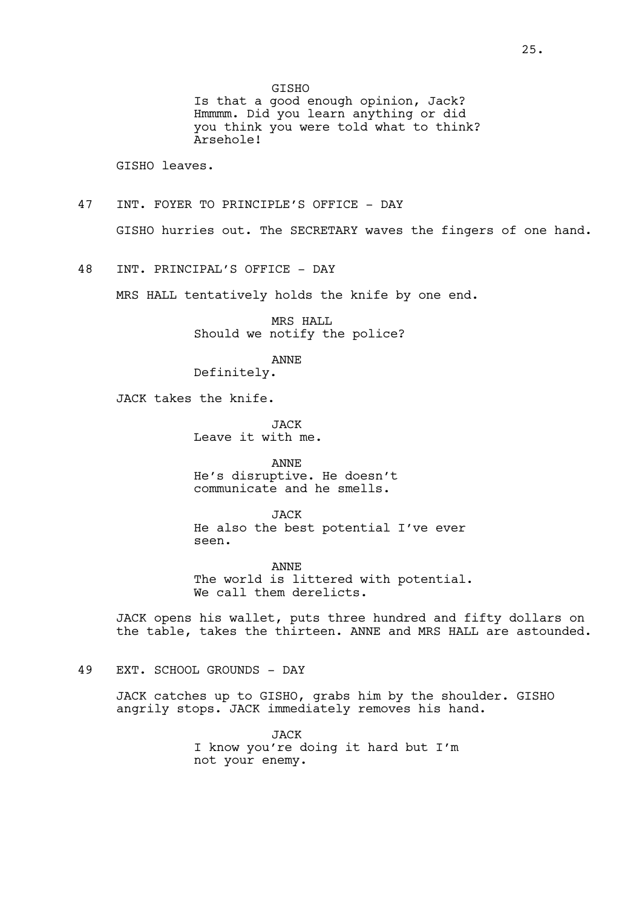GISHO

Is that a good enough opinion, Jack? Hmmmm. Did you learn anything or did you think you were told what to think? Arsehole!

GISHO leaves.

- 47 INT. FOYER TO PRINCIPLE'S OFFICE DAY GISHO hurries out. The SECRETARY waves the fingers of one hand.
- 48 INT. PRINCIPAL'S OFFICE DAY

MRS HALL tentatively holds the knife by one end.

MRS HALL Should we notify the police?

ANNE

Definitely.

JACK takes the knife.

**JACK** Leave it with me.

ANNE He's disruptive. He doesn't communicate and he smells.

**JACK** He also the best potential I've ever seen.

ANNE The world is littered with potential. We call them derelicts.

JACK opens his wallet, puts three hundred and fifty dollars on the table, takes the thirteen. ANNE and MRS HALL are astounded.

49 EXT. SCHOOL GROUNDS - DAY

JACK catches up to GISHO, grabs him by the shoulder. GISHO angrily stops. JACK immediately removes his hand.

> JACK I know you're doing it hard but I'm not your enemy.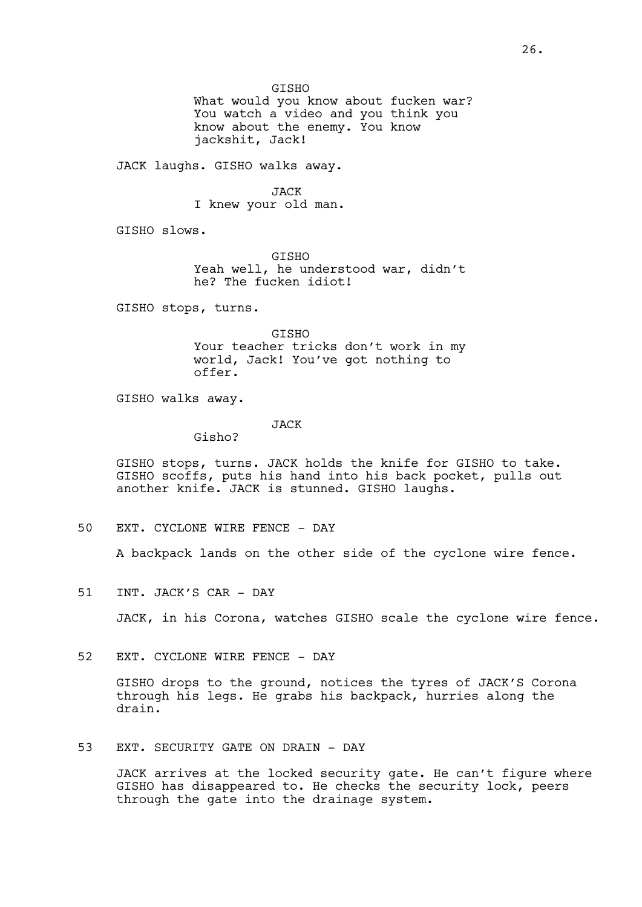GISHO What would you know about fucken war? You watch a video and you think you know about the enemy. You know jackshit, Jack!

JACK laughs. GISHO walks away.

JACK I knew your old man.

GISHO slows.

GISHO Yeah well, he understood war, didn't he? The fucken idiot!

GISHO stops, turns.

GISHO Your teacher tricks don't work in my world, Jack! You've got nothing to offer.

GISHO walks away.

# JACK

Gisho?

GISHO stops, turns. JACK holds the knife for GISHO to take. GISHO scoffs, puts his hand into his back pocket, pulls out another knife. JACK is stunned. GISHO laughs.

50 EXT. CYCLONE WIRE FENCE - DAY

A backpack lands on the other side of the cyclone wire fence.

51 INT. JACK'S CAR - DAY

JACK, in his Corona, watches GISHO scale the cyclone wire fence.

52 EXT. CYCLONE WIRE FENCE - DAY

GISHO drops to the ground, notices the tyres of JACK'S Corona through his legs. He grabs his backpack, hurries along the drain.

53 EXT. SECURITY GATE ON DRAIN - DAY

JACK arrives at the locked security gate. He can't figure where GISHO has disappeared to. He checks the security lock, peers through the gate into the drainage system.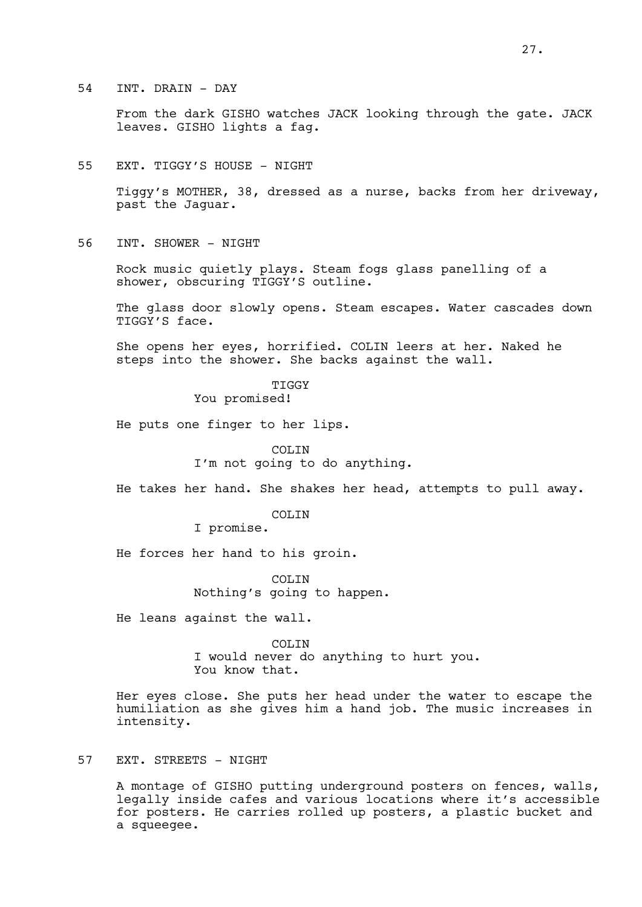From the dark GISHO watches JACK looking through the gate. JACK leaves. GISHO lights a fag.

#### 55 EXT. TIGGY'S HOUSE - NIGHT

Tiggy's MOTHER, 38, dressed as a nurse, backs from her driveway, past the Jaguar.

56 INT. SHOWER - NIGHT

Rock music quietly plays. Steam fogs glass panelling of a shower, obscuring TIGGY'S outline.

The glass door slowly opens. Steam escapes. Water cascades down TIGGY'S face.

She opens her eyes, horrified. COLIN leers at her. Naked he steps into the shower. She backs against the wall.

> **TIGGY** You promised!

He puts one finger to her lips.

COLIN I'm not going to do anything.

He takes her hand. She shakes her head, attempts to pull away.

COLTN.

I promise.

He forces her hand to his groin.

COLIN Nothing's going to happen.

He leans against the wall.

COLIN I would never do anything to hurt you. You know that.

Her eyes close. She puts her head under the water to escape the humiliation as she gives him a hand job. The music increases in intensity.

# 57 EXT. STREETS - NIGHT

A montage of GISHO putting underground posters on fences, walls, legally inside cafes and various locations where it's accessible for posters. He carries rolled up posters, a plastic bucket and a squeegee.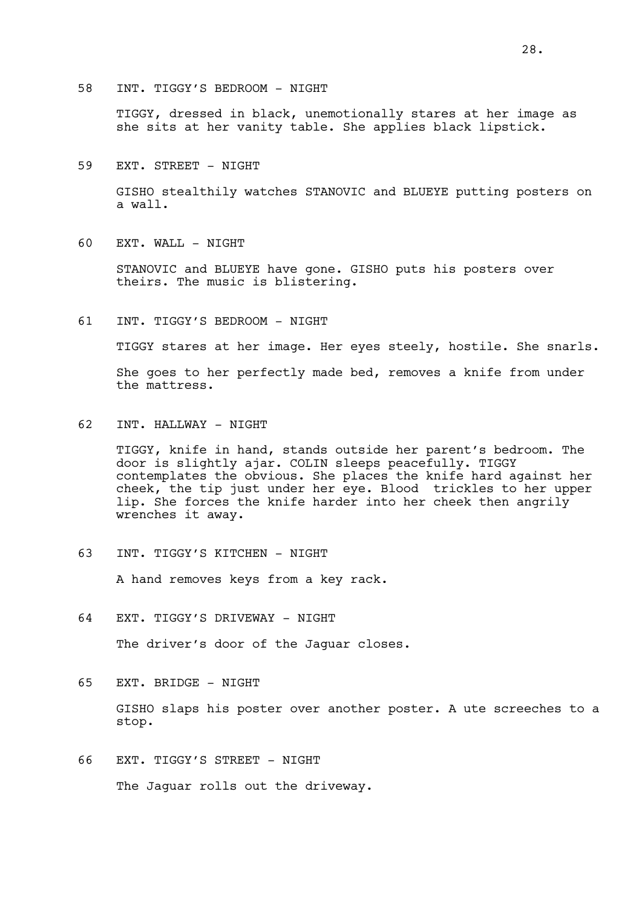58 INT. TIGGY'S BEDROOM - NIGHT

TIGGY, dressed in black, unemotionally stares at her image as she sits at her vanity table. She applies black lipstick.

59 EXT. STREET - NIGHT

GISHO stealthily watches STANOVIC and BLUEYE putting posters on a wall.

60 EXT. WALL - NIGHT

STANOVIC and BLUEYE have gone. GISHO puts his posters over theirs. The music is blistering.

61 INT. TIGGY'S BEDROOM - NIGHT

TIGGY stares at her image. Her eyes steely, hostile. She snarls.

She goes to her perfectly made bed, removes a knife from under the mattress.

62 INT. HALLWAY - NIGHT

TIGGY, knife in hand, stands outside her parent's bedroom. The door is slightly ajar. COLIN sleeps peacefully. TIGGY contemplates the obvious. She places the knife hard against her cheek, the tip just under her eye. Blood trickles to her upper lip. She forces the knife harder into her cheek then angrily wrenches it away.

63 INT. TIGGY'S KITCHEN - NIGHT

A hand removes keys from a key rack.

64 EXT. TIGGY'S DRIVEWAY - NIGHT

The driver's door of the Jaguar closes.

65 EXT. BRIDGE - NIGHT

GISHO slaps his poster over another poster. A ute screeches to a stop.

66 EXT. TIGGY'S STREET - NIGHT The Jaguar rolls out the driveway.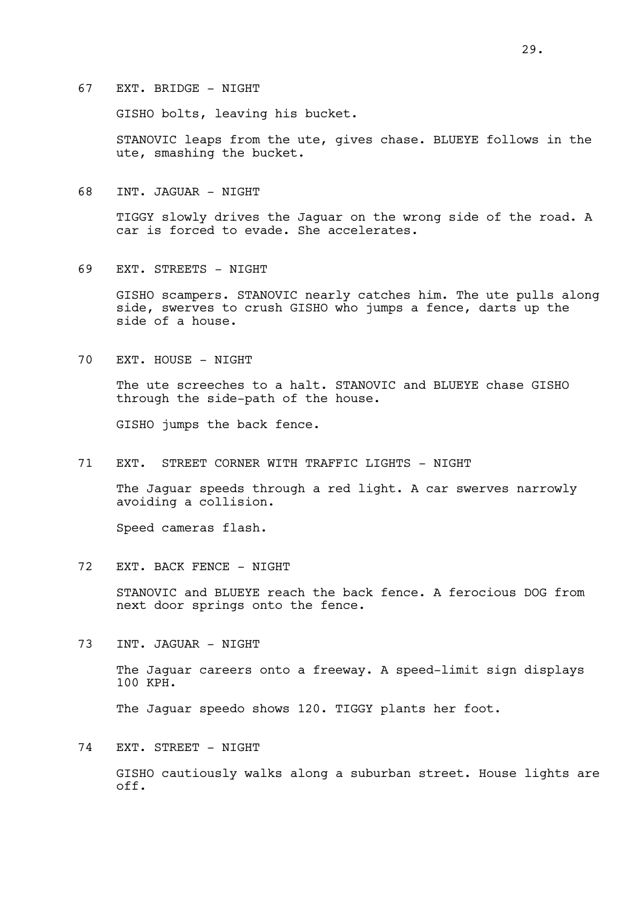67 EXT. BRIDGE - NIGHT

GISHO bolts, leaving his bucket.

STANOVIC leaps from the ute, gives chase. BLUEYE follows in the ute, smashing the bucket.

68 INT. JAGUAR - NIGHT

TIGGY slowly drives the Jaguar on the wrong side of the road. A car is forced to evade. She accelerates.

69 EXT. STREETS - NIGHT

GISHO scampers. STANOVIC nearly catches him. The ute pulls along side, swerves to crush GISHO who jumps a fence, darts up the side of a house.

70 EXT. HOUSE - NIGHT

The ute screeches to a halt. STANOVIC and BLUEYE chase GISHO through the side-path of the house.

GISHO jumps the back fence.

71 EXT. STREET CORNER WITH TRAFFIC LIGHTS - NIGHT

The Jaguar speeds through a red light. A car swerves narrowly avoiding a collision.

Speed cameras flash.

72 EXT. BACK FENCE - NIGHT

STANOVIC and BLUEYE reach the back fence. A ferocious DOG from next door springs onto the fence.

73 INT. JAGUAR - NIGHT

The Jaguar careers onto a freeway. A speed-limit sign displays 100 KPH.

The Jaguar speedo shows 120. TIGGY plants her foot.

74 EXT. STREET - NIGHT

GISHO cautiously walks along a suburban street. House lights are off.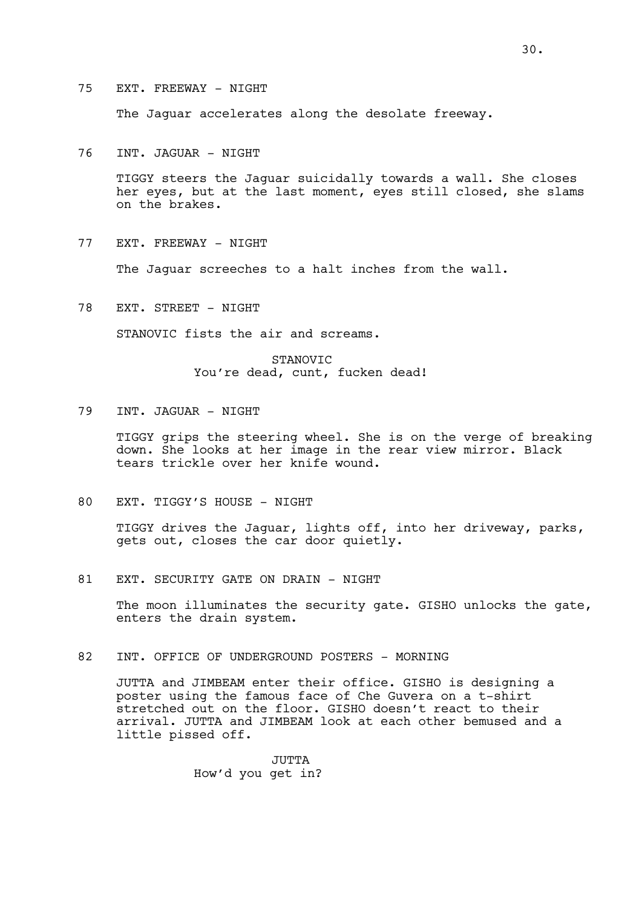The Jaguar accelerates along the desolate freeway.

76 INT. JAGUAR - NIGHT

TIGGY steers the Jaguar suicidally towards a wall. She closes her eyes, but at the last moment, eyes still closed, she slams on the brakes.

77 EXT. FREEWAY - NIGHT

The Jaguar screeches to a halt inches from the wall.

78 EXT. STREET - NIGHT

STANOVIC fists the air and screams.

STANOVIC You're dead, cunt, fucken dead!

79 INT. JAGUAR - NIGHT

TIGGY grips the steering wheel. She is on the verge of breaking down. She looks at her image in the rear view mirror. Black tears trickle over her knife wound.

80 EXT. TIGGY'S HOUSE - NIGHT

TIGGY drives the Jaguar, lights off, into her driveway, parks, gets out, closes the car door quietly.

81 EXT. SECURITY GATE ON DRAIN - NIGHT

The moon illuminates the security gate. GISHO unlocks the gate, enters the drain system.

82 INT. OFFICE OF UNDERGROUND POSTERS - MORNING

JUTTA and JIMBEAM enter their office. GISHO is designing a poster using the famous face of Che Guvera on a t-shirt stretched out on the floor. GISHO doesn't react to their arrival. JUTTA and JIMBEAM look at each other bemused and a little pissed off.

> JUTTA How'd you get in?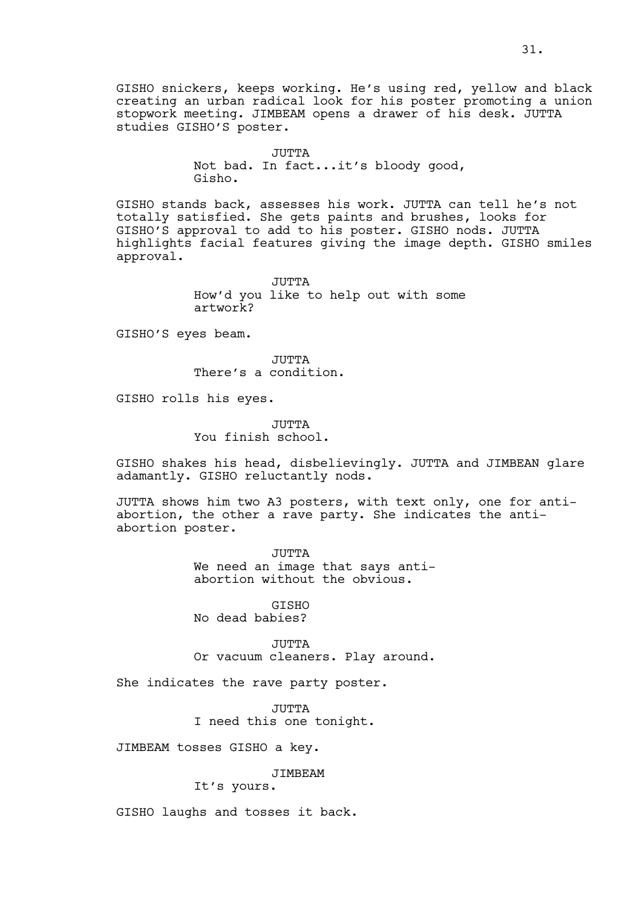GISHO snickers, keeps working. He's using red, yellow and black creating an urban radical look for his poster promoting a union stopwork meeting. JIMBEAM opens a drawer of his desk. JUTTA studies GISHO'S poster.

> JUTTA Not bad. In fact...it's bloody good, Gisho.

GISHO stands back, assesses his work. JUTTA can tell he's not totally satisfied. She gets paints and brushes, looks for GISHO'S approval to add to his poster. GISHO nods. JUTTA highlights facial features giving the image depth. GISHO smiles approval.

> JUTTA. How'd you like to help out with some artwork?

GISHO'S eyes beam.

JUTTA There's a condition.

GISHO rolls his eyes.

JUTTA You finish school.

GISHO shakes his head, disbelievingly. JUTTA and JIMBEAN glare adamantly. GISHO reluctantly nods.

JUTTA shows him two A3 posters, with text only, one for antiabortion, the other a rave party. She indicates the antiabortion poster.

> JUTTA We need an image that says antiabortion without the obvious.

GISHO No dead babies?

JUTTA Or vacuum cleaners. Play around.

She indicates the rave party poster.

JUTTA I need this one tonight.

JIMBEAM tosses GISHO a key.

JIMBEAM

It's yours.

GISHO laughs and tosses it back.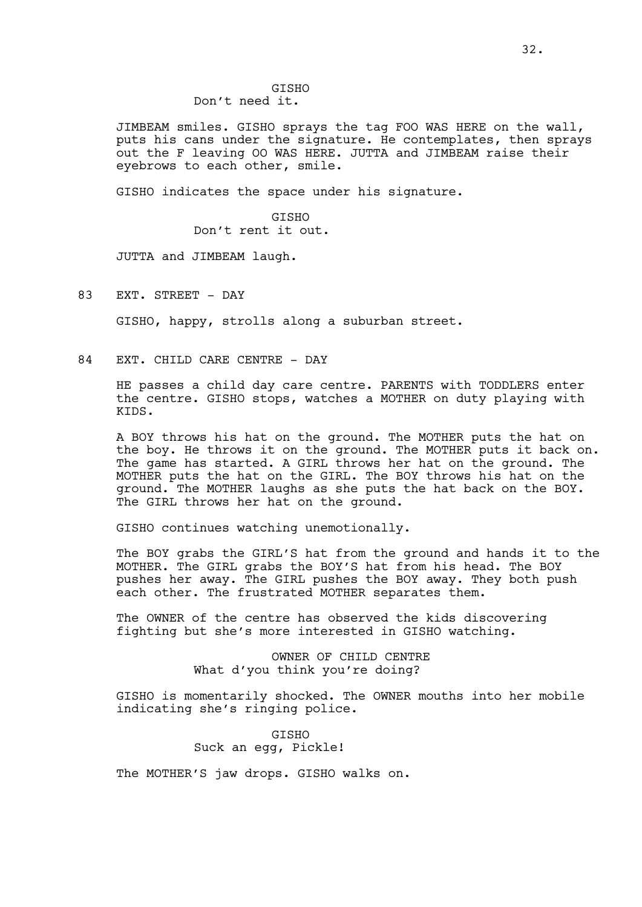#### GISHO Don't need it.

JIMBEAM smiles. GISHO sprays the tag FOO WAS HERE on the wall, puts his cans under the signature. He contemplates, then sprays out the F leaving OO WAS HERE. JUTTA and JIMBEAM raise their eyebrows to each other, smile.

GISHO indicates the space under his signature.

GISHO Don't rent it out.

JUTTA and JIMBEAM laugh.

83 EXT. STREET - DAY

GISHO, happy, strolls along a suburban street.

84 EXT. CHILD CARE CENTRE - DAY

HE passes a child day care centre. PARENTS with TODDLERS enter the centre. GISHO stops, watches a MOTHER on duty playing with KIDS.

A BOY throws his hat on the ground. The MOTHER puts the hat on the boy. He throws it on the ground. The MOTHER puts it back on. The game has started. A GIRL throws her hat on the ground. The MOTHER puts the hat on the GIRL. The BOY throws his hat on the ground. The MOTHER laughs as she puts the hat back on the BOY. The GIRL throws her hat on the ground.

GISHO continues watching unemotionally.

The BOY grabs the GIRL'S hat from the ground and hands it to the MOTHER. The GIRL grabs the BOY'S hat from his head. The BOY pushes her away. The GIRL pushes the BOY away. They both push each other. The frustrated MOTHER separates them.

The OWNER of the centre has observed the kids discovering fighting but she's more interested in GISHO watching.

> OWNER OF CHILD CENTRE What d'you think you're doing?

GISHO is momentarily shocked. The OWNER mouths into her mobile indicating she's ringing police.

> GISHO Suck an egg, Pickle!

The MOTHER'S jaw drops. GISHO walks on.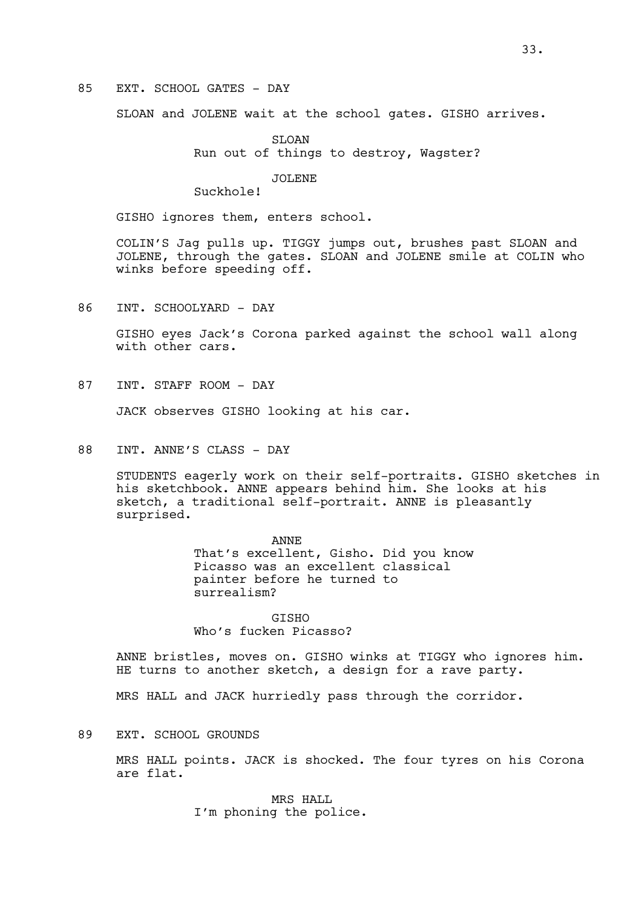### 85 EXT. SCHOOL GATES - DAY

SLOAN and JOLENE wait at the school gates. GISHO arrives.

SLOAN Run out of things to destroy, Wagster?

#### JOLENE

Suckhole!

GISHO ignores them, enters school.

COLIN'S Jag pulls up. TIGGY jumps out, brushes past SLOAN and JOLENE, through the gates. SLOAN and JOLENE smile at COLIN who winks before speeding off.

86 INT. SCHOOLYARD - DAY

GISHO eyes Jack's Corona parked against the school wall along with other cars.

87 INT. STAFF ROOM - DAY

JACK observes GISHO looking at his car.

88 INT. ANNE'S CLASS - DAY

STUDENTS eagerly work on their self-portraits. GISHO sketches in his sketchbook. ANNE appears behind him. She looks at his sketch, a traditional self-portrait. ANNE is pleasantly surprised.

> ANNE That's excellent, Gisho. Did you know Picasso was an excellent classical painter before he turned to surrealism?

GISHO Who's fucken Picasso?

ANNE bristles, moves on. GISHO winks at TIGGY who ignores him. HE turns to another sketch, a design for a rave party.

MRS HALL and JACK hurriedly pass through the corridor.

89 EXT. SCHOOL GROUNDS

MRS HALL points. JACK is shocked. The four tyres on his Corona are flat.

> MRS HALL I'm phoning the police.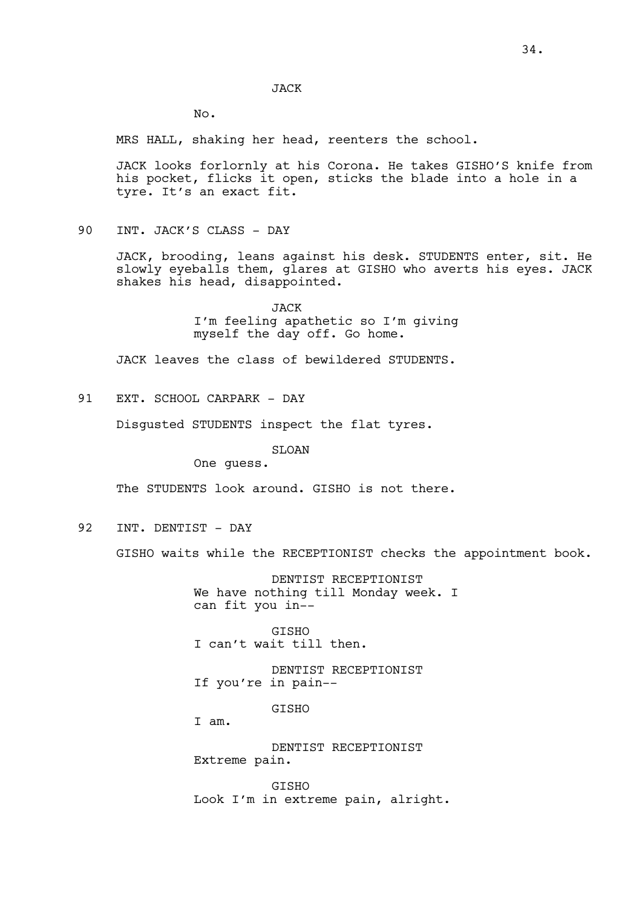JACK

No.

MRS HALL, shaking her head, reenters the school.

JACK looks forlornly at his Corona. He takes GISHO'S knife from his pocket, flicks it open, sticks the blade into a hole in a tyre. It's an exact fit.

90 INT. JACK'S CLASS - DAY

JACK, brooding, leans against his desk. STUDENTS enter, sit. He slowly eyeballs them, glares at GISHO who averts his eyes. JACK shakes his head, disappointed.

> JACK I'm feeling apathetic so I'm giving myself the day off. Go home.

JACK leaves the class of bewildered STUDENTS.

91 EXT. SCHOOL CARPARK - DAY

Disgusted STUDENTS inspect the flat tyres.

SLOAN

One guess.

The STUDENTS look around. GISHO is not there.

92 INT. DENTIST - DAY

GISHO waits while the RECEPTIONIST checks the appointment book.

DENTIST RECEPTIONIST We have nothing till Monday week. I can fit you in--

GISHO I can't wait till then.

DENTIST RECEPTIONIST If you're in pain--

**GTSHO** 

I am.

DENTIST RECEPTIONIST Extreme pain.

**GTSHO** Look I'm in extreme pain, alright.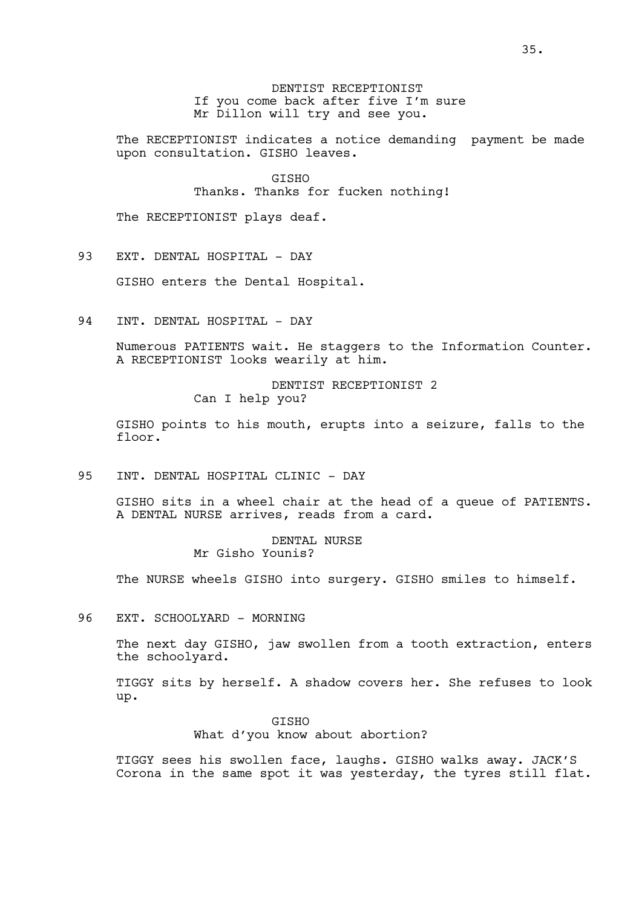# DENTIST RECEPTIONIST If you come back after five I'm sure Mr Dillon will try and see you.

The RECEPTIONIST indicates a notice demanding payment be made upon consultation. GISHO leaves.

> GISHO Thanks. Thanks for fucken nothing!

The RECEPTIONIST plays deaf.

93 EXT. DENTAL HOSPITAL - DAY

GISHO enters the Dental Hospital.

94 INT. DENTAL HOSPITAL - DAY

Numerous PATIENTS wait. He staggers to the Information Counter. A RECEPTIONIST looks wearily at him.

> DENTIST RECEPTIONIST 2 Can I help you?

GISHO points to his mouth, erupts into a seizure, falls to the floor.

95 INT. DENTAL HOSPITAL CLINIC - DAY

GISHO sits in a wheel chair at the head of a queue of PATIENTS. A DENTAL NURSE arrives, reads from a card.

> DENTAL NURSE Mr Gisho Younis?

The NURSE wheels GISHO into surgery. GISHO smiles to himself.

96 EXT. SCHOOLYARD - MORNING

The next day GISHO, jaw swollen from a tooth extraction, enters the schoolyard.

TIGGY sits by herself. A shadow covers her. She refuses to look up.

> GISHO What d'you know about abortion?

TIGGY sees his swollen face, laughs. GISHO walks away. JACK'S Corona in the same spot it was yesterday, the tyres still flat.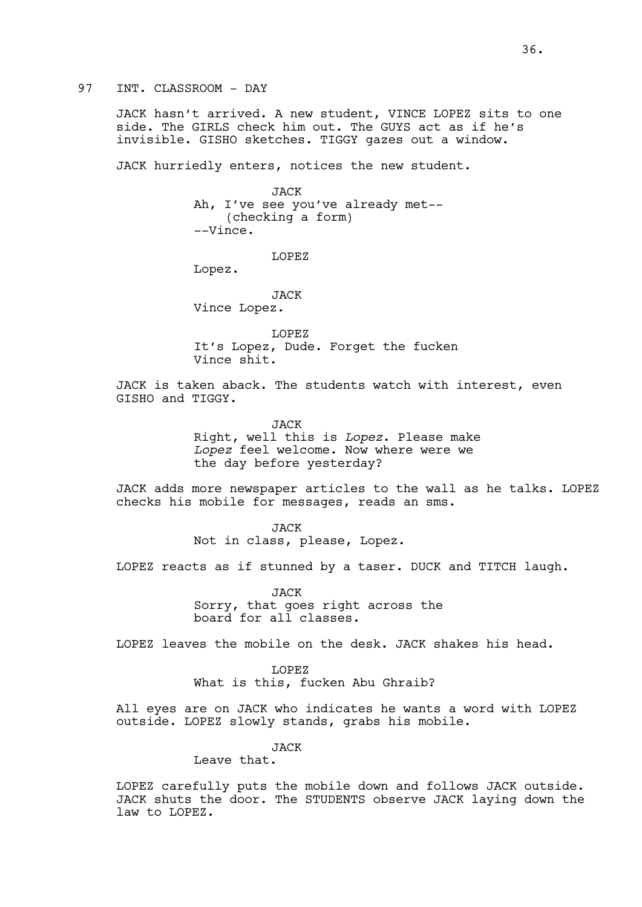97 INT. CLASSROOM - DAY

JACK hasn't arrived. A new student, VINCE LOPEZ sits to one side. The GIRLS check him out. The GUYS act as if he's invisible. GISHO sketches. TIGGY gazes out a window.

JACK hurriedly enters, notices the new student.

JACK Ah, I've see you've already met-- (checking a form) --Vince.

LOPEZ

Lopez.

JACK Vince Lopez.

LOPEZ It's Lopez, Dude. Forget the fucken Vince shit.

JACK is taken aback. The students watch with interest, even GISHO and TIGGY.

> JACK Right, well this is *Lopez*. Please make Lopez feel welcome. Now where were we the day before yesterday?

JACK adds more newspaper articles to the wall as he talks. LOPEZ checks his mobile for messages, reads an sms.

> JACK Not in class, please, Lopez.

LOPEZ reacts as if stunned by a taser. DUCK and TITCH laugh.

JACK Sorry, that goes right across the board for all classes.

LOPEZ leaves the mobile on the desk. JACK shakes his head.

LOPEZ What is this, fucken Abu Ghraib?

All eyes are on JACK who indicates he wants a word with LOPEZ outside. LOPEZ slowly stands, grabs his mobile.

JACK

Leave that.

LOPEZ carefully puts the mobile down and follows JACK outside. JACK shuts the door. The STUDENTS observe JACK laying down the law to LOPEZ.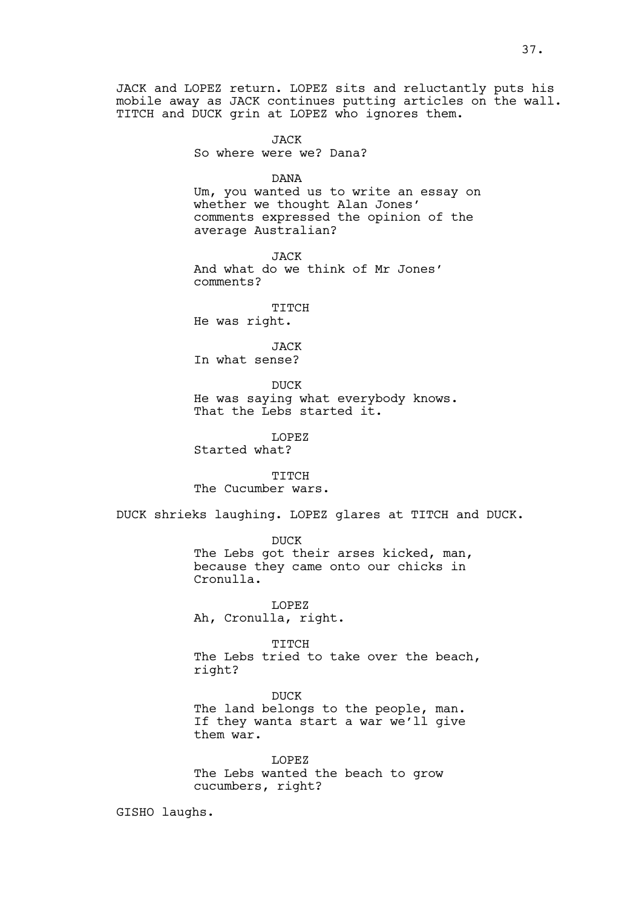JACK and LOPEZ return. LOPEZ sits and reluctantly puts his mobile away as JACK continues putting articles on the wall. TITCH and DUCK grin at LOPEZ who ignores them.

> **JACK** So where were we? Dana?

> > DANA

Um, you wanted us to write an essay on whether we thought Alan Jones' comments expressed the opinion of the average Australian?

JACK And what do we think of Mr Jones' comments?

TITCH

He was right.

JACK In what sense?

DUCK He was saying what everybody knows. That the Lebs started it.

LOPEZ

Started what?

TITCH The Cucumber wars.

DUCK shrieks laughing. LOPEZ glares at TITCH and DUCK.

DUCK The Lebs got their arses kicked, man, because they came onto our chicks in Cronulla.

LOPEZ Ah, Cronulla, right.

TITCH The Lebs tried to take over the beach, right?

DUCK The land belongs to the people, man. If they wanta start a war we'll give them war.

LOPEZ The Lebs wanted the beach to grow cucumbers, right?

GISHO laughs.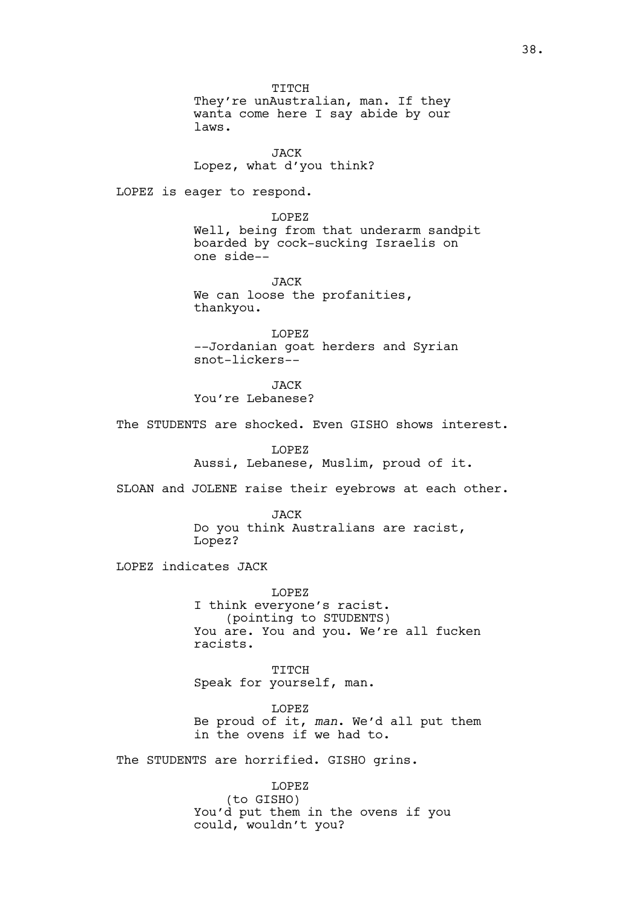TITCH They're unAustralian, man. If they wanta come here I say abide by our laws.

JACK Lopez, what d'you think?

LOPEZ is eager to respond.

LOPEZ Well, being from that underarm sandpit boarded by cock-sucking Israelis on one side--

JACK We can loose the profanities, thankyou.

LOPEZ --Jordanian goat herders and Syrian snot-lickers--

**JACK** You're Lebanese?

The STUDENTS are shocked. Even GISHO shows interest.

LOPEZ Aussi, Lebanese, Muslim, proud of it.

SLOAN and JOLENE raise their eyebrows at each other.

**JACK** Do you think Australians are racist, Lopez?

LOPEZ indicates JACK

LOPEZ I think everyone's racist. (pointing to STUDENTS) You are. You and you. We're all fucken racists.

TITCH Speak for yourself, man.

LOPEZ Be proud of it, *man*. We'd all put them in the ovens if we had to.

The STUDENTS are horrified. GISHO grins.

LOPEZ (to GISHO) You'd put them in the ovens if you could, wouldn't you?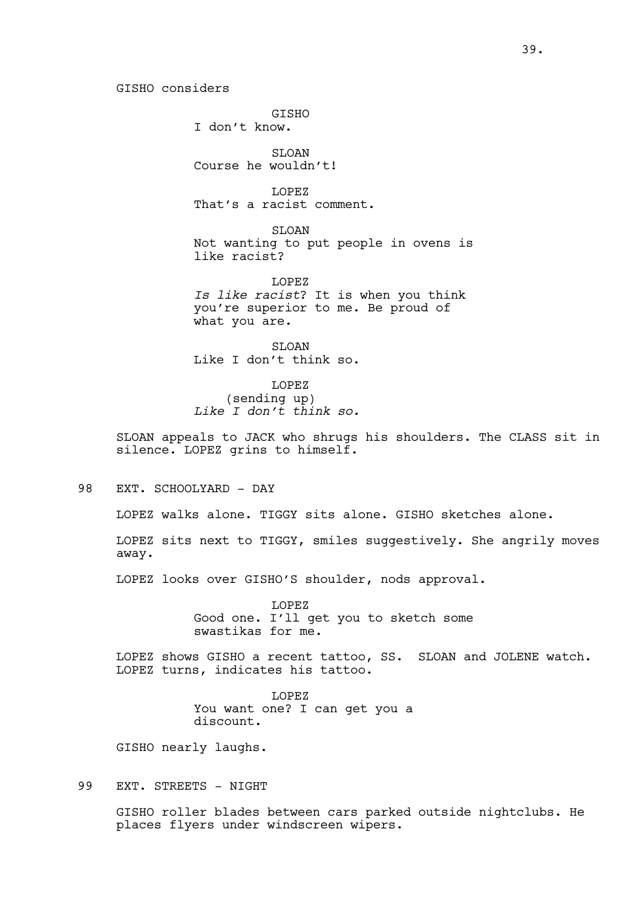GISHO considers

**GTSHO** I don't know.

SLOAN Course he wouldn't!

LOPEZ That's a racist comment.

SLOAN Not wanting to put people in ovens is like racist?

LOPEZ *Is like racist*? It is when you think you're superior to me. Be proud of what you are.

SLOAN Like I don't think so.

LOPEZ (sending up) *Like I don't think so.*

SLOAN appeals to JACK who shrugs his shoulders. The CLASS sit in silence. LOPEZ grins to himself.

98 EXT. SCHOOLYARD - DAY

LOPEZ walks alone. TIGGY sits alone. GISHO sketches alone.

LOPEZ sits next to TIGGY, smiles suggestively. She angrily moves away.

LOPEZ looks over GISHO'S shoulder, nods approval.

LOPEZ Good one. I'll get you to sketch some swastikas for me.

LOPEZ shows GISHO a recent tattoo, SS. SLOAN and JOLENE watch. LOPEZ turns, indicates his tattoo.

> LOPEZ You want one? I can get you a discount.

GISHO nearly laughs.

99 EXT. STREETS - NIGHT

GISHO roller blades between cars parked outside nightclubs. He places flyers under windscreen wipers.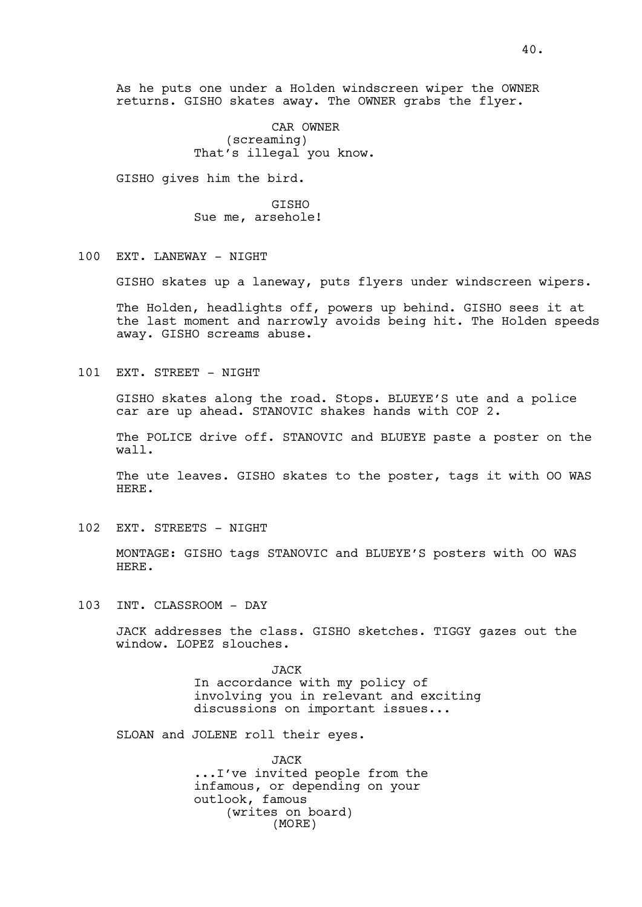As he puts one under a Holden windscreen wiper the OWNER returns. GISHO skates away. The OWNER grabs the flyer.

> CAR OWNER (screaming) That's illegal you know.

GISHO gives him the bird.

GISHO Sue me, arsehole!

## 100 EXT. LANEWAY - NIGHT

GISHO skates up a laneway, puts flyers under windscreen wipers.

The Holden, headlights off, powers up behind. GISHO sees it at the last moment and narrowly avoids being hit. The Holden speeds away. GISHO screams abuse.

101 EXT. STREET - NIGHT

GISHO skates along the road. Stops. BLUEYE'S ute and a police car are up ahead. STANOVIC shakes hands with COP 2.

The POLICE drive off. STANOVIC and BLUEYE paste a poster on the wall.

The ute leaves. GISHO skates to the poster, tags it with OO WAS HERE.

102 EXT. STREETS - NIGHT

MONTAGE: GISHO tags STANOVIC and BLUEYE'S posters with OO WAS HERE.

103 INT. CLASSROOM - DAY

JACK addresses the class. GISHO sketches. TIGGY gazes out the window. LOPEZ slouches.

> JACK In accordance with my policy of involving you in relevant and exciting discussions on important issues...

SLOAN and JOLENE roll their eyes.

JACK ...I've invited people from the infamous, or depending on your outlook, famous (writes on board) (MORE)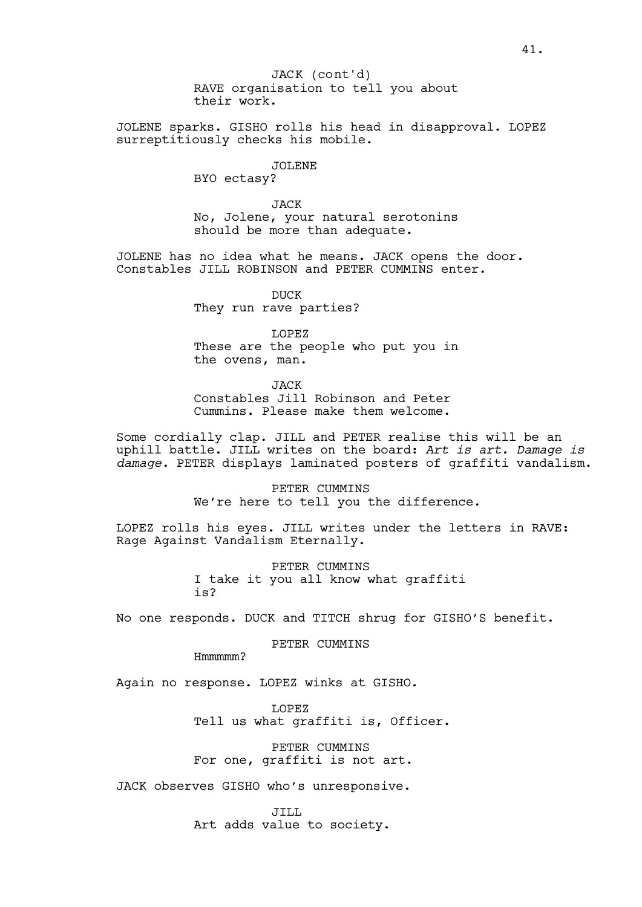JOLENE sparks. GISHO rolls his head in disapproval. LOPEZ surreptitiously checks his mobile.

JOLENE

BYO ectasy?

JACK No, Jolene, your natural serotonins should be more than adequate.

JOLENE has no idea what he means. JACK opens the door. Constables JILL ROBINSON and PETER CUMMINS enter.

> DUCK They run rave parties?

LOPEZ These are the people who put you in the ovens, man.

**JACK** Constables Jill Robinson and Peter Cummins. Please make them welcome.

Some cordially clap. JILL and PETER realise this will be an uphill battle. JILL writes on the board: *Art is art. Damage is damage.* PETER displays laminated posters of graffiti vandalism.

> PETER CUMMINS We're here to tell you the difference.

LOPEZ rolls his eyes. JILL writes under the letters in RAVE: Rage Against Vandalism Eternally.

> PETER CUMMINS I take it you all know what graffiti is?

No one responds. DUCK and TITCH shrug for GISHO'S benefit.

PETER CUMMINS

Hmmmmm?

Again no response. LOPEZ winks at GISHO.

LOPEZ Tell us what graffiti is, Officer.

PETER CUMMINS For one, graffiti is not art.

JACK observes GISHO who's unresponsive.

JILL Art adds value to society.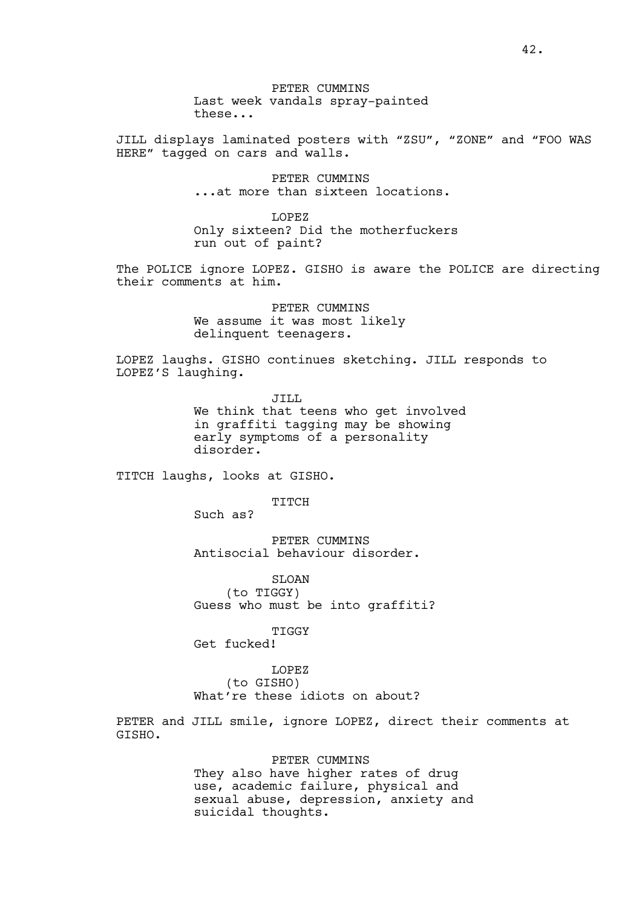JILL displays laminated posters with "ZSU", "ZONE" and "FOO WAS HERE" tagged on cars and walls.

> PETER CUMMINS ...at more than sixteen locations.

LOPEZ Only sixteen? Did the motherfuckers run out of paint?

The POLICE ignore LOPEZ. GISHO is aware the POLICE are directing their comments at him.

> PETER CUMMINS We assume it was most likely delinquent teenagers.

LOPEZ laughs. GISHO continues sketching. JILL responds to LOPEZ'S laughing.

> JILL We think that teens who get involved in graffiti tagging may be showing early symptoms of a personality disorder.

TITCH laughs, looks at GISHO.

TITCH

Such as?

PETER CUMMINS Antisocial behaviour disorder.

SLOAN (to TIGGY) Guess who must be into graffiti?

TIGGY

Get fucked!

LOPEZ (to GISHO) What're these idiots on about?

PETER and JILL smile, ignore LOPEZ, direct their comments at GISHO.

> PETER CUMMINS They also have higher rates of drug use, academic failure, physical and sexual abuse, depression, anxiety and suicidal thoughts.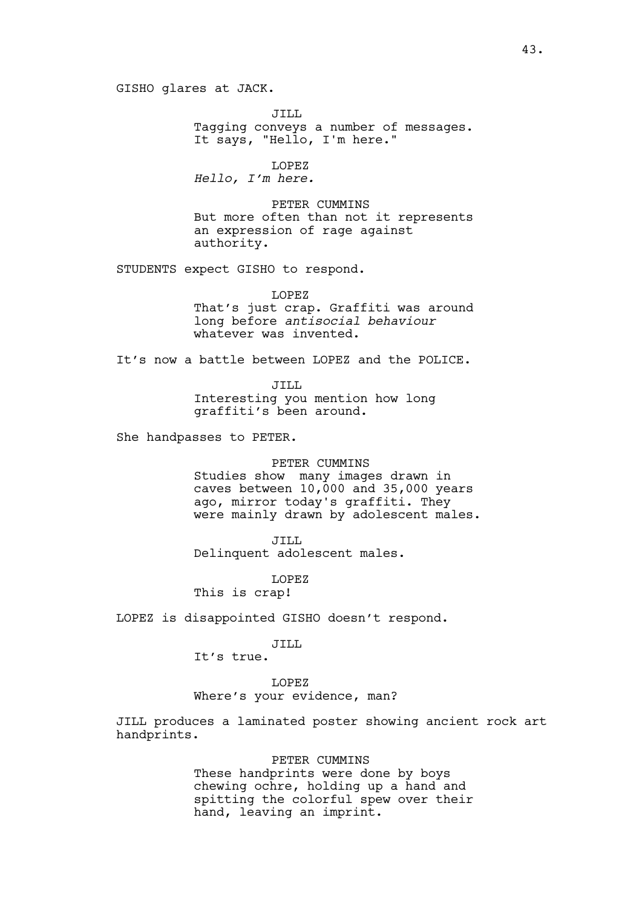GISHO glares at JACK.

JILL Tagging conveys a number of messages. It says, "Hello, I'm here."

LOPEZ *Hello, I'm here.*

PETER CUMMINS But more often than not it represents an expression of rage against authority.

STUDENTS expect GISHO to respond.

LOPEZ That's just crap. Graffiti was around long before *antisocial behaviour* whatever was invented.

It's now a battle between LOPEZ and the POLICE.

JILL Interesting you mention how long graffiti's been around.

She handpasses to PETER.

#### PETER CUMMINS

Studies show many images drawn in caves between  $10,000$  and  $35,000$  years ago, mirror today's graffiti. They were mainly drawn by adolescent males.

JILL

Delinquent adolescent males.

LOPEZ

This is crap!

LOPEZ is disappointed GISHO doesn't respond.

# JILL

It's true.

#### LOPEZ

Where's your evidence, man?

JILL produces a laminated poster showing ancient rock art handprints.

## PETER CUMMINS

These handprints were done by boys chewing ochre, holding up a hand and spitting the colorful spew over their hand, leaving an imprint.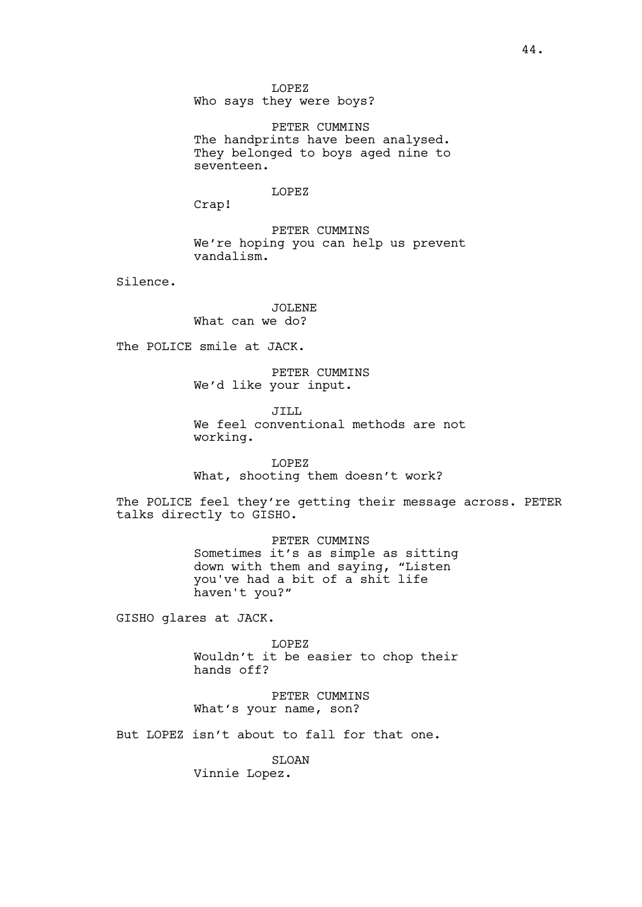LOPEZ Who says they were boys?

PETER CUMMINS The handprints have been analysed. They belonged to boys aged nine to seventeen.

LOPEZ

Crap!

PETER CUMMINS We're hoping you can help us prevent vandalism.

Silence.

JOLENE What can we do?

The POLICE smile at JACK.

PETER CUMMINS We'd like your input.

JILL. We feel conventional methods are not working.

LOPEZ What, shooting them doesn't work?

The POLICE feel they're getting their message across. PETER talks directly to GISHO.

> PETER CUMMINS Sometimes it's as simple as sitting down with them and saying, "Listen you've had a bit of a shit life haven't you?"

GISHO glares at JACK.

LOPEZ Wouldn't it be easier to chop their hands off?

PETER CUMMINS What's your name, son?

But LOPEZ isn't about to fall for that one.

**SLOAN** Vinnie Lopez.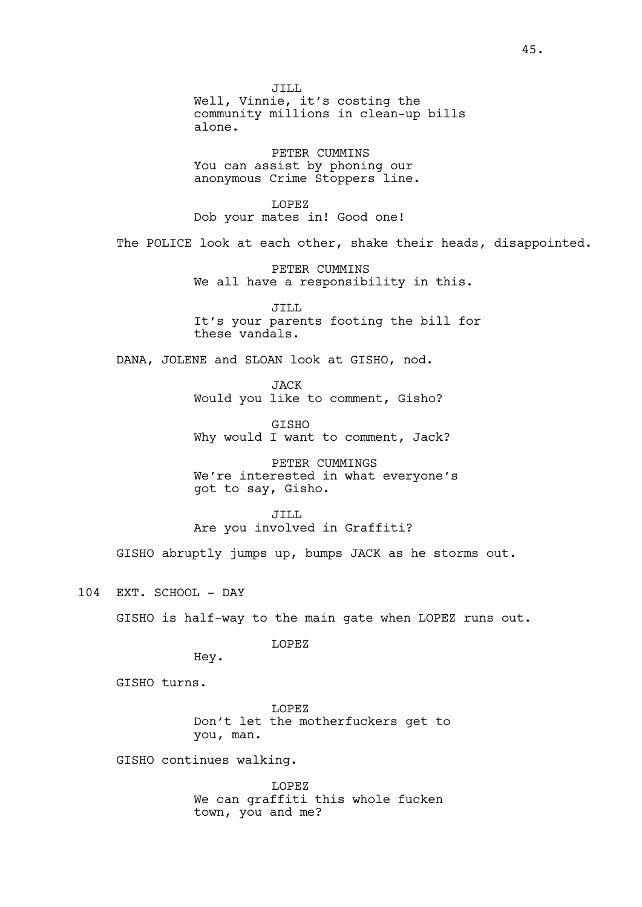JILL Well, Vinnie, it's costing the community millions in clean-up bills alone. PETER CUMMINS You can assist by phoning our anonymous Crime Stoppers line. LOPEZ Dob your mates in! Good one! The POLICE look at each other, shake their heads, disappointed. PETER CUMMINS We all have a responsibility in this. JILL It's your parents footing the bill for these vandals. DANA, JOLENE and SLOAN look at GISHO, nod. JACK Would you like to comment, Gisho? GISHO Why would I want to comment, Jack? PETER CUMMINGS We're interested in what everyone's got to say, Gisho. JILL. Are you involved in Graffiti? GISHO abruptly jumps up, bumps JACK as he storms out. 104 EXT. SCHOOL - DAY GISHO is half-way to the main gate when LOPEZ runs out. LOPEZ Hey. GISHO turns. LOPEZ Don't let the motherfuckers get to you, man. GISHO continues walking. LOPEZ

We can graffiti this whole fucken town, you and me?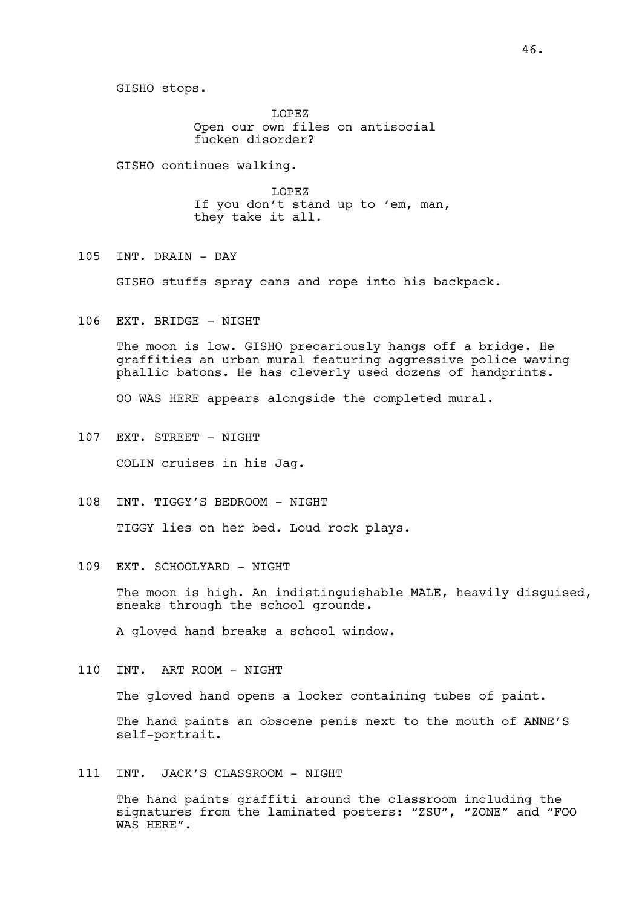LOPEZ Open our own files on antisocial fucken disorder?

GISHO continues walking.

LOPEZ If you don't stand up to 'em, man, they take it all.

105 INT. DRAIN - DAY

GISHO stuffs spray cans and rope into his backpack.

106 EXT. BRIDGE - NIGHT

The moon is low. GISHO precariously hangs off a bridge. He graffities an urban mural featuring aggressive police waving phallic batons. He has cleverly used dozens of handprints.

OO WAS HERE appears alongside the completed mural.

107 EXT. STREET - NIGHT

COLIN cruises in his Jag.

108 INT. TIGGY'S BEDROOM - NIGHT

TIGGY lies on her bed. Loud rock plays.

109 EXT. SCHOOLYARD - NIGHT

The moon is high. An indistinguishable MALE, heavily disguised, sneaks through the school grounds.

A gloved hand breaks a school window.

110 INT. ART ROOM - NIGHT

The gloved hand opens a locker containing tubes of paint.

The hand paints an obscene penis next to the mouth of ANNE'S self-portrait.

111 INT. JACK'S CLASSROOM - NIGHT

The hand paints graffiti around the classroom including the signatures from the laminated posters: "ZSU", "ZONE" and "FOO WAS HERE".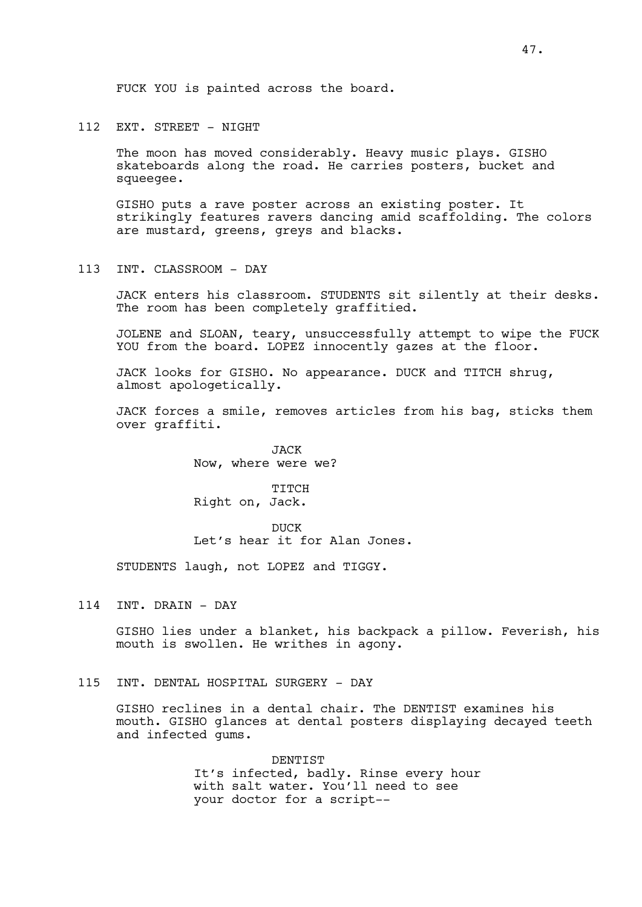#### 112 EXT. STREET - NIGHT

The moon has moved considerably. Heavy music plays. GISHO skateboards along the road. He carries posters, bucket and squeegee.

GISHO puts a rave poster across an existing poster. It strikingly features ravers dancing amid scaffolding. The colors are mustard, greens, greys and blacks.

113 INT. CLASSROOM - DAY

JACK enters his classroom. STUDENTS sit silently at their desks. The room has been completely graffitied.

JOLENE and SLOAN, teary, unsuccessfully attempt to wipe the FUCK YOU from the board. LOPEZ innocently gazes at the floor.

JACK looks for GISHO. No appearance. DUCK and TITCH shrug, almost apologetically.

JACK forces a smile, removes articles from his bag, sticks them over graffiti.

> JACK Now, where were we?

TITCH Right on, Jack.

DICK Let's hear it for Alan Jones.

STUDENTS laugh, not LOPEZ and TIGGY.

114 INT. DRAIN - DAY

GISHO lies under a blanket, his backpack a pillow. Feverish, his mouth is swollen. He writhes in agony.

115 INT. DENTAL HOSPITAL SURGERY - DAY

GISHO reclines in a dental chair. The DENTIST examines his mouth. GISHO glances at dental posters displaying decayed teeth and infected gums.

> DENTIST It's infected, badly. Rinse every hour with salt water. You'll need to see your doctor for a script--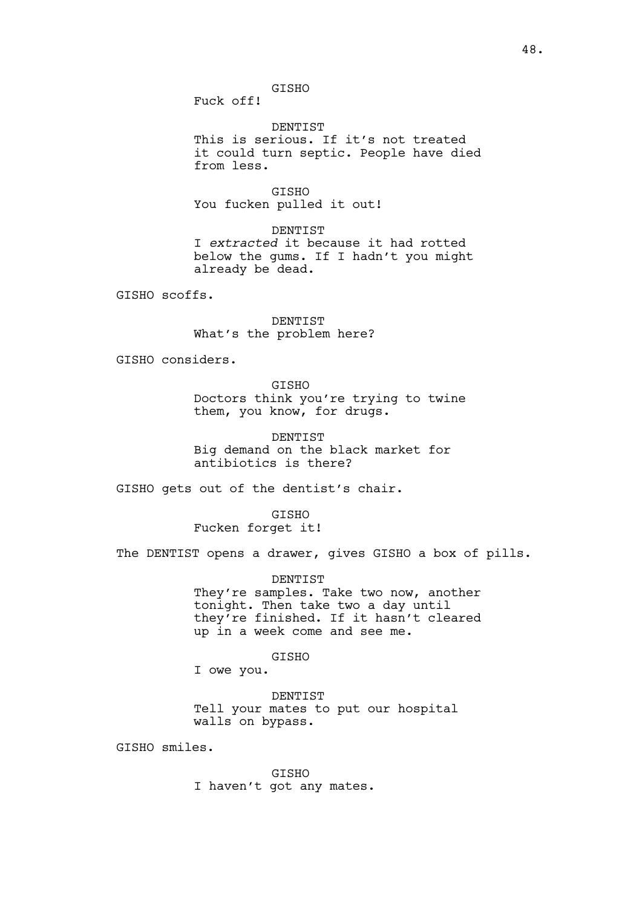GISHO

Fuck off!

DENTIST This is serious. If it's not treated it could turn septic. People have died from less.

GISHO You fucken pulled it out!

DENTIST I *extracted* it because it had rotted below the gums. If I hadn't you might already be dead.

GISHO scoffs.

DENTIST What's the problem here?

GISHO considers.

GISHO Doctors think you're trying to twine them, you know, for drugs.

DENTIST Big demand on the black market for antibiotics is there?

GISHO gets out of the dentist's chair.

**GTSHO** Fucken forget it!

The DENTIST opens a drawer, gives GISHO a box of pills.

DENTIST They're samples. Take two now, another tonight. Then take two a day until they're finished. If it hasn't cleared up in a week come and see me.

GISHO

I owe you.

DENTIST Tell your mates to put our hospital walls on bypass.

GISHO smiles.

GISHO I haven't got any mates.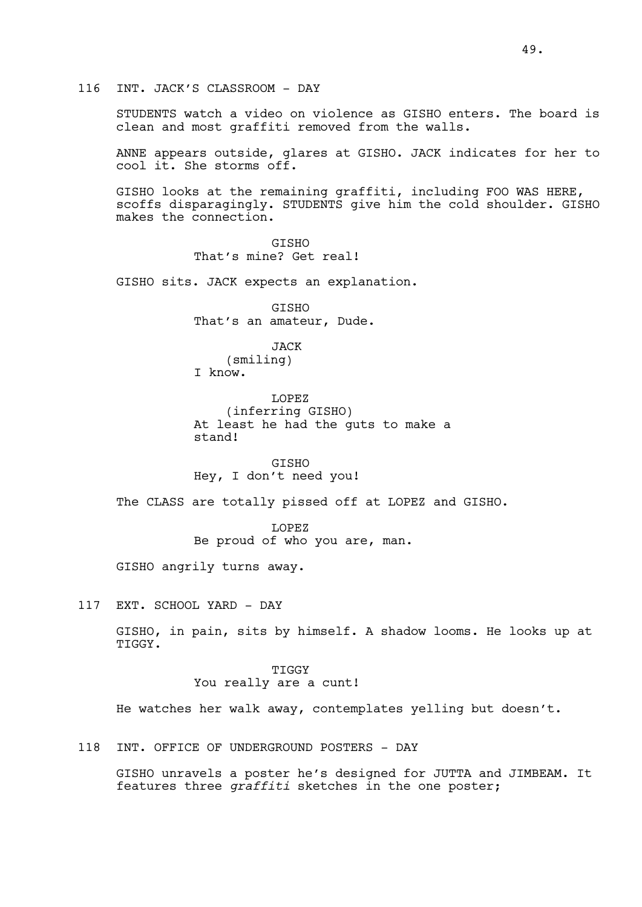# 116 INT. JACK'S CLASSROOM - DAY

STUDENTS watch a video on violence as GISHO enters. The board is clean and most graffiti removed from the walls.

ANNE appears outside, glares at GISHO. JACK indicates for her to cool it. She storms off.

GISHO looks at the remaining graffiti, including FOO WAS HERE, scoffs disparagingly. STUDENTS give him the cold shoulder. GISHO makes the connection.

> GISHO That's mine? Get real!

GISHO sits. JACK expects an explanation.

GISHO That's an amateur, Dude.

JACK (smiling) I know.

LOPEZ (inferring GISHO) At least he had the guts to make a stand!

GISHO Hey, I don't need you!

The CLASS are totally pissed off at LOPEZ and GISHO.

LOPEZ Be proud of who you are, man.

GISHO angrily turns away.

117 EXT. SCHOOL YARD - DAY

GISHO, in pain, sits by himself. A shadow looms. He looks up at TIGGY.

> TIGGY You really are a cunt!

He watches her walk away, contemplates yelling but doesn't.

118 INT. OFFICE OF UNDERGROUND POSTERS - DAY

GISHO unravels a poster he's designed for JUTTA and JIMBEAM. It features three *graffiti* sketches in the one poster;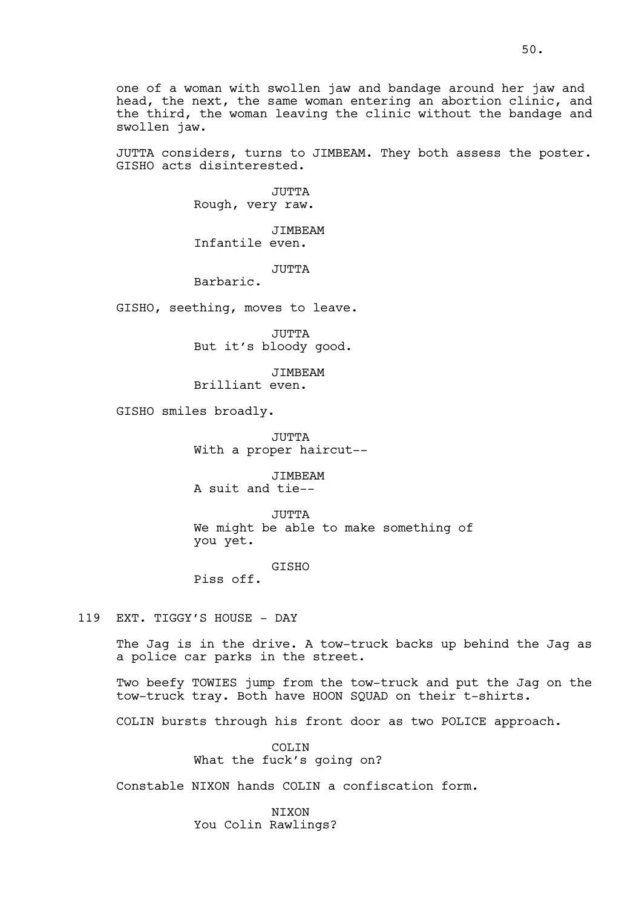one of a woman with swollen jaw and bandage around her jaw and head, the next, the same woman entering an abortion clinic, and the third, the woman leaving the clinic without the bandage and swollen jaw.

JUTTA considers, turns to JIMBEAM. They both assess the poster. GISHO acts disinterested.

> JUTTA Rough, very raw.

JIMBEAM Infantile even.

JUTTA

Barbaric.

GISHO, seething, moves to leave.

JUTTA But it's bloody good.

JIMBEAM

Brilliant even.

GISHO smiles broadly.

JUTTA With a proper haircut--

JIMBEAM A suit and tie--

JUTTA We might be able to make something of you yet.

GISHO

Piss off.

## 119 EXT. TIGGY'S HOUSE - DAY

The Jag is in the drive. A tow-truck backs up behind the Jag as a police car parks in the street.

Two beefy TOWIES jump from the tow-truck and put the Jag on the tow-truck tray. Both have HOON SQUAD on their t-shirts.

COLIN bursts through his front door as two POLICE approach.

COLIN What the fuck's going on?

Constable NIXON hands COLIN a confiscation form.

**NTXON** You Colin Rawlings?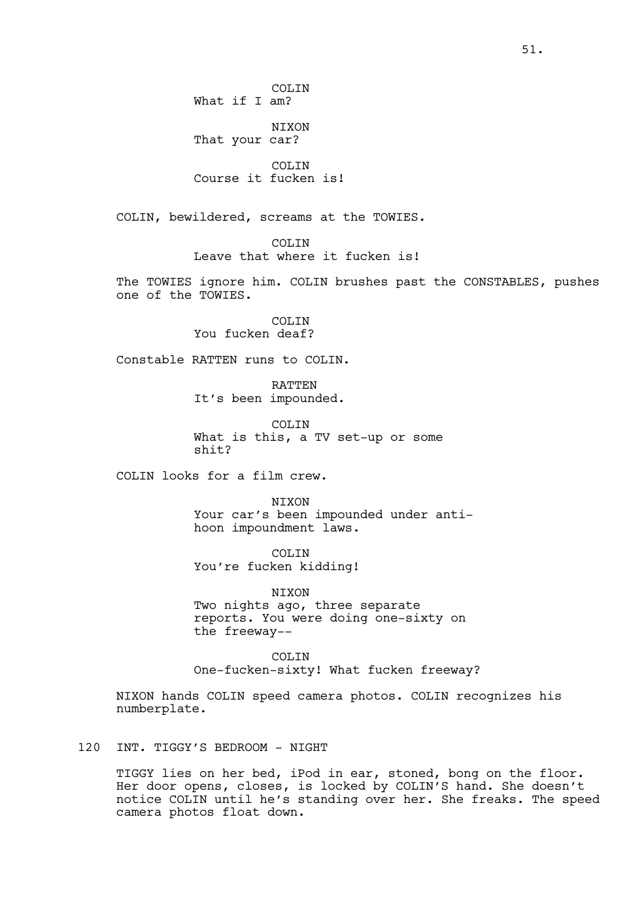COLIN What if I am? NIXON That your car? COLIN Course it fucken is! COLIN, bewildered, screams at the TOWIES. COLIN Leave that where it fucken is! The TOWIES ignore him. COLIN brushes past the CONSTABLES, pushes one of the TOWIES. COLIN You fucken deaf? Constable RATTEN runs to COLIN. RATTEN It's been impounded. COLIN What is this, a TV set-up or some shit? COLIN looks for a film crew. NIXON Your car's been impounded under antihoon impoundment laws. COLIN You're fucken kidding! NIXON

Two nights ago, three separate reports. You were doing one-sixty on the freeway--

COLIN One-fucken-sixty! What fucken freeway?

NIXON hands COLIN speed camera photos. COLIN recognizes his numberplate.

120 INT. TIGGY'S BEDROOM - NIGHT

TIGGY lies on her bed, iPod in ear, stoned, bong on the floor. Her door opens, closes, is locked by COLIN'S hand. She doesn't notice COLIN until he's standing over her. She freaks. The speed camera photos float down.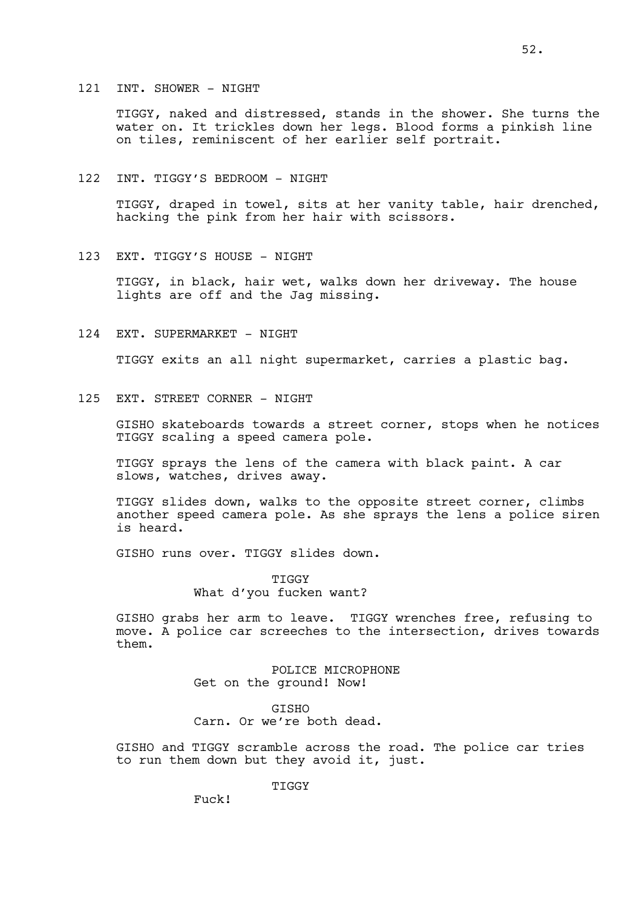#### 121 INT. SHOWER - NIGHT

TIGGY, naked and distressed, stands in the shower. She turns the water on. It trickles down her legs. Blood forms a pinkish line on tiles, reminiscent of her earlier self portrait.

122 INT. TIGGY'S BEDROOM - NIGHT

TIGGY, draped in towel, sits at her vanity table, hair drenched, hacking the pink from her hair with scissors.

123 EXT. TIGGY'S HOUSE - NIGHT

TIGGY, in black, hair wet, walks down her driveway. The house lights are off and the Jag missing.

124 EXT. SUPERMARKET - NIGHT

TIGGY exits an all night supermarket, carries a plastic bag.

125 EXT. STREET CORNER - NIGHT

GISHO skateboards towards a street corner, stops when he notices TIGGY scaling a speed camera pole.

TIGGY sprays the lens of the camera with black paint. A car slows, watches, drives away.

TIGGY slides down, walks to the opposite street corner, climbs another speed camera pole. As she sprays the lens a police siren is heard.

GISHO runs over. TIGGY slides down.

TIGGY What d'you fucken want?

GISHO grabs her arm to leave. TIGGY wrenches free, refusing to move. A police car screeches to the intersection, drives towards them.

> POLICE MICROPHONE Get on the ground! Now!

GISHO Carn. Or we're both dead.

GISHO and TIGGY scramble across the road. The police car tries to run them down but they avoid it, just.

**TIGGY** 

Fuck!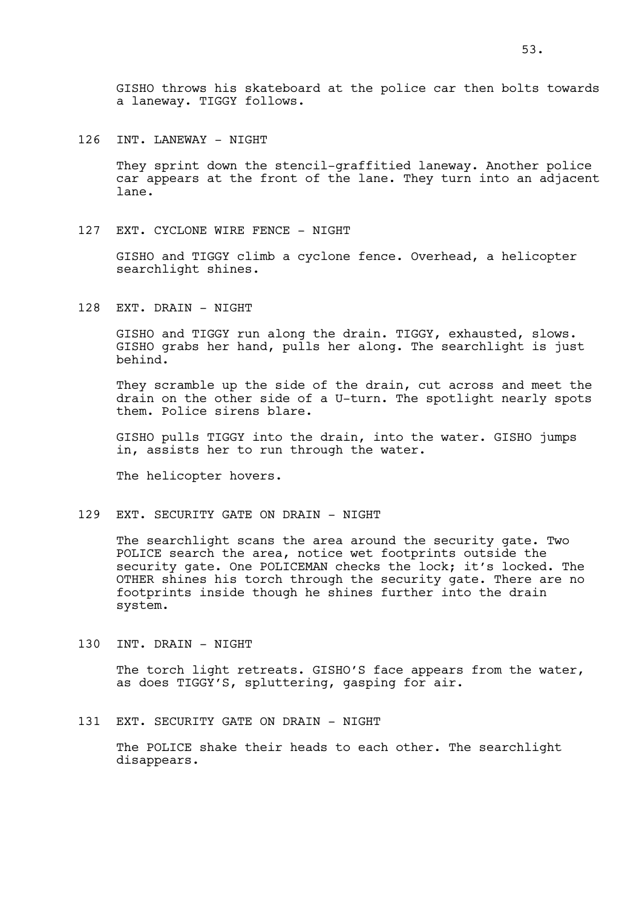126 INT. LANEWAY - NIGHT

They sprint down the stencil-graffitied laneway. Another police car appears at the front of the lane. They turn into an adjacent lane.

127 EXT. CYCLONE WIRE FENCE - NIGHT

GISHO and TIGGY climb a cyclone fence. Overhead, a helicopter searchlight shines.

128 EXT. DRAIN - NIGHT

GISHO and TIGGY run along the drain. TIGGY, exhausted, slows. GISHO grabs her hand, pulls her along. The searchlight is just behind.

They scramble up the side of the drain, cut across and meet the drain on the other side of a U-turn. The spotlight nearly spots them. Police sirens blare.

GISHO pulls TIGGY into the drain, into the water. GISHO jumps in, assists her to run through the water.

The helicopter hovers.

129 EXT. SECURITY GATE ON DRAIN - NIGHT

The searchlight scans the area around the security gate. Two POLICE search the area, notice wet footprints outside the security gate. One POLICEMAN checks the lock; it's locked. The OTHER shines his torch through the security gate. There are no footprints inside though he shines further into the drain system.

130 INT. DRAIN - NIGHT

The torch light retreats. GISHO'S face appears from the water, as does TIGGY'S, spluttering, gasping for air.

131 EXT. SECURITY GATE ON DRAIN - NIGHT

The POLICE shake their heads to each other. The searchlight disappears.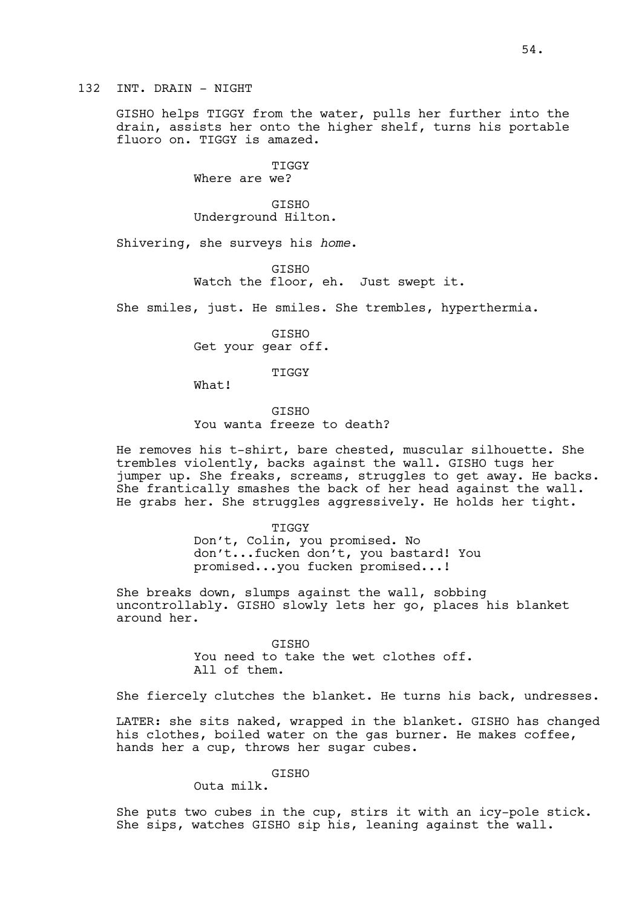132 INT. DRAIN - NIGHT

GISHO helps TIGGY from the water, pulls her further into the drain, assists her onto the higher shelf, turns his portable fluoro on. TIGGY is amazed.

> TIGGY Where are we?

GISHO Underground Hilton.

Shivering, she surveys his *home*.

**GTSHO** Watch the floor, eh. Just swept it.

She smiles, just. He smiles. She trembles, hyperthermia.

GISHO Get your gear off.

TIGGY

What!

**GTSHO** You wanta freeze to death?

He removes his t-shirt, bare chested, muscular silhouette. She trembles violently, backs against the wall. GISHO tugs her jumper up. She freaks, screams, struggles to get away. He backs. She frantically smashes the back of her head against the wall. He grabs her. She struggles aggressively. He holds her tight.

TIGGY

Don't, Colin, you promised. No don't...fucken don't, you bastard! You promised...you fucken promised...!

She breaks down, slumps against the wall, sobbing uncontrollably. GISHO slowly lets her go, places his blanket around her.

> GISHO You need to take the wet clothes off. All of them.

She fiercely clutches the blanket. He turns his back, undresses.

LATER: she sits naked, wrapped in the blanket. GISHO has changed his clothes, boiled water on the gas burner. He makes coffee, hands her a cup, throws her sugar cubes.

GISHO

Outa milk.

She puts two cubes in the cup, stirs it with an icy-pole stick. She sips, watches GISHO sip his, leaning against the wall.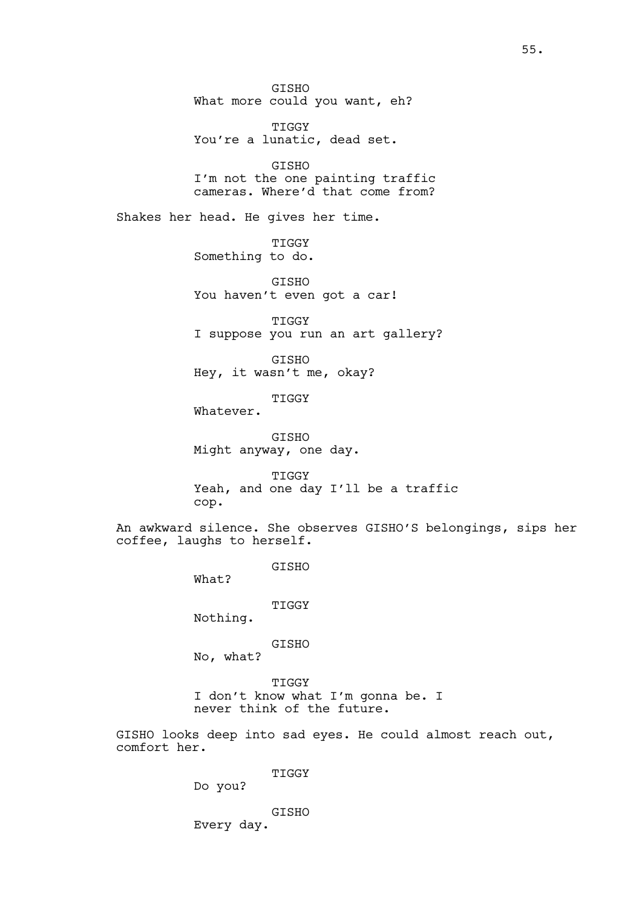GISHO What more could you want, eh?

TIGGY You're a lunatic, dead set.

GISHO I'm not the one painting traffic cameras. Where'd that come from?

Shakes her head. He gives her time.

TIGGY Something to do.

GISHO You haven't even got a car!

TIGGY I suppose you run an art gallery?

GISHO Hey, it wasn't me, okay?

TIGGY

Whatever.

GISHO Might anyway, one day.

TIGGY Yeah, and one day I'll be a traffic cop.

An awkward silence. She observes GISHO'S belongings, sips her coffee, laughs to herself.

GISHO

What?

TIGGY

Nothing.

GISHO

No, what?

TIGGY I don't know what I'm gonna be. I never think of the future.

GISHO looks deep into sad eyes. He could almost reach out, comfort her.

TIGGY

Do you?

GISHO Every day.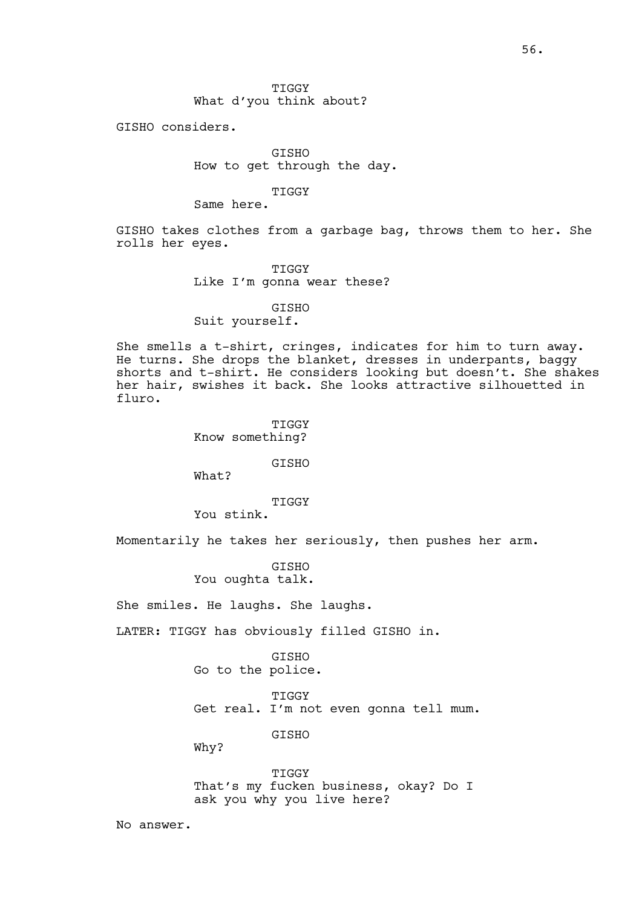TIGGY What d'you think about?

GISHO considers.

GISHO How to get through the day.

## TIGGY

Same here.

GISHO takes clothes from a garbage bag, throws them to her. She rolls her eyes.

> TIGGY Like I'm gonna wear these?

GISHO Suit yourself.

She smells a t-shirt, cringes, indicates for him to turn away. He turns. She drops the blanket, dresses in underpants, baggy shorts and t-shirt. He considers looking but doesn't. She shakes her hair, swishes it back. She looks attractive silhouetted in fluro.

> TIGGY Know something?

> > GISHO

What?

TIGGY

You stink.

Momentarily he takes her seriously, then pushes her arm.

GISHO You oughta talk.

She smiles. He laughs. She laughs.

LATER: TIGGY has obviously filled GISHO in.

GISHO Go to the police.

TIGGY

Get real. I'm not even gonna tell mum.

GISHO

Why?

TIGGY That's my fucken business, okay? Do I ask you why you live here?

No answer.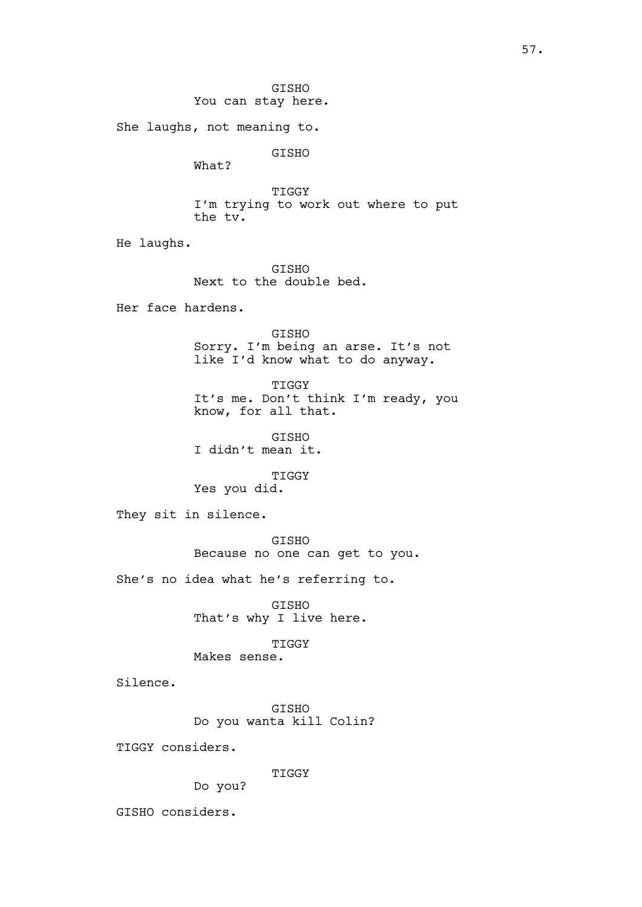GISHO You can stay here. She laughs, not meaning to. GISHO What? TIGGY I'm trying to work out where to put the tv. He laughs. GISHO Next to the double bed. Her face hardens. GISHO Sorry. I'm being an arse. It's not like I'd know what to do anyway. TIGGY It's me. Don't think I'm ready, you know, for all that. GISHO I didn't mean it. TIGGY Yes you did. They sit in silence. GISHO Because no one can get to you. She's no idea what he's referring to. GISHO That's why I live here. TIGGY Makes sense. Silence. GISHO Do you wanta kill Colin? TIGGY considers. TIGGY Do you? GISHO considers.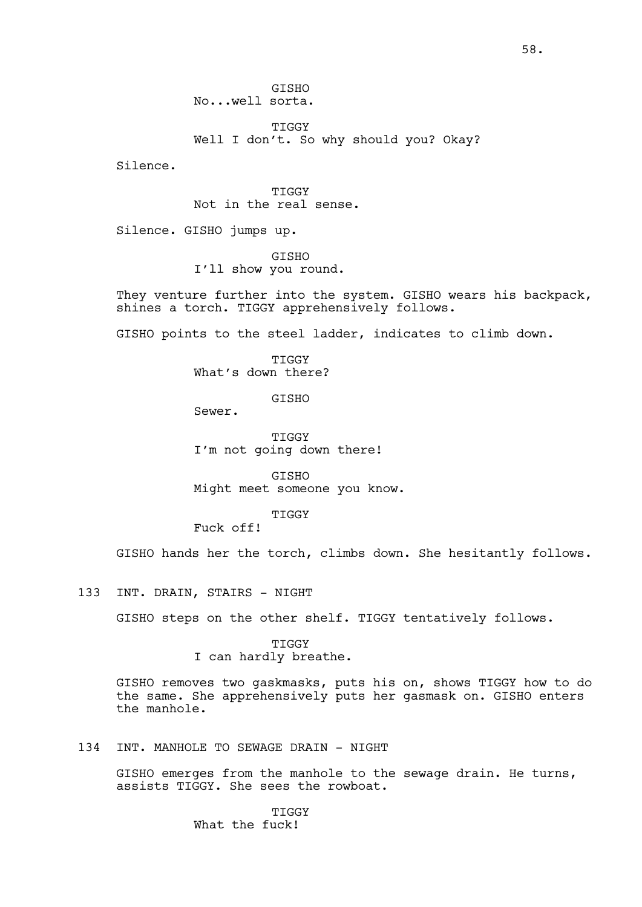GISHO No...well sorta.

**TIGGY** Well I don't. So why should you? Okay?

Silence.

TIGGY Not in the real sense.

Silence. GISHO jumps up.

GISHO I'll show you round.

They venture further into the system. GISHO wears his backpack, shines a torch. TIGGY apprehensively follows.

GISHO points to the steel ladder, indicates to climb down.

TIGGY What's down there?

GISHO

Sewer.

TIGGY I'm not going down there!

GISHO Might meet someone you know.

**TIGGY** 

Fuck off!

GISHO hands her the torch, climbs down. She hesitantly follows.

133 INT. DRAIN, STAIRS - NIGHT

GISHO steps on the other shelf. TIGGY tentatively follows.

TIGGY I can hardly breathe.

GISHO removes two gaskmasks, puts his on, shows TIGGY how to do the same. She apprehensively puts her gasmask on. GISHO enters the manhole.

## 134 INT. MANHOLE TO SEWAGE DRAIN - NIGHT

GISHO emerges from the manhole to the sewage drain. He turns, assists TIGGY. She sees the rowboat.

> **TIGGY** What the fuck!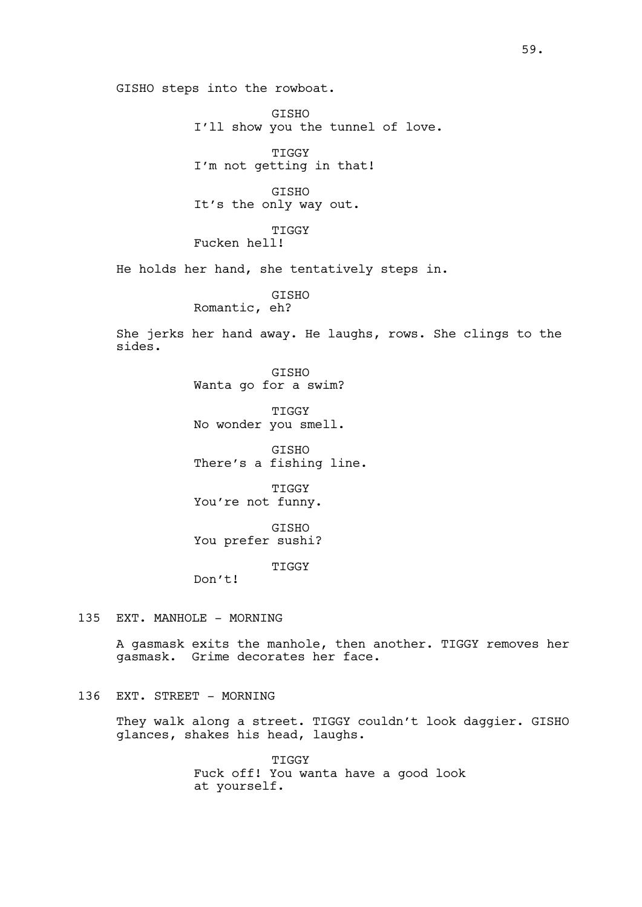GISHO steps into the rowboat. GISHO I'll show you the tunnel of love. TIGGY I'm not getting in that! GISHO It's the only way out. TIGGY Fucken hell! He holds her hand, she tentatively steps in. GISHO Romantic, eh? She jerks her hand away. He laughs, rows. She clings to the sides. GISHO Wanta go for a swim? TIGGY No wonder you smell. GISHO There's a fishing line. TIGGY You're not funny. GISHO You prefer sushi? TIGGY Don't! 135 EXT. MANHOLE - MORNING A gasmask exits the manhole, then another. TIGGY removes her gasmask. Grime decorates her face.

#### 136 EXT. STREET - MORNING

They walk along a street. TIGGY couldn't look daggier. GISHO glances, shakes his head, laughs.

> TIGGY Fuck off! You wanta have a good look at yourself.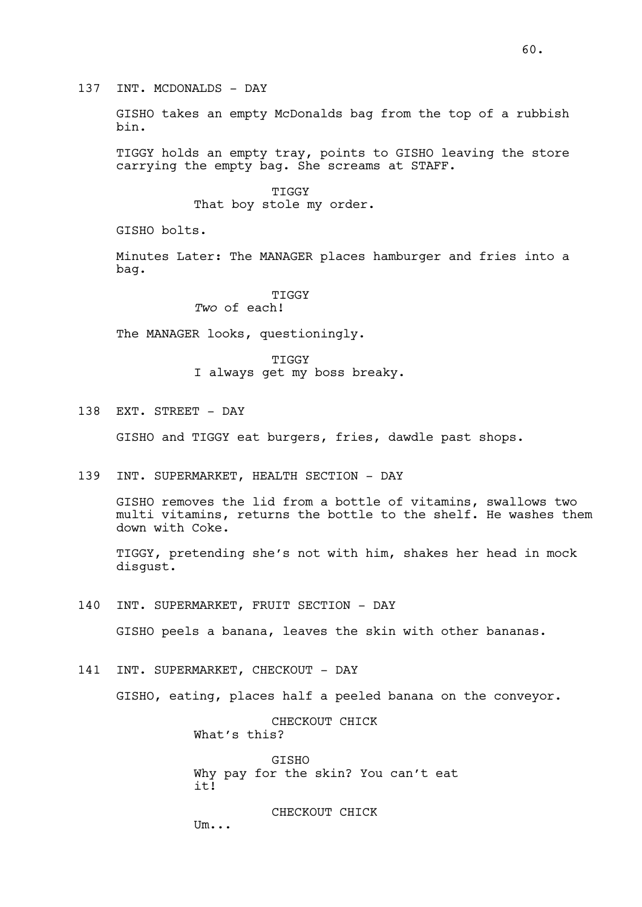137 INT. MCDONALDS - DAY

GISHO takes an empty McDonalds bag from the top of a rubbish bin.

TIGGY holds an empty tray, points to GISHO leaving the store carrying the empty bag. She screams at STAFF.

> TIGGY That boy stole my order.

GISHO bolts.

Minutes Later: The MANAGER places hamburger and fries into a bag.

### TIGGY *Two* of each!

The MANAGER looks, questioningly.

TIGGY I always get my boss breaky.

138 EXT. STREET - DAY

GISHO and TIGGY eat burgers, fries, dawdle past shops.

139 INT. SUPERMARKET, HEALTH SECTION - DAY

GISHO removes the lid from a bottle of vitamins, swallows two multi vitamins, returns the bottle to the shelf. He washes them down with Coke.

TIGGY, pretending she's not with him, shakes her head in mock disgust.

140 INT. SUPERMARKET, FRUIT SECTION - DAY

GISHO peels a banana, leaves the skin with other bananas.

141 INT. SUPERMARKET, CHECKOUT - DAY

GISHO, eating, places half a peeled banana on the conveyor.

CHECKOUT CHICK What's this?

**GTSHO** Why pay for the skin? You can't eat  $i + 1$ 

CHECKOUT CHICK Um...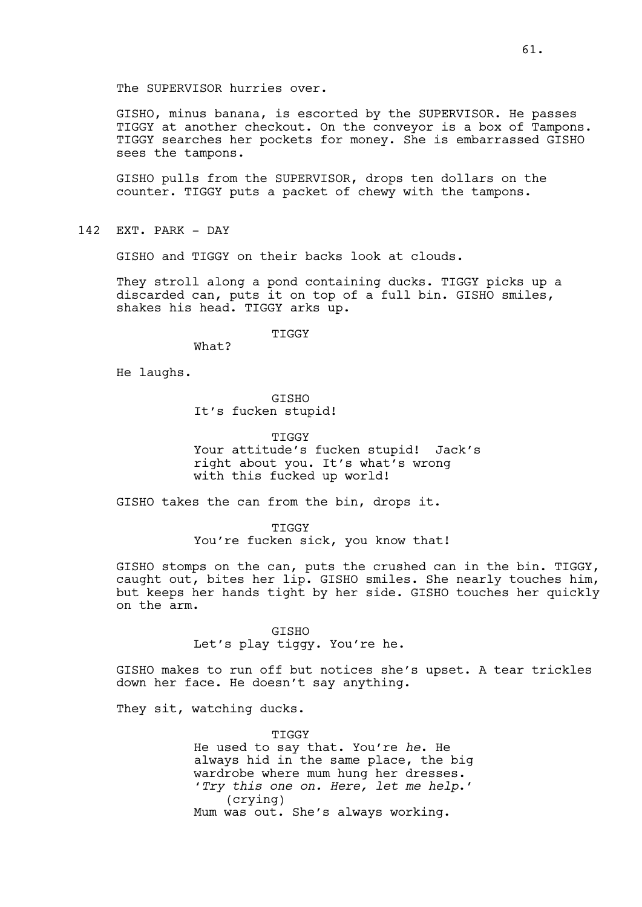The SUPERVISOR hurries over.

GISHO, minus banana, is escorted by the SUPERVISOR. He passes TIGGY at another checkout. On the conveyor is a box of Tampons. TIGGY searches her pockets for money. She is embarrassed GISHO sees the tampons.

GISHO pulls from the SUPERVISOR, drops ten dollars on the counter. TIGGY puts a packet of chewy with the tampons.

142 EXT. PARK - DAY

GISHO and TIGGY on their backs look at clouds.

They stroll along a pond containing ducks. TIGGY picks up a discarded can, puts it on top of a full bin. GISHO smiles, shakes his head. TIGGY arks up.

TIGGY

What?

He laughs.

GISHO It's fucken stupid!

TIGGY Your attitude's fucken stupid! Jack's right about you. It's what's wrong with this fucked up world!

GISHO takes the can from the bin, drops it.

TIGGY You're fucken sick, you know that!

GISHO stomps on the can, puts the crushed can in the bin. TIGGY, caught out, bites her lip. GISHO smiles. She nearly touches him, but keeps her hands tight by her side. GISHO touches her quickly on the arm.

> GISHO Let's play tiggy. You're he.

GISHO makes to run off but notices she's upset. A tear trickles down her face. He doesn't say anything.

They sit, watching ducks.

TIGGY He used to say that. You're *he*. He always hid in the same place, the big wardrobe where mum hung her dresses. '*Try this one on. Here, let me help*.' (crying) Mum was out. She's always working.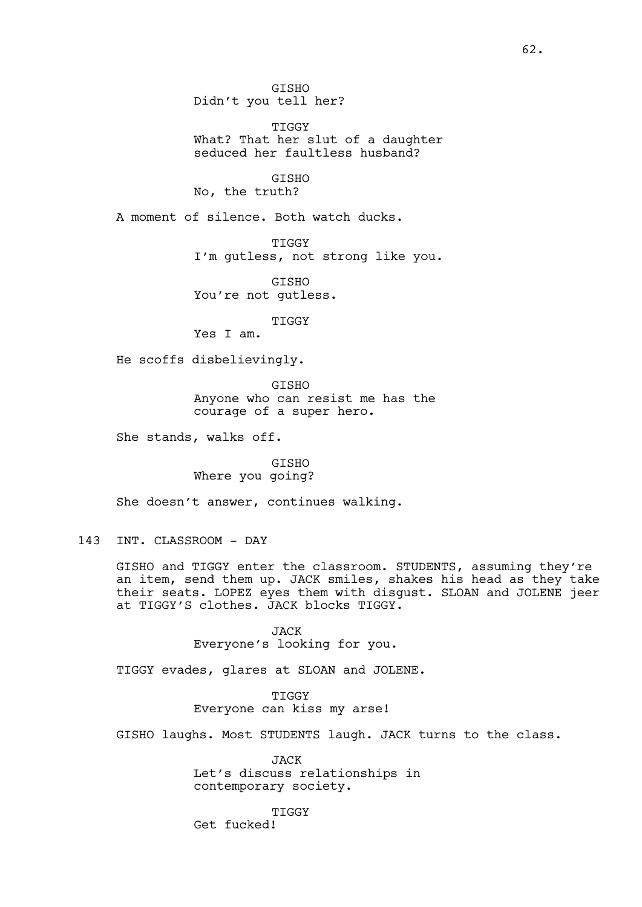GISHO Didn't you tell her?

TIGGY What? That her slut of a daughter seduced her faultless husband?

GISHO No, the truth?

A moment of silence. Both watch ducks.

TIGGY

I'm gutless, not strong like you.

GISHO You're not gutless.

TIGGY

Yes I am.

He scoffs disbelievingly.

GISHO Anyone who can resist me has the courage of a super hero.

She stands, walks off.

GISHO Where you going?

She doesn't answer, continues walking.

## 143 INT. CLASSROOM - DAY

GISHO and TIGGY enter the classroom. STUDENTS, assuming they're an item, send them up. JACK smiles, shakes his head as they take their seats. LOPEZ eyes them with disgust. SLOAN and JOLENE jeer at TIGGY'S clothes. JACK blocks TIGGY.

> JACK Everyone's looking for you.

TIGGY evades, glares at SLOAN and JOLENE.

TIGGY Everyone can kiss my arse!

GISHO laughs. Most STUDENTS laugh. JACK turns to the class.

JACK Let's discuss relationships in contemporary society.

**TIGGY** Get fucked!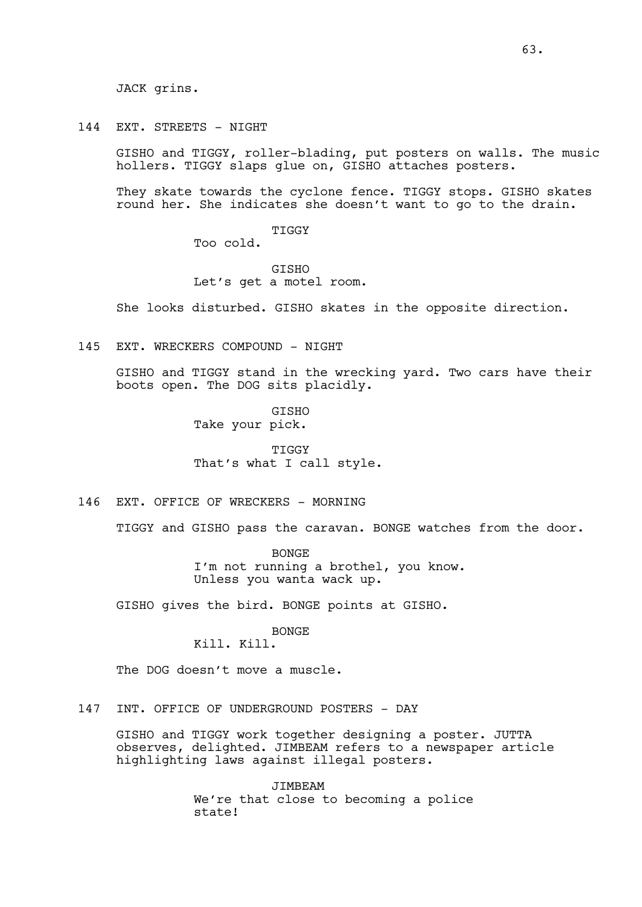JACK grins.

144 EXT. STREETS - NIGHT

GISHO and TIGGY, roller-blading, put posters on walls. The music hollers. TIGGY slaps glue on, GISHO attaches posters.

They skate towards the cyclone fence. TIGGY stops. GISHO skates round her. She indicates she doesn't want to go to the drain.

> TIGGY Too cold.

**GTSHO** Let's get a motel room.

She looks disturbed. GISHO skates in the opposite direction.

145 EXT. WRECKERS COMPOUND - NIGHT

GISHO and TIGGY stand in the wrecking yard. Two cars have their boots open. The DOG sits placidly.

> GISHO Take your pick.

TIGGY That's what I call style.

146 EXT. OFFICE OF WRECKERS - MORNING

TIGGY and GISHO pass the caravan. BONGE watches from the door.

BONGE I'm not running a brothel, you know. Unless you wanta wack up.

GISHO gives the bird. BONGE points at GISHO.

BONGE

# Kill. Kill.

The DOG doesn't move a muscle.

147 INT. OFFICE OF UNDERGROUND POSTERS - DAY

GISHO and TIGGY work together designing a poster. JUTTA observes, delighted. JIMBEAM refers to a newspaper article highlighting laws against illegal posters.

> **JIMBEAM** We're that close to becoming a police state!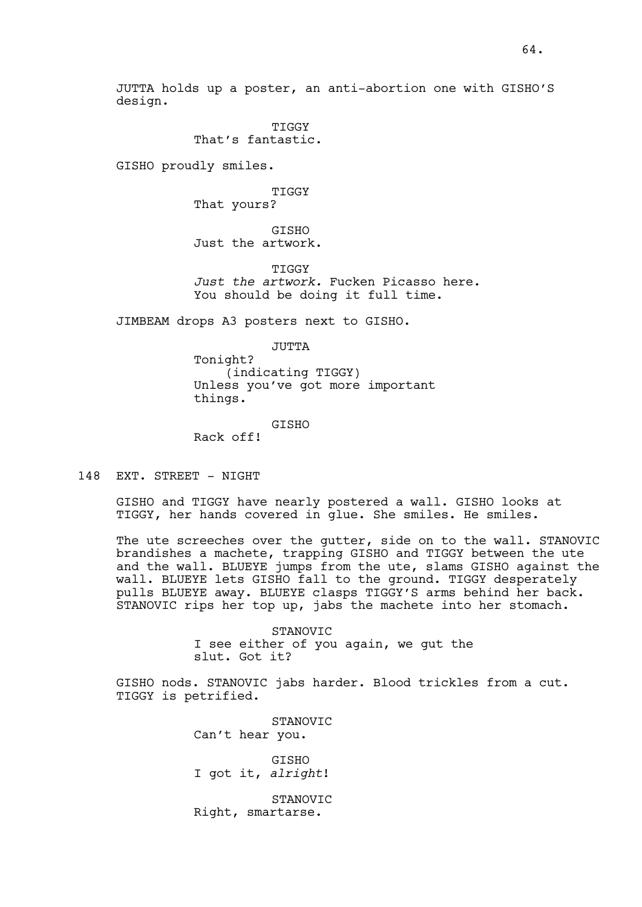JUTTA holds up a poster, an anti-abortion one with GISHO'S design.

> **TIGGY** That's fantastic.

GISHO proudly smiles.

TIGGY That yours?

GISHO Just the artwork.

**TIGGY** *Just the artwork.* Fucken Picasso here. You should be doing it full time.

JIMBEAM drops A3 posters next to GISHO.

JUTTA Tonight? (indicating TIGGY) Unless you've got more important things.

GISHO

Rack off!

148 EXT. STREET - NIGHT

GISHO and TIGGY have nearly postered a wall. GISHO looks at TIGGY, her hands covered in glue. She smiles. He smiles.

The ute screeches over the qutter, side on to the wall. STANOVIC brandishes a machete, trapping GISHO and TIGGY between the ute and the wall. BLUEYE jumps from the ute, slams GISHO against the wall. BLUEYE lets GISHO fall to the ground. TIGGY desperately pulls BLUEYE away. BLUEYE clasps TIGGY'S arms behind her back. STANOVIC rips her top up, jabs the machete into her stomach.

> STANOVIC I see either of you again, we gut the slut. Got it?

GISHO nods. STANOVIC jabs harder. Blood trickles from a cut. TIGGY is petrified.

> STANOVIC Can't hear you. **GTSHO** I got it, *alright*! STANOVIC Right, smartarse.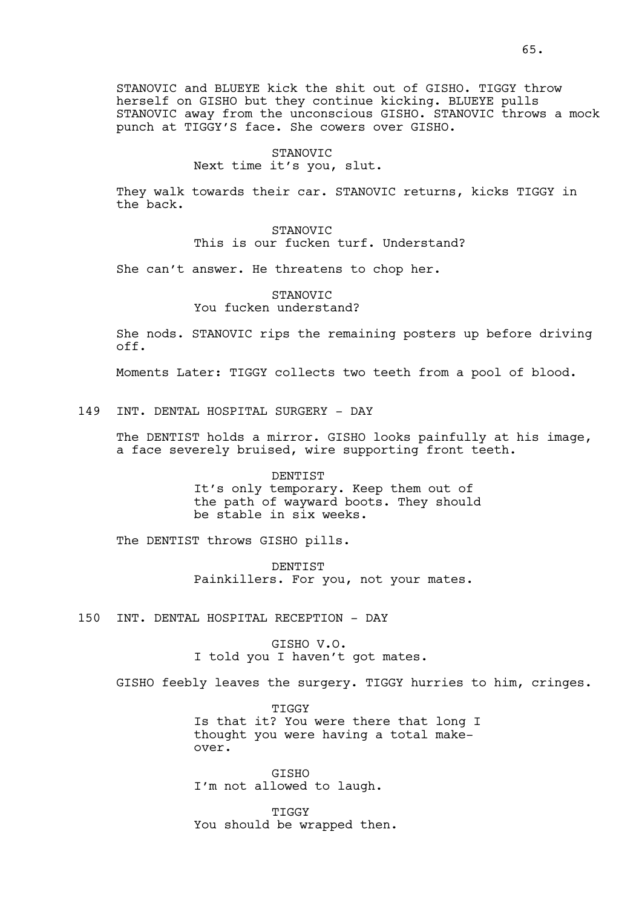STANOVIC and BLUEYE kick the shit out of GISHO. TIGGY throw herself on GISHO but they continue kicking. BLUEYE pulls STANOVIC away from the unconscious GISHO. STANOVIC throws a mock punch at TIGGY'S face. She cowers over GISHO.

#### STANOVIC

## Next time it's you, slut.

They walk towards their car. STANOVIC returns, kicks TIGGY in the back.

> STANOVIC This is our fucken turf. Understand?

She can't answer. He threatens to chop her.

## STANOVIC You fucken understand?

She nods. STANOVIC rips the remaining posters up before driving off.

Moments Later: TIGGY collects two teeth from a pool of blood.

## 149 INT. DENTAL HOSPITAL SURGERY - DAY

The DENTIST holds a mirror. GISHO looks painfully at his image, a face severely bruised, wire supporting front teeth.

> DENTIST It's only temporary. Keep them out of the path of wayward boots. They should be stable in six weeks.

The DENTIST throws GISHO pills.

DENTIST Painkillers. For you, not your mates.

150 INT. DENTAL HOSPITAL RECEPTION - DAY

GISHO V.O. I told you I haven't got mates.

GISHO feebly leaves the surgery. TIGGY hurries to him, cringes.

**TIGGY** Is that it? You were there that long I thought you were having a total makeover.

**GTSHO** I'm not allowed to laugh.

**TIGGY** You should be wrapped then.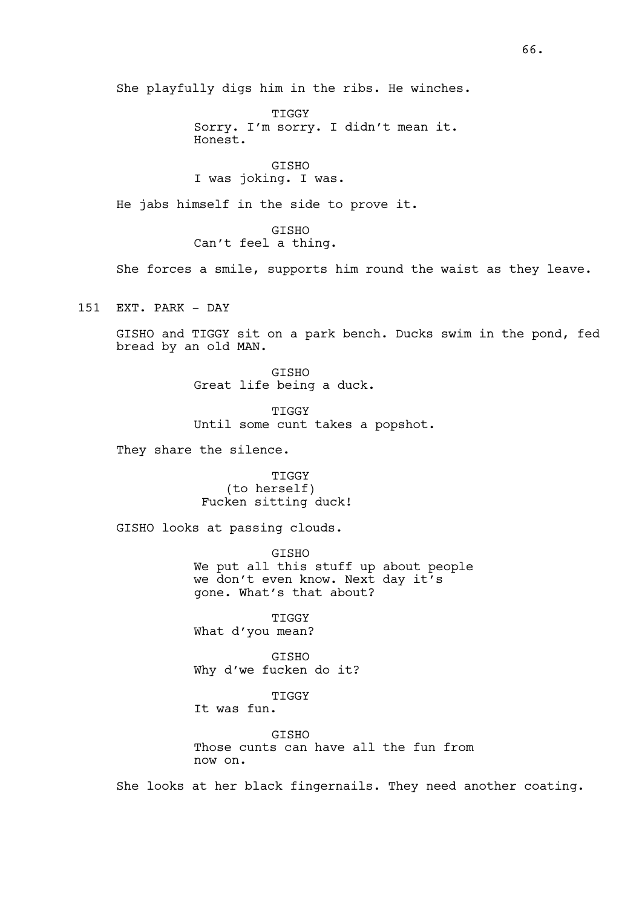She playfully digs him in the ribs. He winches.

TIGGY Sorry. I'm sorry. I didn't mean it. Honest.

GISHO I was joking. I was.

He jabs himself in the side to prove it.

GISHO Can't feel a thing.

She forces a smile, supports him round the waist as they leave.

151 EXT. PARK - DAY

GISHO and TIGGY sit on a park bench. Ducks swim in the pond, fed bread by an old MAN.

> GISHO Great life being a duck.

TIGGY Until some cunt takes a popshot.

They share the silence.

TIGGY (to herself) Fucken sitting duck!

GISHO looks at passing clouds.

GISHO We put all this stuff up about people we don't even know. Next day it's gone. What's that about?

TIGGY What d'you mean?

**GTSHO** Why d'we fucken do it?

TIGGY It was fun.

**GTSHO** Those cunts can have all the fun from now on.

She looks at her black fingernails. They need another coating.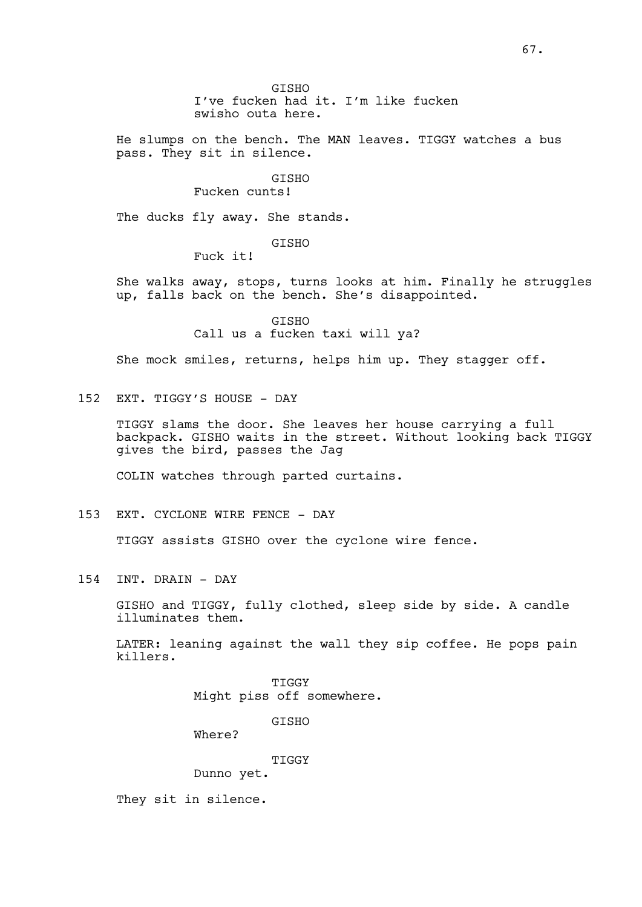GISHO I've fucken had it. I'm like fucken swisho outa here.

He slumps on the bench. The MAN leaves. TIGGY watches a bus pass. They sit in silence.

# GISHO

# Fucken cunts!

The ducks fly away. She stands.

# GISHO

Fuck it!

She walks away, stops, turns looks at him. Finally he struggles up, falls back on the bench. She's disappointed.

> GISHO Call us a fucken taxi will ya?

She mock smiles, returns, helps him up. They stagger off.

152 EXT. TIGGY'S HOUSE - DAY

TIGGY slams the door. She leaves her house carrying a full backpack. GISHO waits in the street. Without looking back TIGGY gives the bird, passes the Jag

COLIN watches through parted curtains.

153 EXT. CYCLONE WIRE FENCE - DAY

TIGGY assists GISHO over the cyclone wire fence.

154 INT. DRAIN - DAY

GISHO and TIGGY, fully clothed, sleep side by side. A candle illuminates them.

LATER: leaning against the wall they sip coffee. He pops pain killers.

> TIGGY Might piss off somewhere.

> > GISHO

Where?

TIGGY

Dunno yet.

They sit in silence.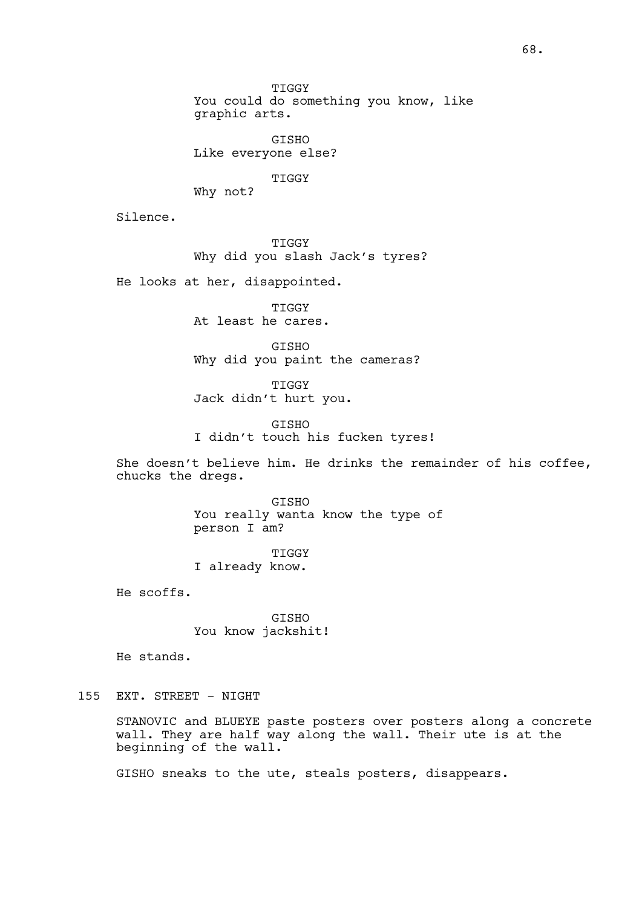TIGGY

You could do something you know, like graphic arts.

GISHO Like everyone else?

TIGGY

Why not?

Silence.

TIGGY Why did you slash Jack's tyres?

He looks at her, disappointed.

TIGGY At least he cares.

GISHO Why did you paint the cameras?

TIGGY Jack didn't hurt you.

GISHO I didn't touch his fucken tyres!

She doesn't believe him. He drinks the remainder of his coffee, chucks the dregs.

> GISHO You really wanta know the type of person I am?

TIGGY I already know.

He scoffs.

GISHO You know jackshit!

He stands.

# 155 EXT. STREET - NIGHT

STANOVIC and BLUEYE paste posters over posters along a concrete wall. They are half way along the wall. Their ute is at the beginning of the wall.

GISHO sneaks to the ute, steals posters, disappears.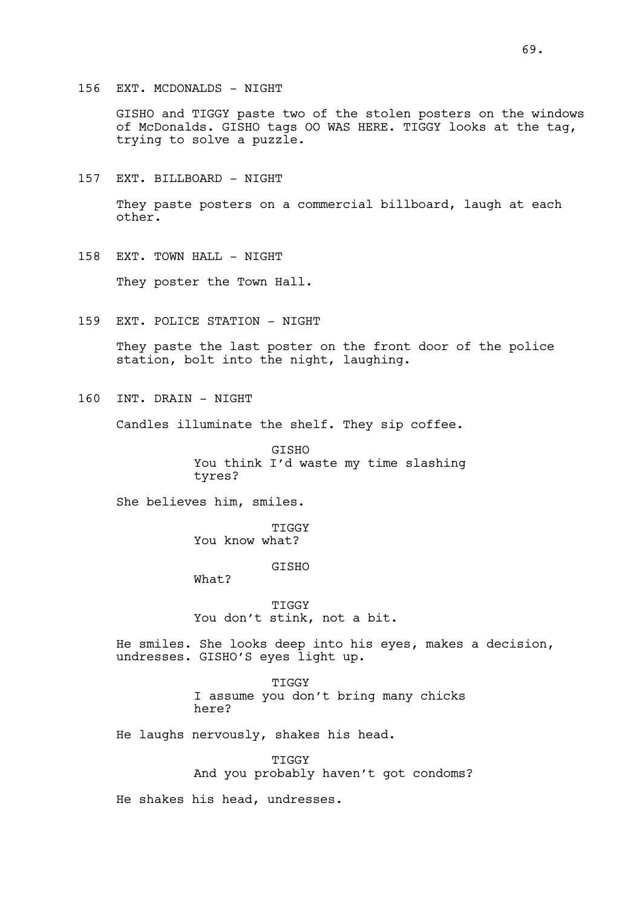GISHO and TIGGY paste two of the stolen posters on the windows of McDonalds. GISHO tags OO WAS HERE. TIGGY looks at the tag, trying to solve a puzzle.

157 EXT. BILLBOARD - NIGHT

They paste posters on a commercial billboard, laugh at each other.

158 EXT. TOWN HALL - NIGHT

They poster the Town Hall.

159 EXT. POLICE STATION - NIGHT

They paste the last poster on the front door of the police station, bolt into the night, laughing.

160 INT. DRAIN - NIGHT

Candles illuminate the shelf. They sip coffee.

GISHO You think I'd waste my time slashing tyres?

She believes him, smiles.

What?

**TIGGY** You know what?

GISHO

TIGGY You don't stink, not a bit.

He smiles. She looks deep into his eyes, makes a decision, undresses. GISHO'S eyes light up.

> TIGGY I assume you don't bring many chicks here?

He laughs nervously, shakes his head.

TIGGY And you probably haven't got condoms?

He shakes his head, undresses.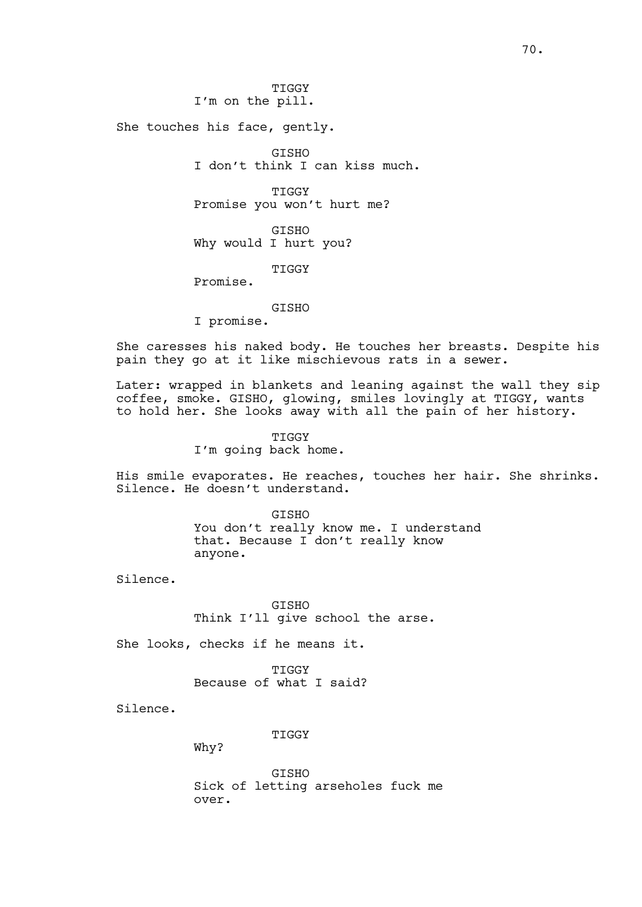TIGGY I'm on the pill.

She touches his face, gently.

GISHO I don't think I can kiss much.

TIGGY Promise you won't hurt me?

GISHO Why would I hurt you?

**TIGGY** 

Promise.

GISHO

I promise.

She caresses his naked body. He touches her breasts. Despite his pain they go at it like mischievous rats in a sewer.

Later: wrapped in blankets and leaning against the wall they sip coffee, smoke. GISHO, glowing, smiles lovingly at TIGGY, wants to hold her. She looks away with all the pain of her history.

> TIGGY I'm going back home.

His smile evaporates. He reaches, touches her hair. She shrinks. Silence. He doesn't understand.

> **GTSHO** You don't really know me. I understand that. Because I don't really know anyone.

Silence.

GISHO Think I'll give school the arse.

She looks, checks if he means it.

TIGGY Because of what I said?

Silence.

TIGGY

Why?

**GTSHO** Sick of letting arseholes fuck me over.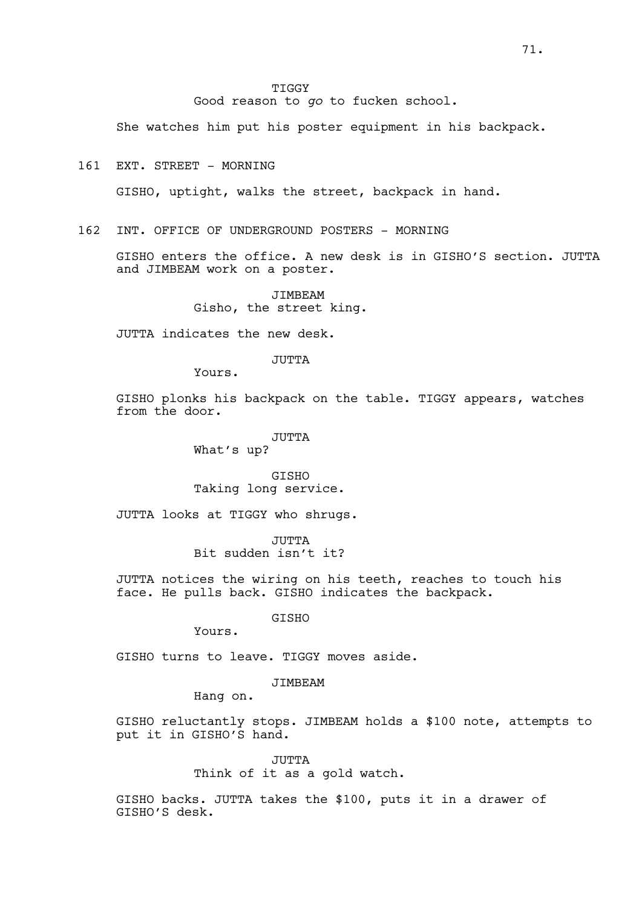TIGGY Good reason to *go* to fucken school.

She watches him put his poster equipment in his backpack.

161 EXT. STREET - MORNING

GISHO, uptight, walks the street, backpack in hand.

162 INT. OFFICE OF UNDERGROUND POSTERS - MORNING

GISHO enters the office. A new desk is in GISHO'S section. JUTTA and JIMBEAM work on a poster.

> JIMBEAM Gisho, the street king.

JUTTA indicates the new desk.

JUTTA

Yours.

GISHO plonks his backpack on the table. TIGGY appears, watches from the door.

> JUTTA What's up?

GISHO Taking long service.

JUTTA looks at TIGGY who shrugs.

JUTTA Bit sudden isn't it?

JUTTA notices the wiring on his teeth, reaches to touch his face. He pulls back. GISHO indicates the backpack.

GISHO

Yours.

GISHO turns to leave. TIGGY moves aside.

JIMBEAM

Hang on.

GISHO reluctantly stops. JIMBEAM holds a \$100 note, attempts to put it in GISHO'S hand.

> JUTTA Think of it as a gold watch.

GISHO backs. JUTTA takes the \$100, puts it in a drawer of GISHO'S desk.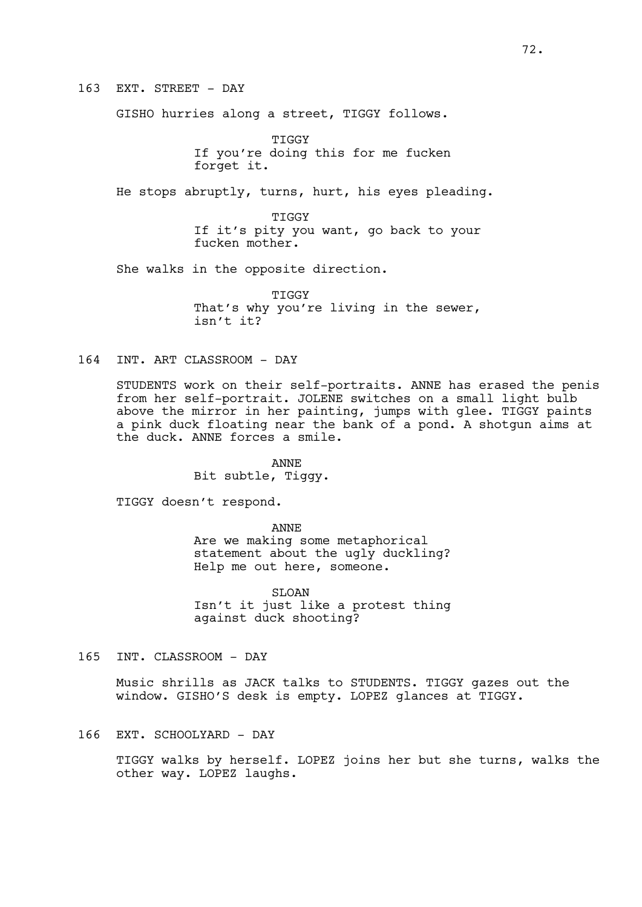163 EXT. STREET - DAY

GISHO hurries along a street, TIGGY follows.

**TIGGY** If you're doing this for me fucken forget it.

He stops abruptly, turns, hurt, his eyes pleading.

TIGGY If it's pity you want, go back to your fucken mother.

She walks in the opposite direction.

TIGGY That's why you're living in the sewer, isn't it?

164 INT. ART CLASSROOM - DAY

STUDENTS work on their self-portraits. ANNE has erased the penis from her self-portrait. JOLENE switches on a small light bulb above the mirror in her painting, jumps with glee. TIGGY paints a pink duck floating near the bank of a pond. A shotgun aims at the duck. ANNE forces a smile.

> ANNE Bit subtle, Tiggy.

TIGGY doesn't respond.

ANNE Are we making some metaphorical statement about the ugly duckling? Help me out here, someone.

SLOAN Isn't it just like a protest thing against duck shooting?

165 INT. CLASSROOM - DAY

Music shrills as JACK talks to STUDENTS. TIGGY gazes out the window. GISHO'S desk is empty. LOPEZ glances at TIGGY.

166 EXT. SCHOOLYARD - DAY

TIGGY walks by herself. LOPEZ joins her but she turns, walks the other way. LOPEZ laughs.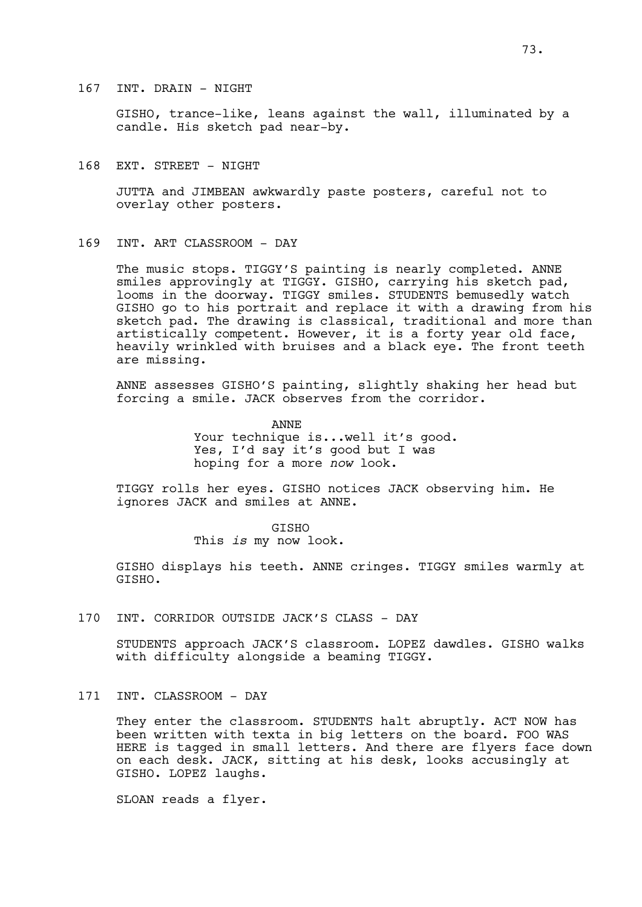GISHO, trance-like, leans against the wall, illuminated by a candle. His sketch pad near-by.

168 EXT. STREET - NIGHT

JUTTA and JIMBEAN awkwardly paste posters, careful not to overlay other posters.

169 INT. ART CLASSROOM - DAY

The music stops. TIGGY'S painting is nearly completed. ANNE smiles approvingly at TIGGY. GISHO, carrying his sketch pad, looms in the doorway. TIGGY smiles. STUDENTS bemusedly watch GISHO go to his portrait and replace it with a drawing from his sketch pad. The drawing is classical, traditional and more than artistically competent. However, it is a forty year old face, heavily wrinkled with bruises and a black eye. The front teeth are missing.

ANNE assesses GISHO'S painting, slightly shaking her head but forcing a smile. JACK observes from the corridor.

> ANNE Your technique is...well it's good. Yes, I'd say it's good but I was hoping for a more *now* look.

TIGGY rolls her eyes. GISHO notices JACK observing him. He ignores JACK and smiles at ANNE.

> GISHO This *is* my now look.

GISHO displays his teeth. ANNE cringes. TIGGY smiles warmly at GISHO.

170 INT. CORRIDOR OUTSIDE JACK'S CLASS - DAY

STUDENTS approach JACK'S classroom. LOPEZ dawdles. GISHO walks with difficulty alongside a beaming TIGGY.

171 INT. CLASSROOM - DAY

They enter the classroom. STUDENTS halt abruptly. ACT NOW has been written with texta in big letters on the board. FOO WAS HERE is tagged in small letters. And there are flyers face down on each desk. JACK, sitting at his desk, looks accusingly at GISHO. LOPEZ laughs.

SLOAN reads a flyer.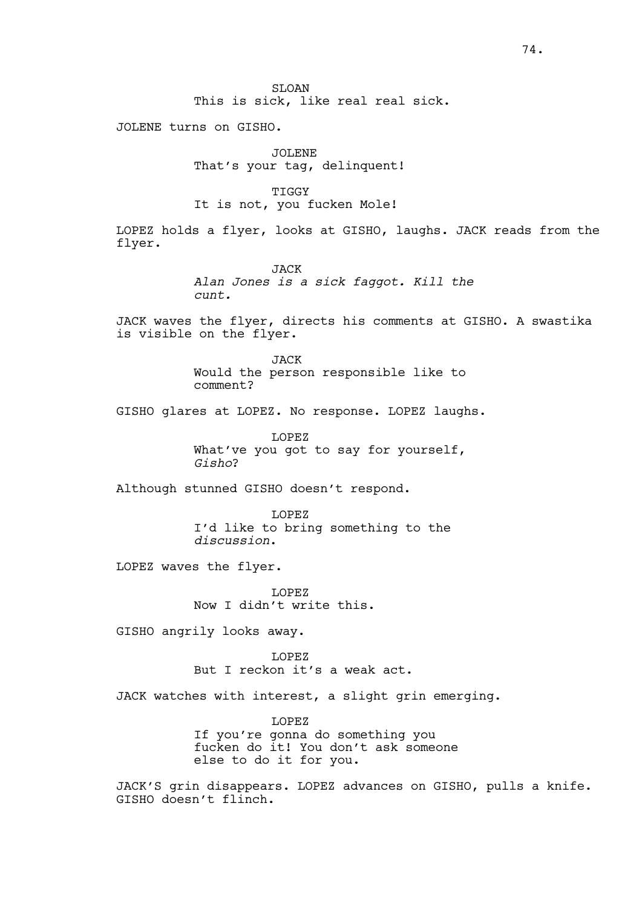SLOAN This is sick, like real real sick.

JOLENE turns on GISHO.

JOLENE That's your tag, delinquent!

TIGGY It is not, you fucken Mole!

LOPEZ holds a flyer, looks at GISHO, laughs. JACK reads from the flyer.

> JACK *Alan Jones is a sick faggot. Kill the cunt.*

JACK waves the flyer, directs his comments at GISHO. A swastika is visible on the flyer.

> JACK Would the person responsible like to comment?

GISHO glares at LOPEZ. No response. LOPEZ laughs.

LOPEZ What've you got to say for yourself, *Gisho*?

Although stunned GISHO doesn't respond.

LOPEZ I'd like to bring something to the *discussion*.

LOPEZ waves the flyer.

LOPEZ Now I didn't write this.

GISHO angrily looks away.

LOPEZ But I reckon it's a weak act.

JACK watches with interest, a slight grin emerging.

LOPEZ If you're gonna do something you fucken do it! You don't ask someone else to do it for you.

JACK'S grin disappears. LOPEZ advances on GISHO, pulls a knife. GISHO doesn't flinch.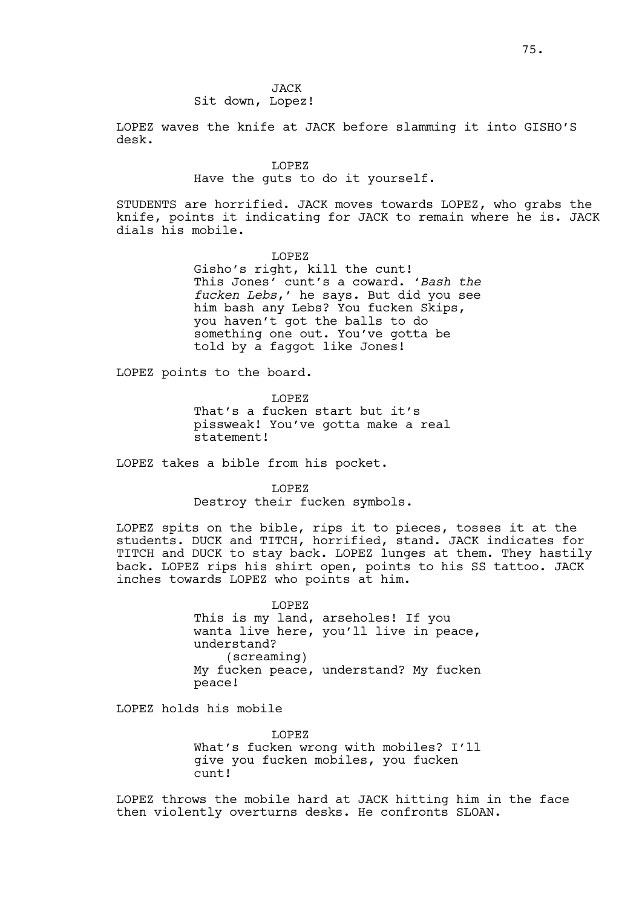JACK Sit down, Lopez!

LOPEZ waves the knife at JACK before slamming it into GISHO'S desk.

#### LOPEZ

## Have the guts to do it yourself.

STUDENTS are horrified. JACK moves towards LOPEZ, who grabs the knife, points it indicating for JACK to remain where he is. JACK dials his mobile.

> LOPEZ Gisho's right, kill the cunt! This Jones' cunt's a coward. '*Bash the fucken Lebs*,' he says. But did you see him bash any Lebs? You fucken Skips, you haven't got the balls to do something one out. You've gotta be told by a faggot like Jones!

LOPEZ points to the board.

LOPEZ

That's a fucken start but it's pissweak! You've gotta make a real statement!

LOPEZ takes a bible from his pocket.

LOPEZ Destroy their fucken symbols.

LOPEZ spits on the bible, rips it to pieces, tosses it at the students. DUCK and TITCH, horrified, stand. JACK indicates for TITCH and DUCK to stay back. LOPEZ lunges at them. They hastily back. LOPEZ rips his shirt open, points to his SS tattoo. JACK inches towards LOPEZ who points at him.

> LOPEZ This is my land, arseholes! If you wanta live here, you'll live in peace, understand? (screaming) My fucken peace, understand? My fucken peace!

LOPEZ holds his mobile

LOPEZ What's fucken wrong with mobiles? I'll give you fucken mobiles, you fucken cunt!

LOPEZ throws the mobile hard at JACK hitting him in the face then violently overturns desks. He confronts SLOAN.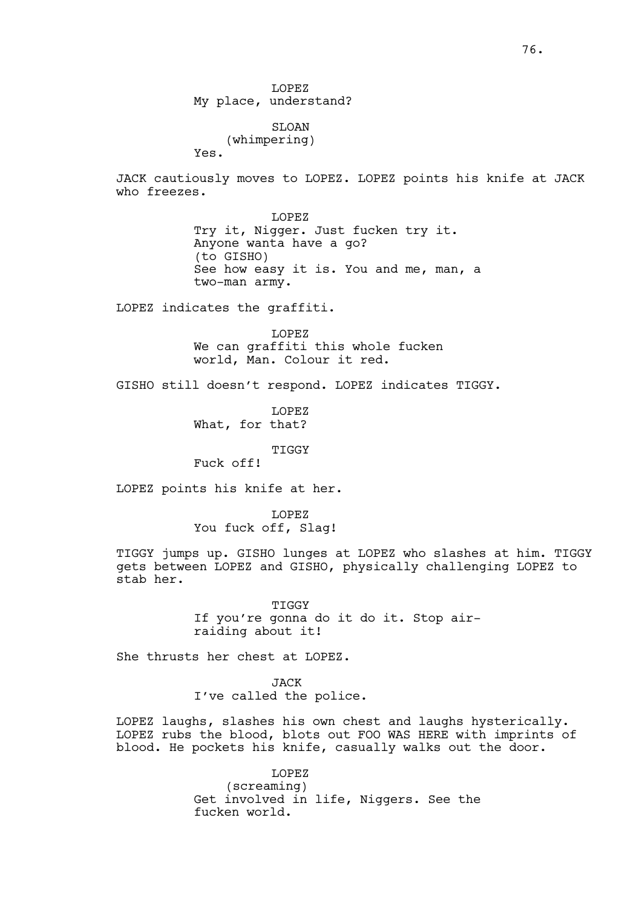LOPEZ My place, understand?

SLOAN (whimpering) Yes.

JACK cautiously moves to LOPEZ. LOPEZ points his knife at JACK who freezes.

> LOPEZ Try it, Nigger. Just fucken try it. Anyone wanta have a go? (to GISHO) See how easy it is. You and me, man, a two-man army.

LOPEZ indicates the graffiti.

LOPEZ We can graffiti this whole fucken world, Man. Colour it red.

GISHO still doesn't respond. LOPEZ indicates TIGGY.

LOPEZ What, for that?

TIGGY

Fuck off!

LOPEZ points his knife at her.

LOPEZ You fuck off, Slag!

TIGGY jumps up. GISHO lunges at LOPEZ who slashes at him. TIGGY gets between LOPEZ and GISHO, physically challenging LOPEZ to stab her.

> TIGGY If you're gonna do it do it. Stop airraiding about it!

She thrusts her chest at LOPEZ.

JACK I've called the police.

LOPEZ laughs, slashes his own chest and laughs hysterically. LOPEZ rubs the blood, blots out FOO WAS HERE with imprints of blood. He pockets his knife, casually walks out the door.

> LOPEZ (screaming) Get involved in life, Niggers. See the fucken world.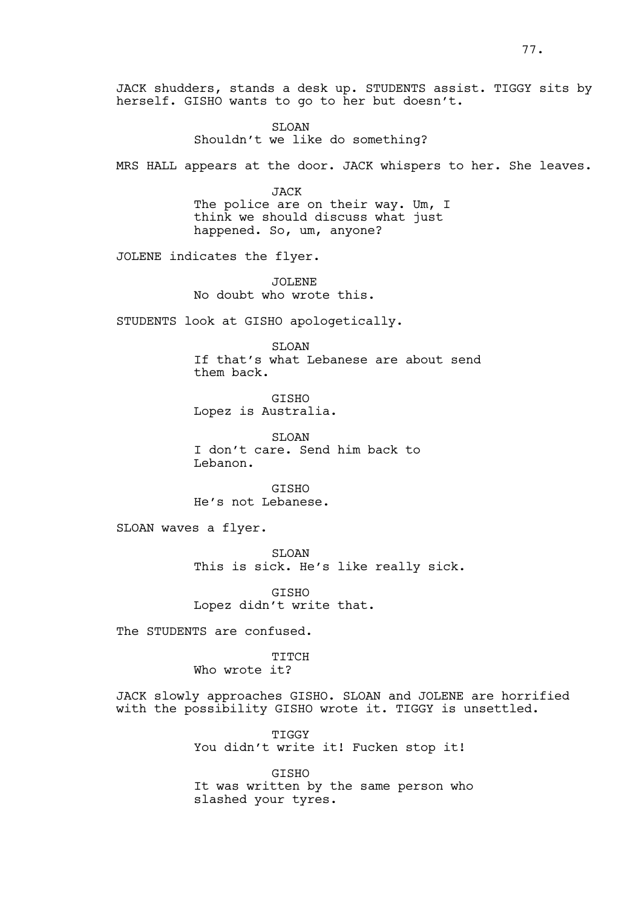JACK shudders, stands a desk up. STUDENTS assist. TIGGY sits by herself. GISHO wants to go to her but doesn't.

> SLOAN Shouldn't we like do something?

MRS HALL appears at the door. JACK whispers to her. She leaves.

JACK The police are on their way. Um, I think we should discuss what just happened. So, um, anyone?

JOLENE indicates the flyer.

JOLENE No doubt who wrote this.

STUDENTS look at GISHO apologetically.

SLOAN If that's what Lebanese are about send them back.

GISHO Lopez is Australia.

SLOAN I don't care. Send him back to Lebanon.

GISHO He's not Lebanese.

SLOAN waves a flyer.

SLOAN This is sick. He's like really sick.

GISHO Lopez didn't write that.

The STUDENTS are confused.

TITCH Who wrote it?

JACK slowly approaches GISHO. SLOAN and JOLENE are horrified with the possibility GISHO wrote it. TIGGY is unsettled.

> TIGGY You didn't write it! Fucken stop it!

**GTSHO** It was written by the same person who slashed your tyres.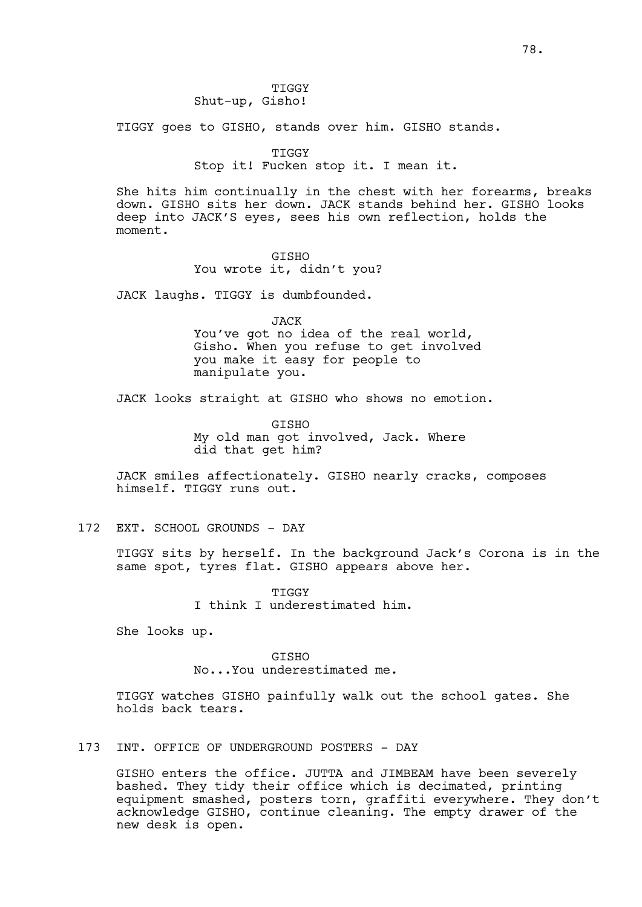TIGGY Shut-up, Gisho!

TIGGY goes to GISHO, stands over him. GISHO stands.

TIGGY

Stop it! Fucken stop it. I mean it.

She hits him continually in the chest with her forearms, breaks down. GISHO sits her down. JACK stands behind her. GISHO looks deep into JACK'S eyes, sees his own reflection, holds the moment.

> GISHO You wrote it, didn't you?

JACK laughs. TIGGY is dumbfounded.

JACK

You've got no idea of the real world, Gisho. When you refuse to get involved you make it easy for people to manipulate you.

JACK looks straight at GISHO who shows no emotion.

GISHO My old man got involved, Jack. Where did that get him?

JACK smiles affectionately. GISHO nearly cracks, composes himself. TIGGY runs out.

# 172 EXT. SCHOOL GROUNDS - DAY

TIGGY sits by herself. In the background Jack's Corona is in the same spot, tyres flat. GISHO appears above her.

> TIGGY I think I underestimated him.

She looks up.

**GTSHO** 

No...You underestimated me.

TIGGY watches GISHO painfully walk out the school gates. She holds back tears.

173 INT. OFFICE OF UNDERGROUND POSTERS - DAY

GISHO enters the office. JUTTA and JIMBEAM have been severely bashed. They tidy their office which is decimated, printing equipment smashed, posters torn, graffiti everywhere. They don't acknowledge GISHO, continue cleaning. The empty drawer of the new desk is open.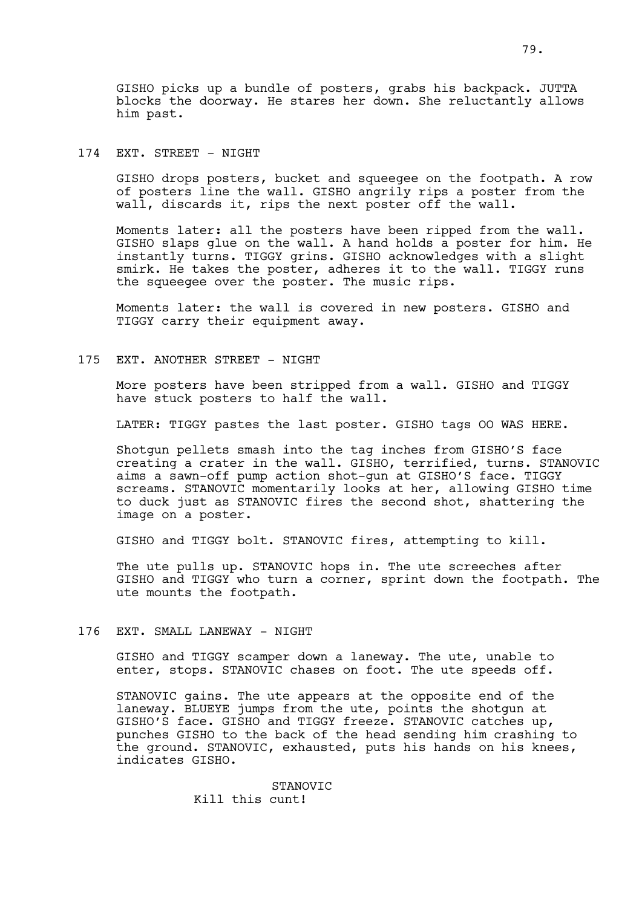GISHO picks up a bundle of posters, grabs his backpack. JUTTA blocks the doorway. He stares her down. She reluctantly allows him past.

# 174 EXT. STREET - NIGHT

GISHO drops posters, bucket and squeegee on the footpath. A row of posters line the wall. GISHO angrily rips a poster from the wall, discards it, rips the next poster off the wall.

Moments later: all the posters have been ripped from the wall. GISHO slaps glue on the wall. A hand holds a poster for him. He instantly turns. TIGGY grins. GISHO acknowledges with a slight smirk. He takes the poster, adheres it to the wall. TIGGY runs the squeegee over the poster. The music rips.

Moments later: the wall is covered in new posters. GISHO and TIGGY carry their equipment away.

## 175 EXT. ANOTHER STREET - NIGHT

More posters have been stripped from a wall. GISHO and TIGGY have stuck posters to half the wall.

LATER: TIGGY pastes the last poster. GISHO tags OO WAS HERE.

Shotgun pellets smash into the tag inches from GISHO'S face creating a crater in the wall. GISHO, terrified, turns. STANOVIC aims a sawn-off pump action shot-gun at GISHO'S face. TIGGY screams. STANOVIC momentarily looks at her, allowing GISHO time to duck just as STANOVIC fires the second shot, shattering the image on a poster.

GISHO and TIGGY bolt. STANOVIC fires, attempting to kill.

The ute pulls up. STANOVIC hops in. The ute screeches after GISHO and TIGGY who turn a corner, sprint down the footpath. The ute mounts the footpath.

## 176 EXT. SMALL LANEWAY - NIGHT

GISHO and TIGGY scamper down a laneway. The ute, unable to enter, stops. STANOVIC chases on foot. The ute speeds off.

STANOVIC gains. The ute appears at the opposite end of the laneway. BLUEYE jumps from the ute, points the shotgun at GISHO'S face. GISHO and TIGGY freeze. STANOVIC catches up, punches GISHO to the back of the head sending him crashing to the ground. STANOVIC, exhausted, puts his hands on his knees, indicates GISHO.

> STANOVIC Kill this cunt!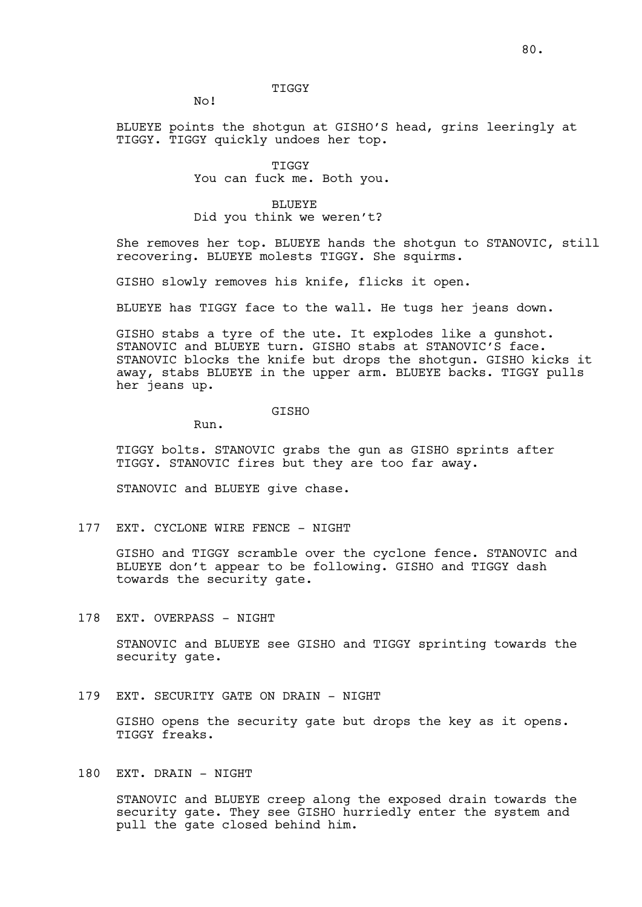### TIGGY

No!

BLUEYE points the shotgun at GISHO'S head, grins leeringly at TIGGY. TIGGY quickly undoes her top.

#### TIGGY

You can fuck me. Both you.

### BLUEYE

Did you think we weren't?

She removes her top. BLUEYE hands the shotgun to STANOVIC, still recovering. BLUEYE molests TIGGY. She squirms.

GISHO slowly removes his knife, flicks it open.

BLUEYE has TIGGY face to the wall. He tugs her jeans down.

GISHO stabs a tyre of the ute. It explodes like a gunshot. STANOVIC and BLUEYE turn. GISHO stabs at STANOVIC'S face. STANOVIC blocks the knife but drops the shotgun. GISHO kicks it away, stabs BLUEYE in the upper arm. BLUEYE backs. TIGGY pulls her jeans up.

### GISHO

Run.

TIGGY bolts. STANOVIC grabs the gun as GISHO sprints after TIGGY. STANOVIC fires but they are too far away.

STANOVIC and BLUEYE give chase.

177 EXT. CYCLONE WIRE FENCE - NIGHT

GISHO and TIGGY scramble over the cyclone fence. STANOVIC and BLUEYE don't appear to be following. GISHO and TIGGY dash towards the security gate.

178 EXT. OVERPASS - NIGHT

STANOVIC and BLUEYE see GISHO and TIGGY sprinting towards the security gate.

### 179 EXT. SECURITY GATE ON DRAIN - NIGHT

GISHO opens the security gate but drops the key as it opens. TIGGY freaks.

# 180 EXT. DRAIN - NIGHT

STANOVIC and BLUEYE creep along the exposed drain towards the security gate. They see GISHO hurriedly enter the system and pull the gate closed behind him.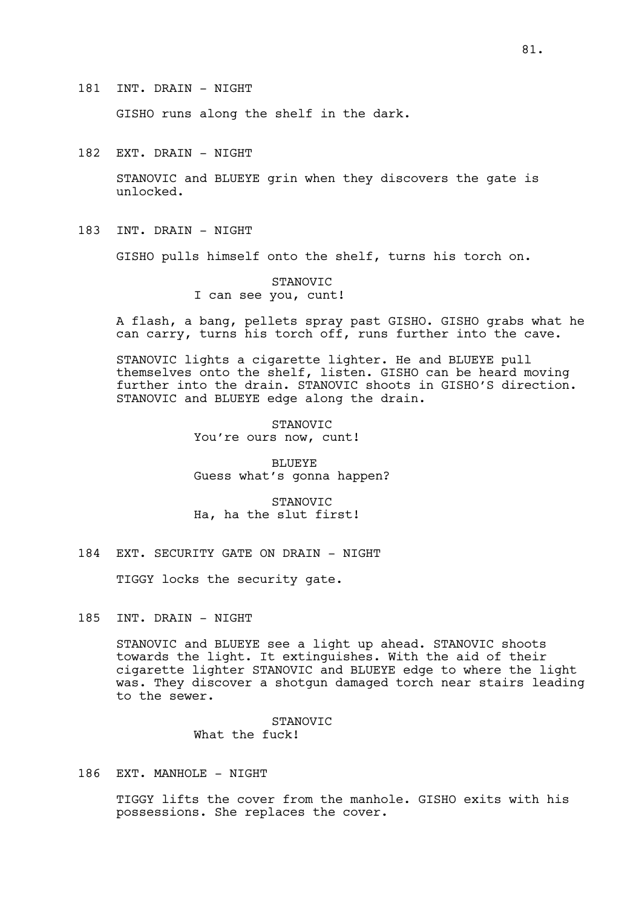181 INT. DRAIN - NIGHT

GISHO runs along the shelf in the dark.

182 EXT. DRAIN - NIGHT

STANOVIC and BLUEYE grin when they discovers the gate is unlocked.

183 INT. DRAIN - NIGHT

GISHO pulls himself onto the shelf, turns his torch on.

STANOVIC I can see you, cunt!

A flash, a bang, pellets spray past GISHO. GISHO grabs what he can carry, turns his torch off, runs further into the cave.

STANOVIC lights a cigarette lighter. He and BLUEYE pull themselves onto the shelf, listen. GISHO can be heard moving further into the drain. STANOVIC shoots in GISHO'S direction. STANOVIC and BLUEYE edge along the drain.

> STANOVIC You're ours now, cunt!

BLUEYE Guess what's gonna happen?

STANOVIC Ha, ha the slut first!

184 EXT. SECURITY GATE ON DRAIN - NIGHT

TIGGY locks the security gate.

185 INT. DRAIN - NIGHT

STANOVIC and BLUEYE see a light up ahead. STANOVIC shoots towards the light. It extinguishes. With the aid of their cigarette lighter STANOVIC and BLUEYE edge to where the light was. They discover a shotgun damaged torch near stairs leading to the sewer.

> STANOVIC What the fuck!

# 186 EXT. MANHOLE - NIGHT

TIGGY lifts the cover from the manhole. GISHO exits with his possessions. She replaces the cover.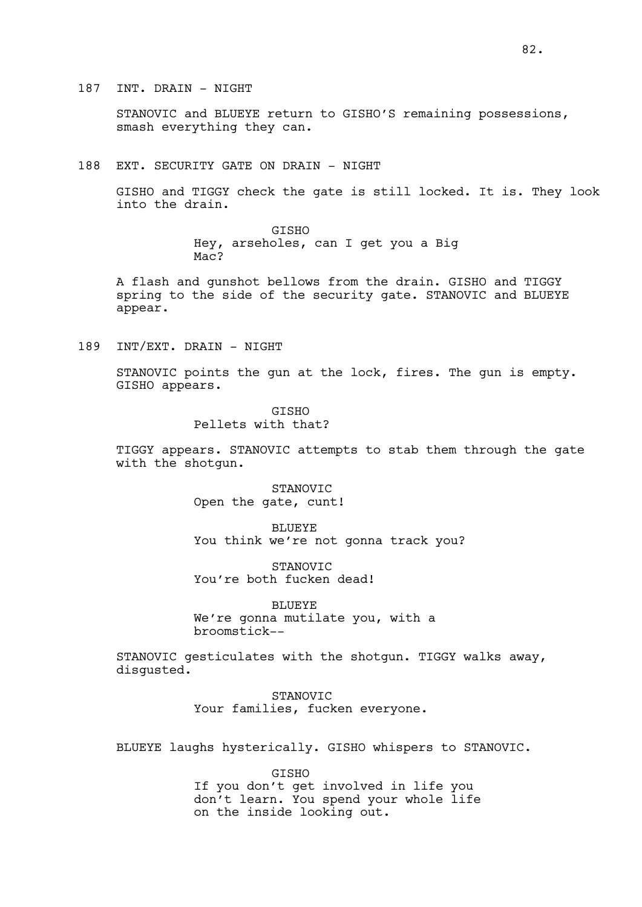STANOVIC and BLUEYE return to GISHO'S remaining possessions, smash everything they can.

188 EXT. SECURITY GATE ON DRAIN - NIGHT

GISHO and TIGGY check the gate is still locked. It is. They look into the drain.

> GISHO Hey, arseholes, can I get you a Big Mac?

A flash and gunshot bellows from the drain. GISHO and TIGGY spring to the side of the security gate. STANOVIC and BLUEYE appear.

189 INT/EXT. DRAIN - NIGHT

STANOVIC points the gun at the lock, fires. The gun is empty. GISHO appears.

> **GTSHO** Pellets with that?

TIGGY appears. STANOVIC attempts to stab them through the gate with the shotgun.

> STANOVIC Open the gate, cunt!

BLUEYE You think we're not gonna track you?

STANOVIC You're both fucken dead!

BLUEYE We're gonna mutilate you, with a broomstick--

STANOVIC gesticulates with the shotgun. TIGGY walks away, disgusted.

> STANOVIC Your families, fucken everyone.

BLUEYE laughs hysterically. GISHO whispers to STANOVIC.

**GTSHO** 

If you don't get involved in life you don't learn. You spend your whole life on the inside looking out.